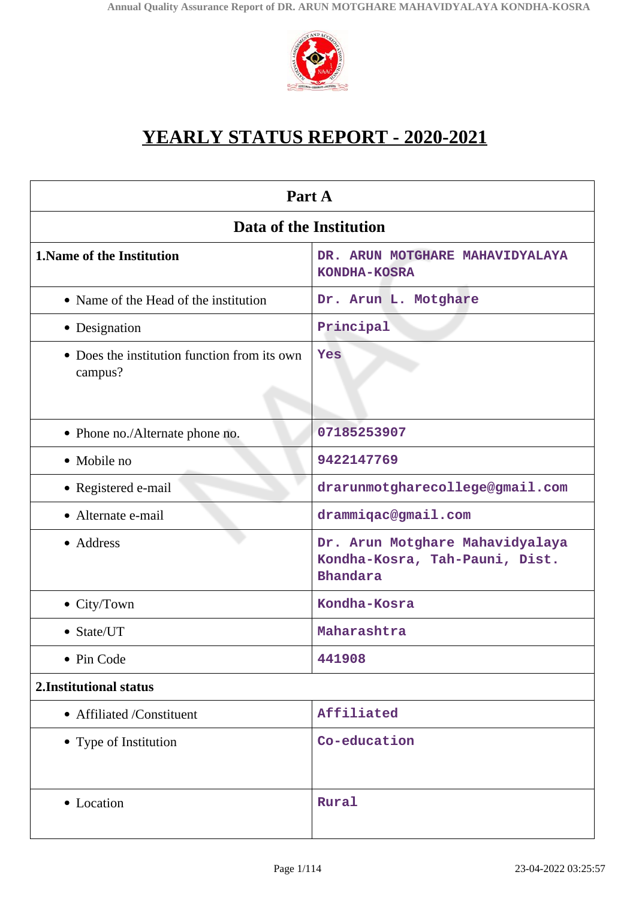

# **YEARLY STATUS REPORT - 2020-2021**

| Part A                                                  |                                                                                      |  |
|---------------------------------------------------------|--------------------------------------------------------------------------------------|--|
| Data of the Institution                                 |                                                                                      |  |
| 1. Name of the Institution                              | DR. ARUN MOTGHARE MAHAVIDYALAYA<br>KONDHA-KOSRA                                      |  |
| • Name of the Head of the institution                   | Dr. Arun L. Motghare                                                                 |  |
| • Designation                                           | Principal                                                                            |  |
| • Does the institution function from its own<br>campus? | Yes                                                                                  |  |
| • Phone no./Alternate phone no.                         | 07185253907                                                                          |  |
| • Mobile no                                             | 9422147769                                                                           |  |
| • Registered e-mail                                     | drarunmotgharecollege@gmail.com                                                      |  |
| • Alternate e-mail                                      | drammiqac@gmail.com                                                                  |  |
| • Address                                               | Dr. Arun Motghare Mahavidyalaya<br>Kondha-Kosra, Tah-Pauni, Dist.<br><b>Bhandara</b> |  |
| $\bullet$ City/Town                                     | Kondha-Kosra                                                                         |  |
| • State/UT                                              | Maharashtra                                                                          |  |
| • Pin Code                                              | 441908                                                                               |  |
| 2. Institutional status                                 |                                                                                      |  |
| • Affiliated /Constituent                               | Affiliated                                                                           |  |
| • Type of Institution                                   | Co-education                                                                         |  |
| • Location                                              | Rural                                                                                |  |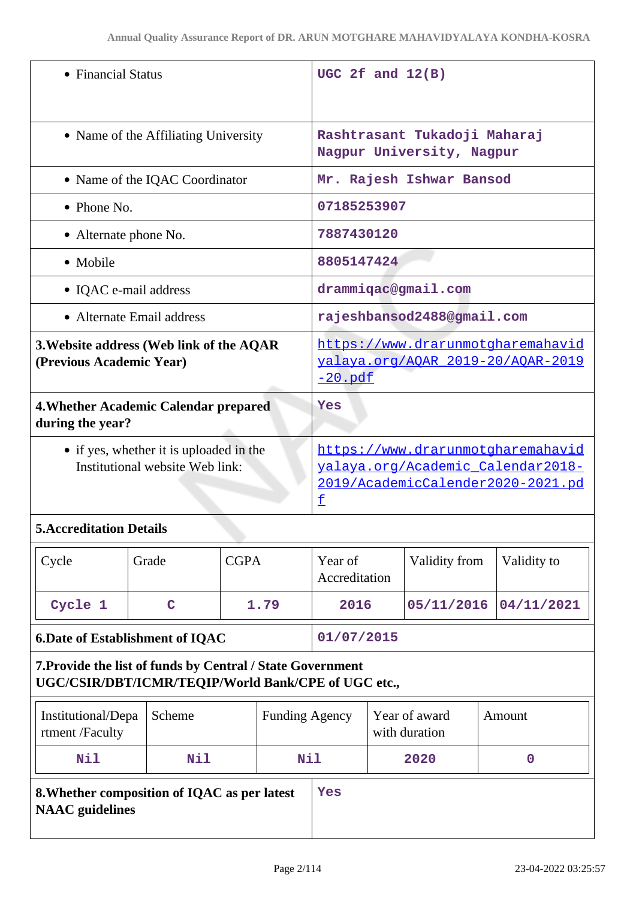| • Financial Status                                                         | UGC 2 $f$ and $12(B)$                                                                                            |
|----------------------------------------------------------------------------|------------------------------------------------------------------------------------------------------------------|
| • Name of the Affiliating University                                       | Rashtrasant Tukadoji Maharaj<br>Nagpur University, Nagpur                                                        |
| • Name of the IQAC Coordinator                                             | Mr. Rajesh Ishwar Bansod                                                                                         |
| $\bullet$ Phone No.                                                        | 07185253907                                                                                                      |
| • Alternate phone No.                                                      | 7887430120                                                                                                       |
| • Mobile                                                                   | 8805147424                                                                                                       |
| • IQAC e-mail address                                                      | drammigac@gmail.com                                                                                              |
| • Alternate Email address                                                  | rajeshbansod2488@gmail.com                                                                                       |
| 3. Website address (Web link of the AQAR<br>(Previous Academic Year)       | https://www.drarunmotgharemahavid<br>yalaya.org/AOAR 2019-20/AOAR-2019<br>$-20$ .pdf                             |
| 4. Whether Academic Calendar prepared<br>during the year?                  | Yes                                                                                                              |
| • if yes, whether it is uploaded in the<br>Institutional website Web link: | https://www.drarunmotgharemahavid<br>valaya.org/Academic Calendar2018-<br>2019/AcademicCalender2020-2021.pd<br>£ |

# **5.Accreditation Details**

| Cycle                                  | Grade | <b>CGPA</b> | Year of<br>Accreditation | Validity from         | Validity to |
|----------------------------------------|-------|-------------|--------------------------|-----------------------|-------------|
| Cycle 1                                | C     | 1.79        | 2016                     | 05/11/2016 04/11/2021 |             |
| <b>6.Date of Establishment of IQAC</b> |       | 01/07/2015  |                          |                       |             |

# **7.Provide the list of funds by Central / State Government UGC/CSIR/DBT/ICMR/TEQIP/World Bank/CPE of UGC etc.,**

| Institutional/Depa<br>rtment/Faculty                                   | Scheme | <b>Funding Agency</b> |  | Year of award<br>with duration | Amount |
|------------------------------------------------------------------------|--------|-----------------------|--|--------------------------------|--------|
| Nil                                                                    | Nil    | Nil                   |  | 2020                           |        |
| 8. Whether composition of IQAC as per latest<br><b>NAAC</b> guidelines |        | Yes                   |  |                                |        |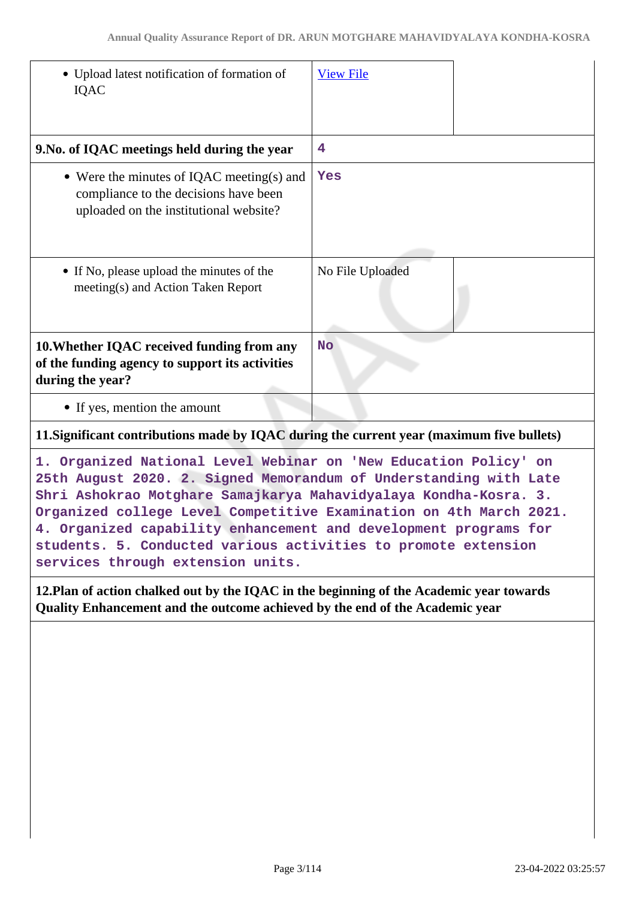| • Upload latest notification of formation of<br><b>IQAC</b>                                                                                                                                                                                                                                                                                                                                                           | <b>View File</b> |  |
|-----------------------------------------------------------------------------------------------------------------------------------------------------------------------------------------------------------------------------------------------------------------------------------------------------------------------------------------------------------------------------------------------------------------------|------------------|--|
| 9. No. of IQAC meetings held during the year                                                                                                                                                                                                                                                                                                                                                                          | 4                |  |
| • Were the minutes of IQAC meeting(s) and<br>compliance to the decisions have been<br>uploaded on the institutional website?                                                                                                                                                                                                                                                                                          | Yes              |  |
| • If No, please upload the minutes of the<br>meeting(s) and Action Taken Report                                                                                                                                                                                                                                                                                                                                       | No File Uploaded |  |
| 10. Whether IQAC received funding from any<br>of the funding agency to support its activities<br>during the year?                                                                                                                                                                                                                                                                                                     | <b>No</b>        |  |
| • If yes, mention the amount                                                                                                                                                                                                                                                                                                                                                                                          |                  |  |
| 11. Significant contributions made by IQAC during the current year (maximum five bullets)                                                                                                                                                                                                                                                                                                                             |                  |  |
| 1. Organized National Level Webinar on 'New Education Policy' on<br>25th August 2020. 2. Signed Memorandum of Understanding with Late<br>Shri Ashokrao Motghare Samajkarya Mahavidyalaya Kondha-Kosra. 3.<br>Organized college Level Competitive Examination on 4th March 2021.<br>4. Organized capability enhancement and development programs for<br>students. 5. Conducted various activities to promote extension |                  |  |

**12.Plan of action chalked out by the IQAC in the beginning of the Academic year towards Quality Enhancement and the outcome achieved by the end of the Academic year**

**services through extension units.**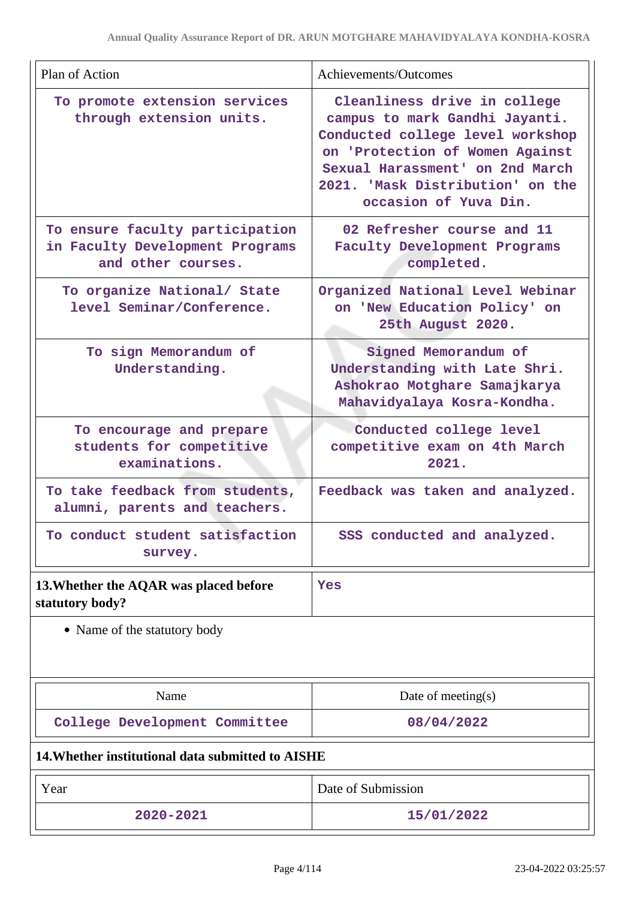| Plan of Action                                                                           | Achievements/Outcomes                                                                                                                                                                                                                 |  |
|------------------------------------------------------------------------------------------|---------------------------------------------------------------------------------------------------------------------------------------------------------------------------------------------------------------------------------------|--|
| To promote extension services<br>through extension units.                                | Cleanliness drive in college<br>campus to mark Gandhi Jayanti.<br>Conducted college level workshop<br>on 'Protection of Women Against<br>Sexual Harassment' on 2nd March<br>2021. 'Mask Distribution' on the<br>occasion of Yuva Din. |  |
| To ensure faculty participation<br>in Faculty Development Programs<br>and other courses. | 02 Refresher course and 11<br>Faculty Development Programs<br>completed.                                                                                                                                                              |  |
| To organize National/ State<br>level Seminar/Conference.                                 | Organized National Level Webinar<br>on 'New Education Policy' on<br>25th August 2020.                                                                                                                                                 |  |
| To sign Memorandum of<br>Understanding.                                                  | Signed Memorandum of<br>Understanding with Late Shri.<br>Ashokrao Motghare Samajkarya<br>Mahavidyalaya Kosra-Kondha.                                                                                                                  |  |
| To encourage and prepare<br>students for competitive<br>examinations.                    | Conducted college level<br>competitive exam on 4th March<br>2021.                                                                                                                                                                     |  |
| To take feedback from students,<br>alumni, parents and teachers.                         | Feedback was taken and analyzed.                                                                                                                                                                                                      |  |
| To conduct student satisfaction<br>survey.                                               | SSS conducted and analyzed.                                                                                                                                                                                                           |  |
| 13. Whether the AQAR was placed before<br>statutory body?                                | Yes                                                                                                                                                                                                                                   |  |
| • Name of the statutory body                                                             |                                                                                                                                                                                                                                       |  |
| Name                                                                                     | Date of meeting $(s)$                                                                                                                                                                                                                 |  |
| College Development Committee                                                            | 08/04/2022                                                                                                                                                                                                                            |  |
| 14. Whether institutional data submitted to AISHE                                        |                                                                                                                                                                                                                                       |  |
| Y <sub>Par</sub>                                                                         | Date of Submission                                                                                                                                                                                                                    |  |

| Year          | Date of Submission |
|---------------|--------------------|
| $2020 - 2021$ | 15/01/2022         |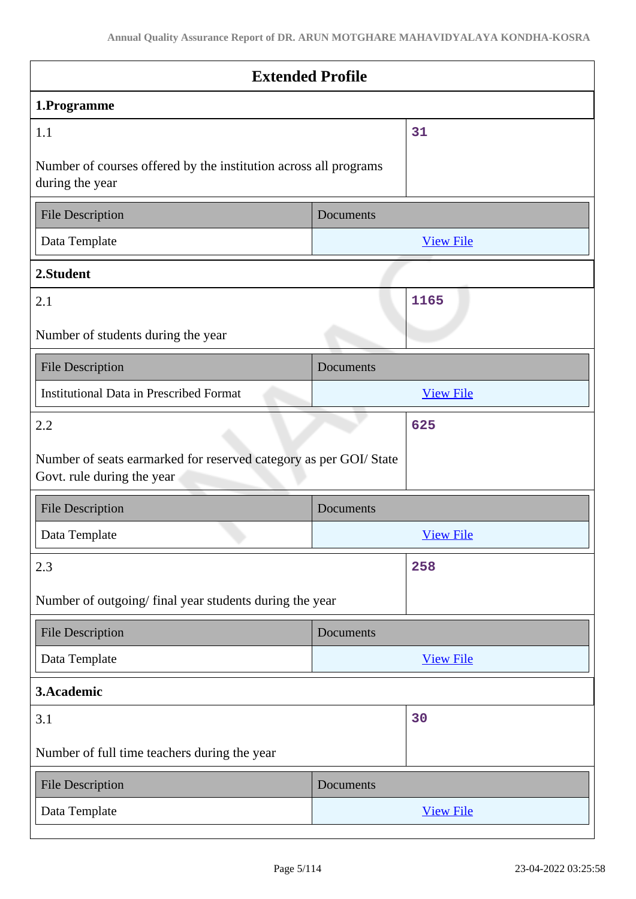| <b>Extended Profile</b>                                                                         |                  |  |
|-------------------------------------------------------------------------------------------------|------------------|--|
| 1.Programme                                                                                     |                  |  |
| 1.1                                                                                             | 31               |  |
| Number of courses offered by the institution across all programs<br>during the year             |                  |  |
| <b>File Description</b>                                                                         | Documents        |  |
| Data Template                                                                                   | <b>View File</b> |  |
| 2.Student                                                                                       |                  |  |
| 2.1                                                                                             | 1165             |  |
| Number of students during the year                                                              |                  |  |
| <b>File Description</b>                                                                         | Documents        |  |
| <b>Institutional Data in Prescribed Format</b>                                                  | <b>View File</b> |  |
| 2.2                                                                                             | 625              |  |
| Number of seats earmarked for reserved category as per GOI/ State<br>Govt. rule during the year |                  |  |
| <b>File Description</b>                                                                         | Documents        |  |
| Data Template                                                                                   | <b>View File</b> |  |
| 2.3                                                                                             | 258              |  |
| Number of outgoing/final year students during the year                                          |                  |  |
| <b>File Description</b>                                                                         | Documents        |  |
| Data Template                                                                                   | <b>View File</b> |  |
| 3.Academic                                                                                      |                  |  |
| 3.1                                                                                             | 30               |  |
| Number of full time teachers during the year                                                    |                  |  |
| <b>File Description</b>                                                                         | Documents        |  |
| Data Template                                                                                   | <b>View File</b> |  |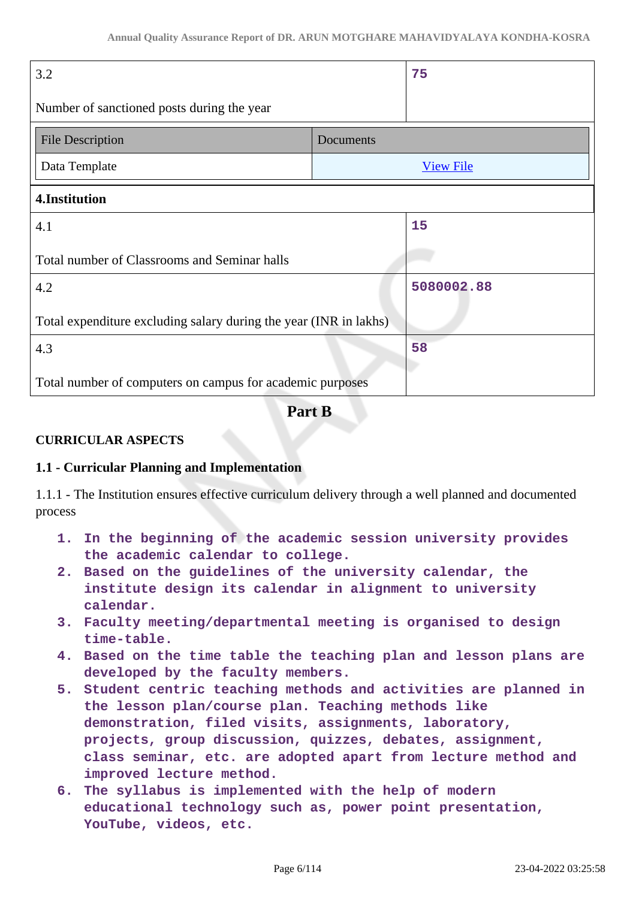| 3.2                                                               |           | 75               |
|-------------------------------------------------------------------|-----------|------------------|
| Number of sanctioned posts during the year                        |           |                  |
| <b>File Description</b>                                           | Documents |                  |
| Data Template                                                     |           | <b>View File</b> |
| 4.Institution                                                     |           |                  |
| 4.1                                                               |           | 15               |
| Total number of Classrooms and Seminar halls                      |           |                  |
| 4.2                                                               |           | 5080002.88       |
| Total expenditure excluding salary during the year (INR in lakhs) |           |                  |
| 4.3                                                               |           | 58               |
| Total number of computers on campus for academic purposes         |           |                  |

**Part B**

### **CURRICULAR ASPECTS**

#### **1.1 - Curricular Planning and Implementation**

1.1.1 - The Institution ensures effective curriculum delivery through a well planned and documented process

- **1. In the beginning of the academic session university provides the academic calendar to college.**
- **2. Based on the guidelines of the university calendar, the institute design its calendar in alignment to university calendar.**
- **3. Faculty meeting/departmental meeting is organised to design time-table.**
- **4. Based on the time table the teaching plan and lesson plans are developed by the faculty members.**
- **5. Student centric teaching methods and activities are planned in the lesson plan/course plan. Teaching methods like demonstration, filed visits, assignments, laboratory, projects, group discussion, quizzes, debates, assignment, class seminar, etc. are adopted apart from lecture method and improved lecture method.**
- **6. The syllabus is implemented with the help of modern educational technology such as, power point presentation, YouTube, videos, etc.**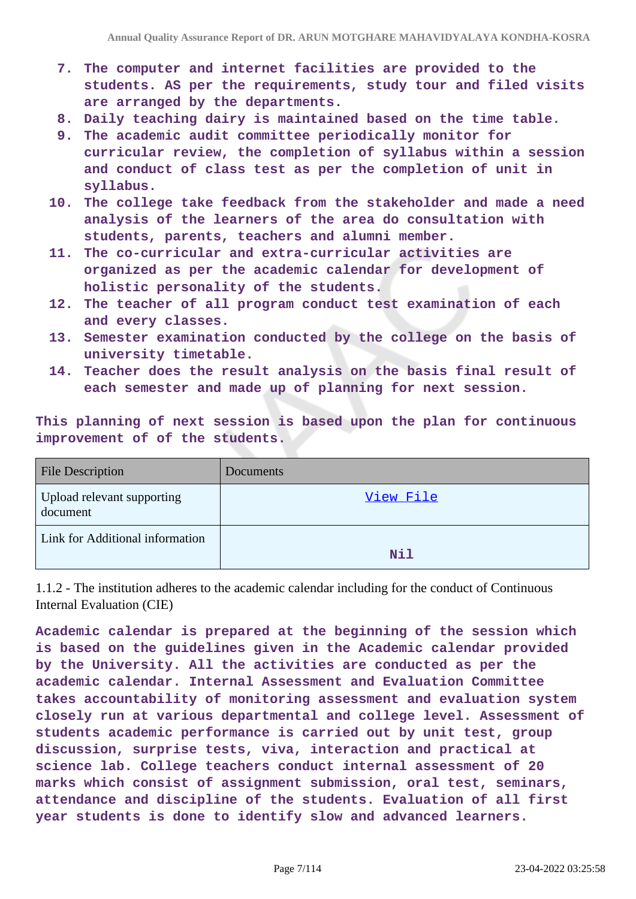- **7. The computer and internet facilities are provided to the students. AS per the requirements, study tour and filed visits are arranged by the departments.**
- **8. Daily teaching dairy is maintained based on the time table.**
- **9. The academic audit committee periodically monitor for curricular review, the completion of syllabus within a session and conduct of class test as per the completion of unit in syllabus.**
- **10. The college take feedback from the stakeholder and made a need analysis of the learners of the area do consultation with students, parents, teachers and alumni member.**
- **11. The co-curricular and extra-curricular activities are organized as per the academic calendar for development of holistic personality of the students.**
- **12. The teacher of all program conduct test examination of each and every classes.**
- **13. Semester examination conducted by the college on the basis of university timetable.**
- **14. Teacher does the result analysis on the basis final result of each semester and made up of planning for next session.**

**This planning of next session is based upon the plan for continuous improvement of of the students.**

| <b>File Description</b>                | Documents |
|----------------------------------------|-----------|
| Upload relevant supporting<br>document | View File |
| Link for Additional information        | Nil       |

1.1.2 - The institution adheres to the academic calendar including for the conduct of Continuous Internal Evaluation (CIE)

**Academic calendar is prepared at the beginning of the session which is based on the guidelines given in the Academic calendar provided by the University. All the activities are conducted as per the academic calendar. Internal Assessment and Evaluation Committee takes accountability of monitoring assessment and evaluation system closely run at various departmental and college level. Assessment of students academic performance is carried out by unit test, group discussion, surprise tests, viva, interaction and practical at science lab. College teachers conduct internal assessment of 20 marks which consist of assignment submission, oral test, seminars, attendance and discipline of the students. Evaluation of all first year students is done to identify slow and advanced learners.**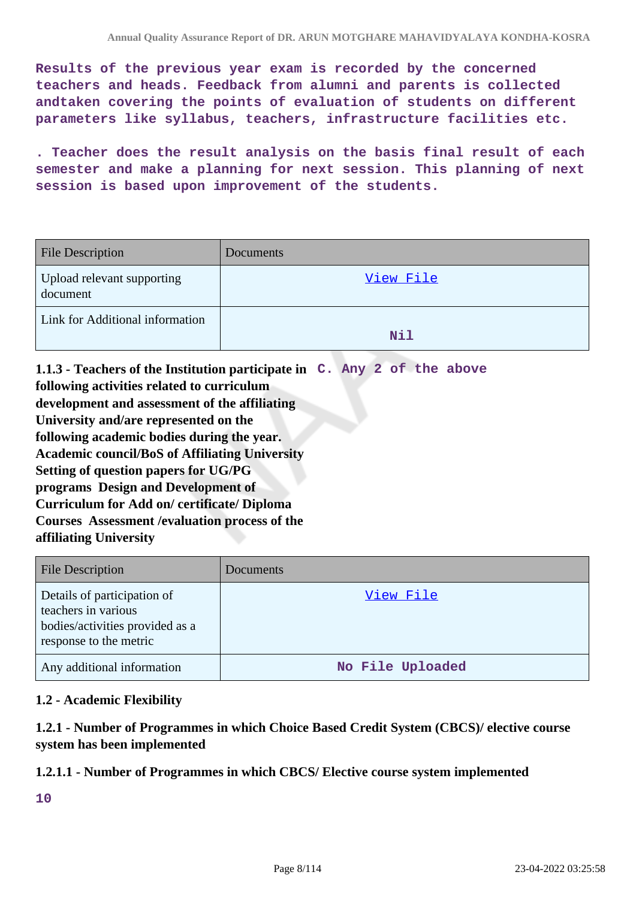**Results of the previous year exam is recorded by the concerned teachers and heads. Feedback from alumni and parents is collected andtaken covering the points of evaluation of students on different parameters like syllabus, teachers, infrastructure facilities etc.**

**. Teacher does the result analysis on the basis final result of each semester and make a planning for next session. This planning of next session is based upon improvement of the students.**

| <b>File Description</b>                | Documents |
|----------------------------------------|-----------|
| Upload relevant supporting<br>document | View File |
| Link for Additional information        | Nil       |

**1.1.3 - Teachers of the Institution participate in C. Any 2 of the above following activities related to curriculum development and assessment of the affiliating University and/are represented on the following academic bodies during the year. Academic council/BoS of Affiliating University Setting of question papers for UG/PG programs Design and Development of Curriculum for Add on/ certificate/ Diploma Courses Assessment /evaluation process of the affiliating University**

| <b>File Description</b>                                                                                         | <b>Documents</b> |
|-----------------------------------------------------------------------------------------------------------------|------------------|
| Details of participation of<br>teachers in various<br>bodies/activities provided as a<br>response to the metric | View File        |
| Any additional information                                                                                      | No File Uploaded |

### **1.2 - Academic Flexibility**

**1.2.1 - Number of Programmes in which Choice Based Credit System (CBCS)/ elective course system has been implemented**

#### **1.2.1.1 - Number of Programmes in which CBCS/ Elective course system implemented**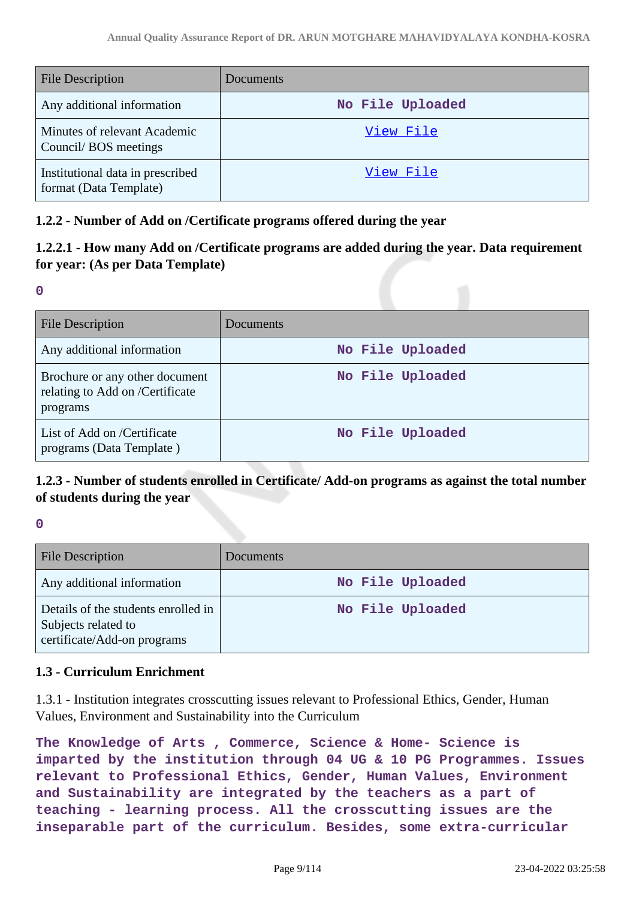| <b>File Description</b>                                    | Documents        |
|------------------------------------------------------------|------------------|
| Any additional information                                 | No File Uploaded |
| Minutes of relevant Academic<br>Council/BOS meetings       | View File        |
| Institutional data in prescribed<br>format (Data Template) | View File        |

### **1.2.2 - Number of Add on /Certificate programs offered during the year**

# **1.2.2.1 - How many Add on /Certificate programs are added during the year. Data requirement for year: (As per Data Template)**

**0**

| <b>File Description</b>                                                       | <b>Documents</b> |
|-------------------------------------------------------------------------------|------------------|
| Any additional information                                                    | No File Uploaded |
| Brochure or any other document<br>relating to Add on /Certificate<br>programs | No File Uploaded |
| List of Add on /Certificate<br>programs (Data Template)                       | No File Uploaded |

# **1.2.3 - Number of students enrolled in Certificate/ Add-on programs as against the total number of students during the year**

**0**

| <b>File Description</b>                                                                   | Documents        |
|-------------------------------------------------------------------------------------------|------------------|
| Any additional information                                                                | No File Uploaded |
| Details of the students enrolled in<br>Subjects related to<br>certificate/Add-on programs | No File Uploaded |

### **1.3 - Curriculum Enrichment**

1.3.1 - Institution integrates crosscutting issues relevant to Professional Ethics, Gender, Human Values, Environment and Sustainability into the Curriculum

**The Knowledge of Arts , Commerce, Science & Home- Science is imparted by the institution through 04 UG & 10 PG Programmes. Issues relevant to Professional Ethics, Gender, Human Values, Environment and Sustainability are integrated by the teachers as a part of teaching - learning process. All the crosscutting issues are the inseparable part of the curriculum. Besides, some extra-curricular**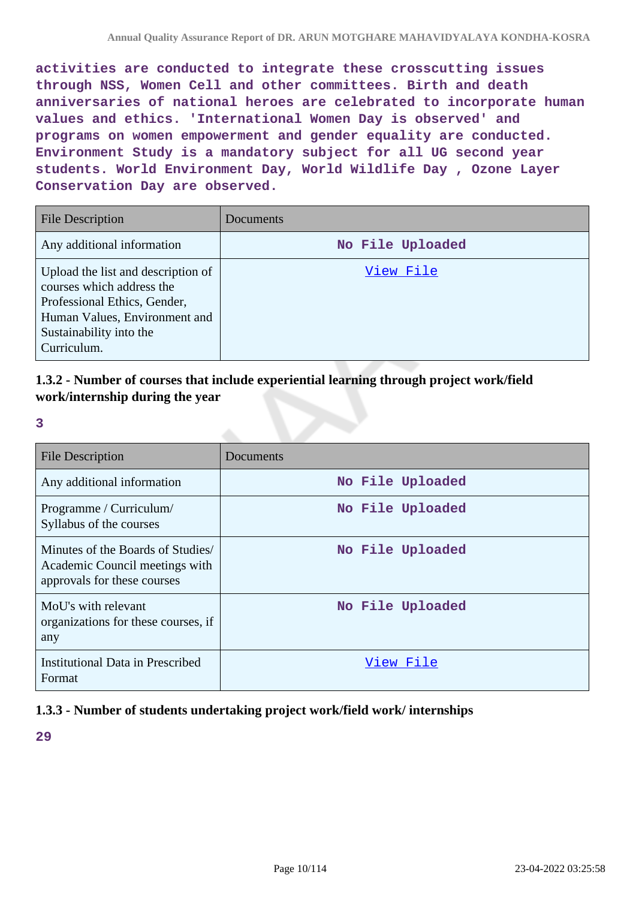**activities are conducted to integrate these crosscutting issues through NSS, Women Cell and other committees. Birth and death anniversaries of national heroes are celebrated to incorporate human values and ethics. 'International Women Day is observed' and programs on women empowerment and gender equality are conducted. Environment Study is a mandatory subject for all UG second year students. World Environment Day, World Wildlife Day , Ozone Layer Conservation Day are observed.**

| <b>File Description</b>                                                                                                                                                    | Documents        |
|----------------------------------------------------------------------------------------------------------------------------------------------------------------------------|------------------|
| Any additional information                                                                                                                                                 | No File Uploaded |
| Upload the list and description of<br>courses which address the<br>Professional Ethics, Gender,<br>Human Values, Environment and<br>Sustainability into the<br>Curriculum. | View File        |

# **1.3.2 - Number of courses that include experiential learning through project work/field work/internship during the year**

**3**

| <b>File Description</b>                                                                            | Documents        |
|----------------------------------------------------------------------------------------------------|------------------|
| Any additional information                                                                         | No File Uploaded |
| Programme / Curriculum/<br>Syllabus of the courses                                                 | No File Uploaded |
| Minutes of the Boards of Studies/<br>Academic Council meetings with<br>approvals for these courses | No File Uploaded |
| MoU's with relevant<br>organizations for these courses, if<br>any                                  | No File Uploaded |
| <b>Institutional Data in Prescribed</b><br>Format                                                  | View File        |

# **1.3.3 - Number of students undertaking project work/field work/ internships**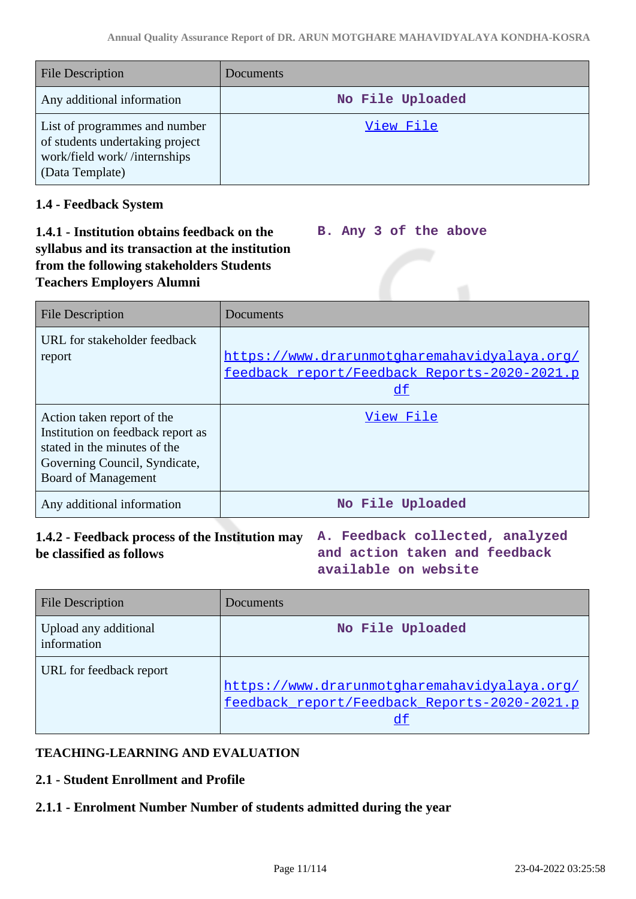| <b>File Description</b>                                                                                             | Documents        |
|---------------------------------------------------------------------------------------------------------------------|------------------|
| Any additional information                                                                                          | No File Uploaded |
| List of programmes and number<br>of students undertaking project<br>work/field work//internships<br>(Data Template) | View File        |

### **1.4 - Feedback System**

#### **1.4.1 - Institution obtains feedback on the syllabus and its transaction at the institution from the following stakeholders Students Teachers Employers Alumni B. Any 3 of the above**

| <b>File Description</b>                                                                                                                                        | Documents                                                                                    |  |  |  |
|----------------------------------------------------------------------------------------------------------------------------------------------------------------|----------------------------------------------------------------------------------------------|--|--|--|
| URL for stakeholder feedback<br>report                                                                                                                         | https://www.drarunmotgharemahavidyalaya.org/<br>feedback report/Feedback Reports-2020-2021.p |  |  |  |
|                                                                                                                                                                | df                                                                                           |  |  |  |
| Action taken report of the<br>Institution on feedback report as<br>stated in the minutes of the<br>Governing Council, Syndicate,<br><b>Board of Management</b> | View File                                                                                    |  |  |  |
| Any additional information                                                                                                                                     | No File Uploaded                                                                             |  |  |  |

# **1.4.2 - Feedback process of the Institution may A. Feedback collected, analyzed be classified as follows**

**and action taken and feedback available on website**

| <b>File Description</b>              | Documents                                    |
|--------------------------------------|----------------------------------------------|
| Upload any additional<br>information | No File Uploaded                             |
| URL for feedback report              |                                              |
|                                      | https://www.drarunmotgharemahavidyalaya.org/ |
|                                      | feedback report/Feedback Reports-2020-2021.p |
|                                      | df                                           |

# **TEACHING-LEARNING AND EVALUATION**

# **2.1 - Student Enrollment and Profile**

# **2.1.1 - Enrolment Number Number of students admitted during the year**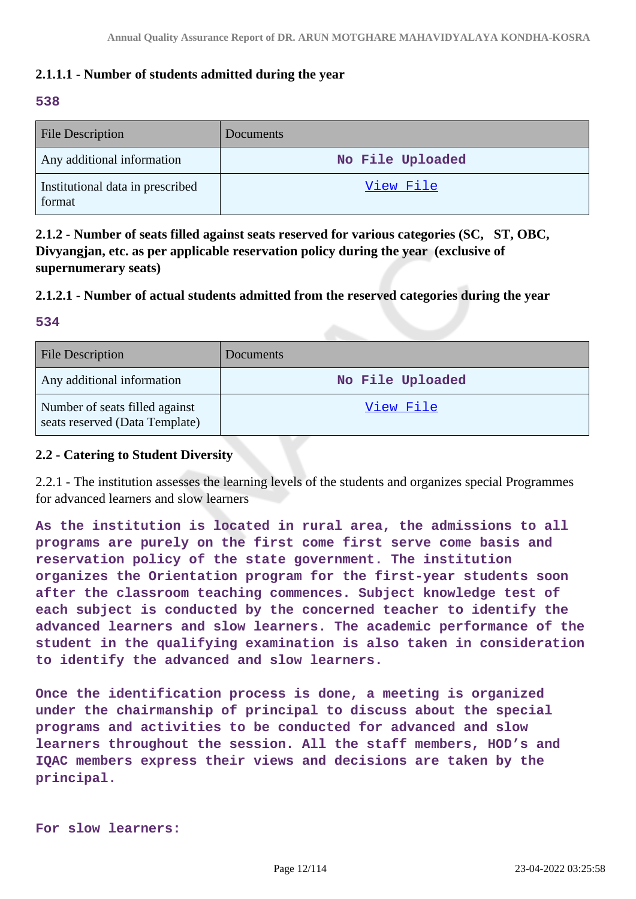### **2.1.1.1 - Number of students admitted during the year**

#### **538**

| <b>File Description</b>                    | <b>Documents</b> |
|--------------------------------------------|------------------|
| Any additional information                 | No File Uploaded |
| Institutional data in prescribed<br>format | View File        |

**2.1.2 - Number of seats filled against seats reserved for various categories (SC, ST, OBC, Divyangjan, etc. as per applicable reservation policy during the year (exclusive of supernumerary seats)**

### **2.1.2.1 - Number of actual students admitted from the reserved categories during the year**

#### **534**

| <b>File Description</b>                                          | <b>Documents</b> |
|------------------------------------------------------------------|------------------|
| Any additional information                                       | No File Uploaded |
| Number of seats filled against<br>seats reserved (Data Template) | View File        |

#### **2.2 - Catering to Student Diversity**

2.2.1 - The institution assesses the learning levels of the students and organizes special Programmes for advanced learners and slow learners

**As the institution is located in rural area, the admissions to all programs are purely on the first come first serve come basis and reservation policy of the state government. The institution organizes the Orientation program for the first-year students soon after the classroom teaching commences. Subject knowledge test of each subject is conducted by the concerned teacher to identify the advanced learners and slow learners. The academic performance of the student in the qualifying examination is also taken in consideration to identify the advanced and slow learners.**

**Once the identification process is done, a meeting is organized under the chairmanship of principal to discuss about the special programs and activities to be conducted for advanced and slow learners throughout the session. All the staff members, HOD's and IQAC members express their views and decisions are taken by the principal.**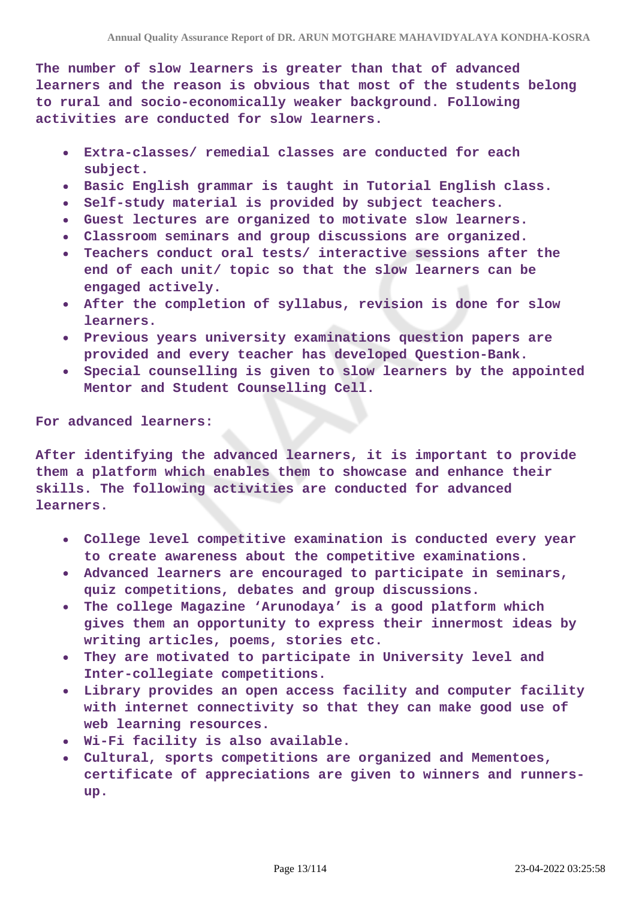**The number of slow learners is greater than that of advanced learners and the reason is obvious that most of the students belong to rural and socio-economically weaker background. Following activities are conducted for slow learners.**

- **Extra-classes/ remedial classes are conducted for each subject.**
- **Basic English grammar is taught in Tutorial English class.**
- **Self-study material is provided by subject teachers.**
- **Guest lectures are organized to motivate slow learners.**
- **Classroom seminars and group discussions are organized.**
- **Teachers conduct oral tests/ interactive sessions after the**  $\bullet$ **end of each unit/ topic so that the slow learners can be engaged actively.**
- **After the completion of syllabus, revision is done for slow learners.**
- **Previous years university examinations question papers are provided and every teacher has developed Question-Bank.**
- **Special counselling is given to slow learners by the appointed Mentor and Student Counselling Cell.**

#### **For advanced learners:**

**After identifying the advanced learners, it is important to provide them a platform which enables them to showcase and enhance their skills. The following activities are conducted for advanced learners.**

- **College level competitive examination is conducted every year to create awareness about the competitive examinations.**
- **Advanced learners are encouraged to participate in seminars, quiz competitions, debates and group discussions.**
- **The college Magazine 'Arunodaya' is a good platform which**  $\bullet$ **gives them an opportunity to express their innermost ideas by writing articles, poems, stories etc.**
- **They are motivated to participate in University level and Inter-collegiate competitions.**
- **Library provides an open access facility and computer facility with internet connectivity so that they can make good use of web learning resources.**
- **Wi-Fi facility is also available.**
- **Cultural, sports competitions are organized and Mementoes, certificate of appreciations are given to winners and runnersup.**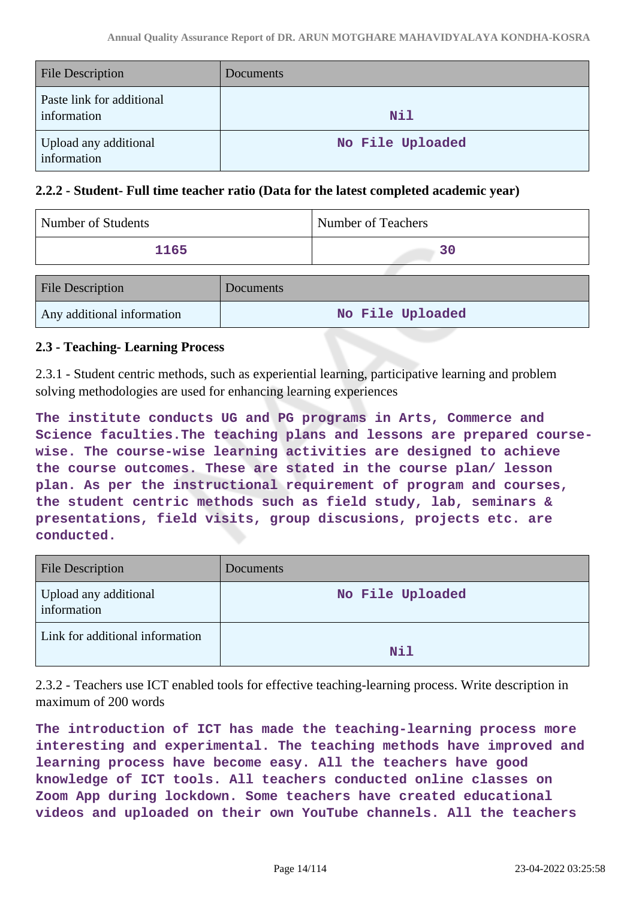| <b>File Description</b>                  | <b>Documents</b> |
|------------------------------------------|------------------|
| Paste link for additional<br>information | Nil              |
| Upload any additional<br>information     | No File Uploaded |

### **2.2.2 - Student- Full time teacher ratio (Data for the latest completed academic year)**

| Number of Students         |           | Number of Teachers |
|----------------------------|-----------|--------------------|
| 1165                       |           | 30                 |
| <b>File Description</b>    | Documents |                    |
| Any additional information |           | No File Uploaded   |

#### **2.3 - Teaching- Learning Process**

2.3.1 - Student centric methods, such as experiential learning, participative learning and problem solving methodologies are used for enhancing learning experiences

**The institute conducts UG and PG programs in Arts, Commerce and Science faculties.The teaching plans and lessons are prepared coursewise. The course-wise learning activities are designed to achieve the course outcomes. These are stated in the course plan/ lesson plan. As per the instructional requirement of program and courses, the student centric methods such as field study, lab, seminars & presentations, field visits, group discusions, projects etc. are conducted.**

| <b>File Description</b>              | <b>Documents</b> |
|--------------------------------------|------------------|
| Upload any additional<br>information | No File Uploaded |
| Link for additional information      | Nil              |

2.3.2 - Teachers use ICT enabled tools for effective teaching-learning process. Write description in maximum of 200 words

**The introduction of ICT has made the teaching-learning process more interesting and experimental. The teaching methods have improved and learning process have become easy. All the teachers have good knowledge of ICT tools. All teachers conducted online classes on Zoom App during lockdown. Some teachers have created educational videos and uploaded on their own YouTube channels. All the teachers**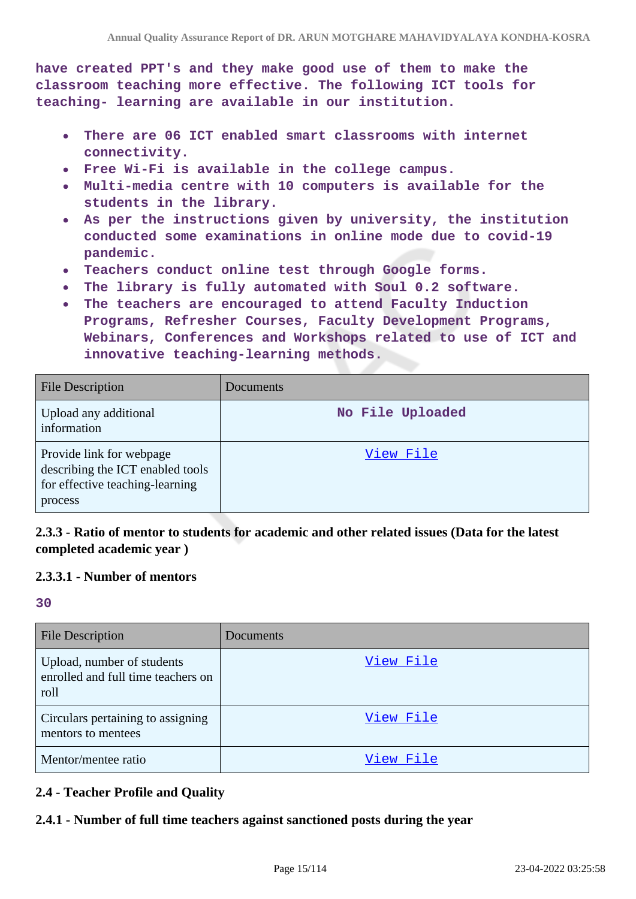**have created PPT's and they make good use of them to make the classroom teaching more effective. The following ICT tools for teaching- learning are available in our institution.**

- **There are 06 ICT enabled smart classrooms with internet**  $\bullet$ **connectivity.**
- **Free Wi-Fi is available in the college campus.**
- **Multi-media centre with 10 computers is available for the students in the library.**
- **As per the instructions given by university, the institution**  $\bullet$ **conducted some examinations in online mode due to covid-19 pandemic.**
- **Teachers conduct online test through Google forms.**
- **The library is fully automated with Soul 0.2 software.**
- **The teachers are encouraged to attend Faculty Induction**  $\bullet$ **Programs, Refresher Courses, Faculty Development Programs, Webinars, Conferences and Workshops related to use of ICT and innovative teaching-learning methods.**

| <b>File Description</b>                                                                                    | Documents        |
|------------------------------------------------------------------------------------------------------------|------------------|
| Upload any additional<br>information                                                                       | No File Uploaded |
| Provide link for webpage<br>describing the ICT enabled tools<br>for effective teaching-learning<br>process | View File        |

### **2.3.3 - Ratio of mentor to students for academic and other related issues (Data for the latest completed academic year )**

#### **2.3.3.1 - Number of mentors**

**30**

| <b>File Description</b>                                                  | Documents |
|--------------------------------------------------------------------------|-----------|
| Upload, number of students<br>enrolled and full time teachers on<br>roll | View File |
| Circulars pertaining to assigning<br>mentors to mentees                  | View File |
| Mentor/mentee ratio                                                      | View File |

### **2.4 - Teacher Profile and Quality**

#### **2.4.1 - Number of full time teachers against sanctioned posts during the year**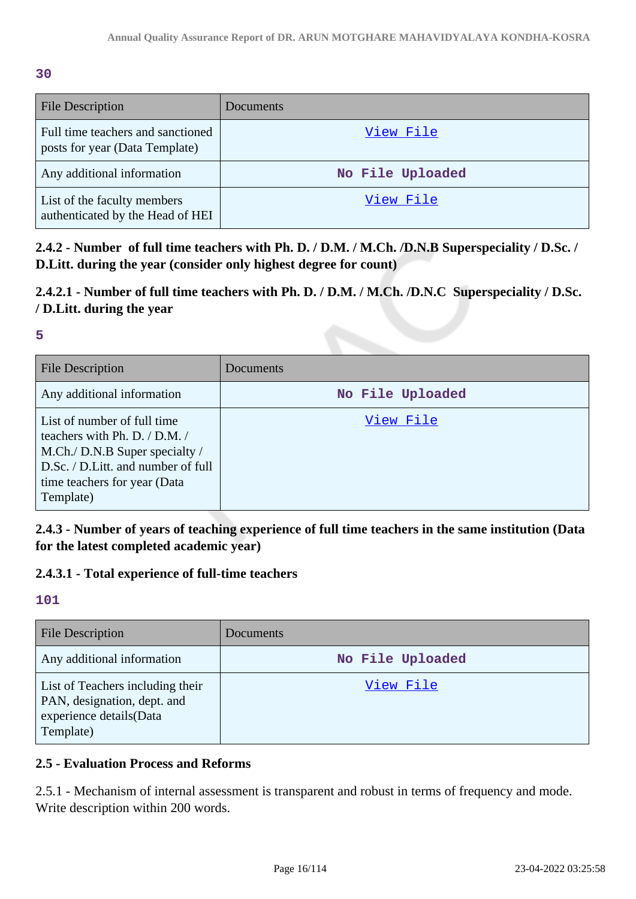#### **30**

| <b>File Description</b>                                             | Documents        |
|---------------------------------------------------------------------|------------------|
| Full time teachers and sanctioned<br>posts for year (Data Template) | View File        |
| Any additional information                                          | No File Uploaded |
| List of the faculty members<br>authenticated by the Head of HEI     | View File        |

**2.4.2 - Number of full time teachers with Ph. D. / D.M. / M.Ch. /D.N.B Superspeciality / D.Sc. / D.Litt. during the year (consider only highest degree for count)**

# **2.4.2.1 - Number of full time teachers with Ph. D. / D.M. / M.Ch. /D.N.C Superspeciality / D.Sc. / D.Litt. during the year**

### **5**

| <b>File Description</b>                                                                                                                                                            | Documents        |
|------------------------------------------------------------------------------------------------------------------------------------------------------------------------------------|------------------|
| Any additional information                                                                                                                                                         | No File Uploaded |
| List of number of full time<br>teachers with Ph. D. / D.M. /<br>M.Ch./ D.N.B Super specialty /<br>D.Sc. / D.Litt. and number of full<br>time teachers for year (Data)<br>Template) | View File        |

**2.4.3 - Number of years of teaching experience of full time teachers in the same institution (Data for the latest completed academic year)**

# **2.4.3.1 - Total experience of full-time teachers**

### **101**

| <b>File Description</b>                                                                                 | <b>Documents</b> |
|---------------------------------------------------------------------------------------------------------|------------------|
| Any additional information                                                                              | No File Uploaded |
| List of Teachers including their<br>PAN, designation, dept. and<br>experience details(Data<br>Template) | View File        |

# **2.5 - Evaluation Process and Reforms**

2.5.1 - Mechanism of internal assessment is transparent and robust in terms of frequency and mode. Write description within 200 words.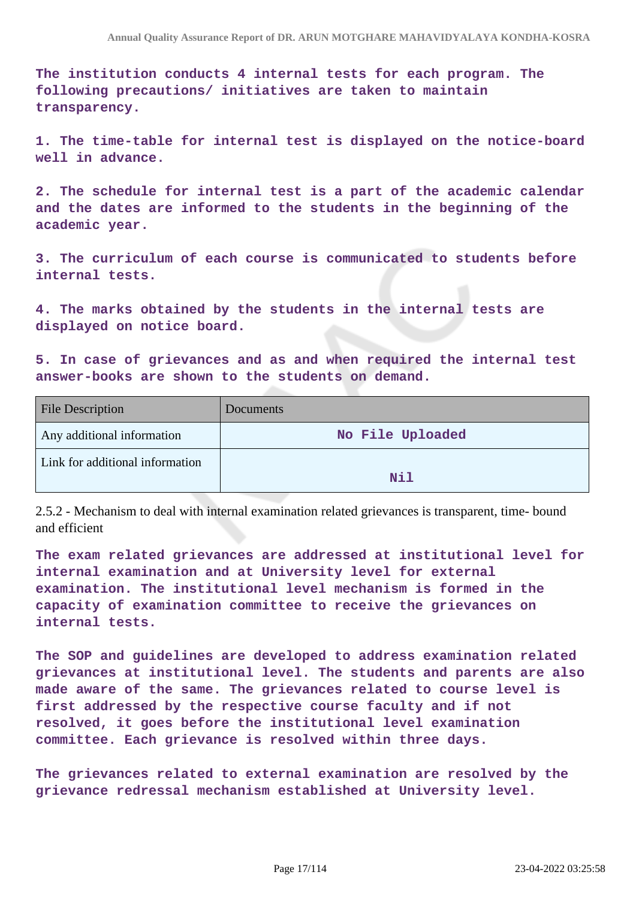**The institution conducts 4 internal tests for each program. The following precautions/ initiatives are taken to maintain transparency.**

**1. The time-table for internal test is displayed on the notice-board well in advance.**

**2. The schedule for internal test is a part of the academic calendar and the dates are informed to the students in the beginning of the academic year.**

**3. The curriculum of each course is communicated to students before internal tests.**

**4. The marks obtained by the students in the internal tests are displayed on notice board.**

**5. In case of grievances and as and when required the internal test answer-books are shown to the students on demand.**

| <b>File Description</b>         | <b>Documents</b> |
|---------------------------------|------------------|
| Any additional information      | No File Uploaded |
| Link for additional information | Nil              |

2.5.2 - Mechanism to deal with internal examination related grievances is transparent, time- bound and efficient

**The exam related grievances are addressed at institutional level for internal examination and at University level for external examination. The institutional level mechanism is formed in the capacity of examination committee to receive the grievances on internal tests.**

**The SOP and guidelines are developed to address examination related grievances at institutional level. The students and parents are also made aware of the same. The grievances related to course level is first addressed by the respective course faculty and if not resolved, it goes before the institutional level examination committee. Each grievance is resolved within three days.**

**The grievances related to external examination are resolved by the grievance redressal mechanism established at University level.**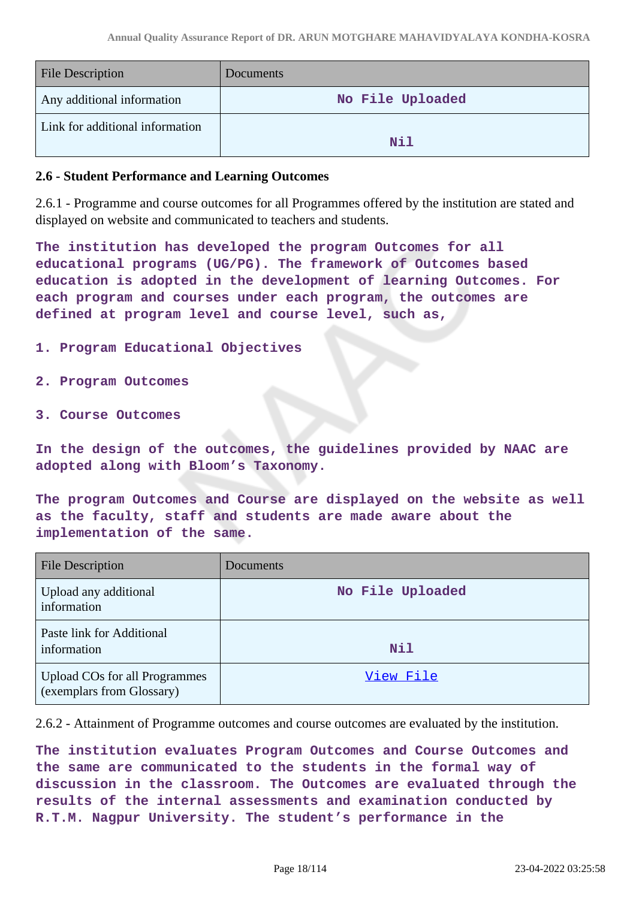| <b>File Description</b>         | <b>Documents</b> |
|---------------------------------|------------------|
| Any additional information      | No File Uploaded |
| Link for additional information | Nil              |

#### **2.6 - Student Performance and Learning Outcomes**

2.6.1 - Programme and course outcomes for all Programmes offered by the institution are stated and displayed on website and communicated to teachers and students.

**The institution has developed the program Outcomes for all educational programs (UG/PG). The framework of Outcomes based education is adopted in the development of learning Outcomes. For each program and courses under each program, the outcomes are defined at program level and course level, such as,**

- **1. Program Educational Objectives**
- **2. Program Outcomes**
- **3. Course Outcomes**

**In the design of the outcomes, the guidelines provided by NAAC are adopted along with Bloom's Taxonomy.**

**The program Outcomes and Course are displayed on the website as well as the faculty, staff and students are made aware about the implementation of the same.**

| <b>File Description</b>                                           | Documents        |
|-------------------------------------------------------------------|------------------|
| Upload any additional<br>information                              | No File Uploaded |
| Paste link for Additional<br>information                          | <b>Nil</b>       |
| <b>Upload COs for all Programmes</b><br>(exemplars from Glossary) | View File        |

2.6.2 - Attainment of Programme outcomes and course outcomes are evaluated by the institution.

**The institution evaluates Program Outcomes and Course Outcomes and the same are communicated to the students in the formal way of discussion in the classroom. The Outcomes are evaluated through the results of the internal assessments and examination conducted by R.T.M. Nagpur University. The student's performance in the**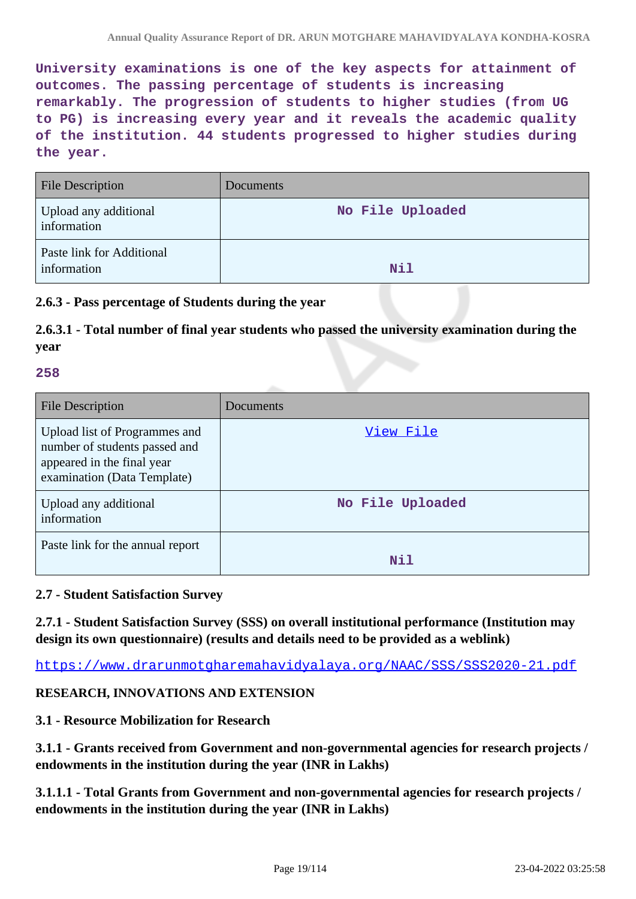**University examinations is one of the key aspects for attainment of outcomes. The passing percentage of students is increasing remarkably. The progression of students to higher studies (from UG to PG) is increasing every year and it reveals the academic quality of the institution. 44 students progressed to higher studies during the year.**

| <b>File Description</b>                  | <b>Documents</b> |
|------------------------------------------|------------------|
| Upload any additional<br>information     | No File Uploaded |
| Paste link for Additional<br>information | Nil              |

### **2.6.3 - Pass percentage of Students during the year**

# **2.6.3.1 - Total number of final year students who passed the university examination during the year**

#### **258**

| <b>File Description</b>                                                                                                     | Documents        |
|-----------------------------------------------------------------------------------------------------------------------------|------------------|
| Upload list of Programmes and<br>number of students passed and<br>appeared in the final year<br>examination (Data Template) | View File        |
| Upload any additional<br>information                                                                                        | No File Uploaded |
| Paste link for the annual report                                                                                            | Nil              |

#### **2.7 - Student Satisfaction Survey**

**2.7.1 - Student Satisfaction Survey (SSS) on overall institutional performance (Institution may design its own questionnaire) (results and details need to be provided as a weblink)**

https://www.drarunmotgharemahavidyalaya.org/NAAC/SSS/SSS2020-21.pdf

#### **RESEARCH, INNOVATIONS AND EXTENSION**

### **3.1 - Resource Mobilization for Research**

**3.1.1 - Grants received from Government and non-governmental agencies for research projects / endowments in the institution during the year (INR in Lakhs)**

**3.1.1.1 - Total Grants from Government and non-governmental agencies for research projects / endowments in the institution during the year (INR in Lakhs)**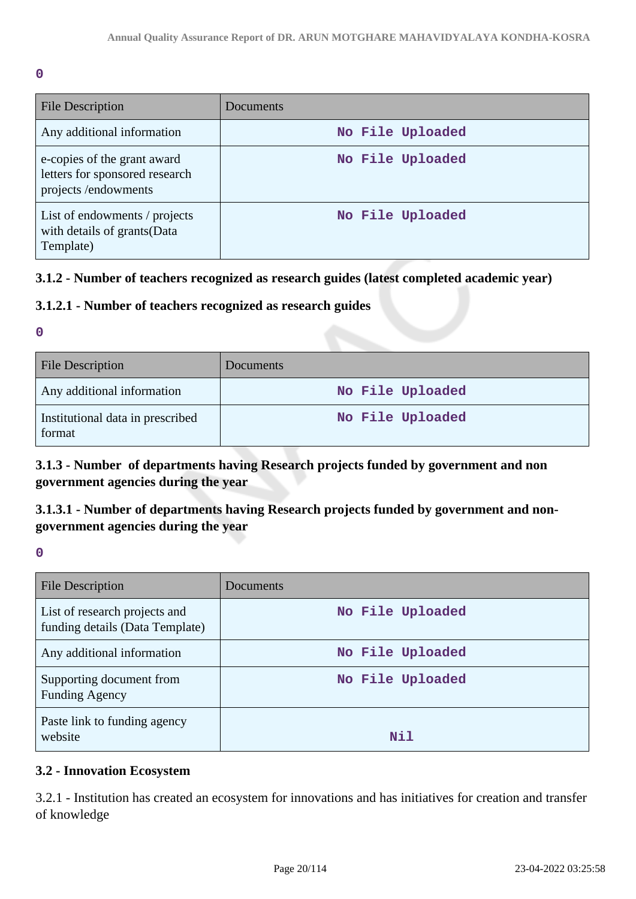**0**

| <b>File Description</b>                                                              | Documents        |
|--------------------------------------------------------------------------------------|------------------|
| Any additional information                                                           | No File Uploaded |
| e-copies of the grant award<br>letters for sponsored research<br>projects/endowments | No File Uploaded |
| List of endowments / projects<br>with details of grants (Data<br>Template)           | No File Uploaded |

### **3.1.2 - Number of teachers recognized as research guides (latest completed academic year)**

### **3.1.2.1 - Number of teachers recognized as research guides**

**0**

| <b>File Description</b>                    | <b>Documents</b> |
|--------------------------------------------|------------------|
| Any additional information                 | No File Uploaded |
| Institutional data in prescribed<br>format | No File Uploaded |

**3.1.3 - Number of departments having Research projects funded by government and non government agencies during the year**

# **3.1.3.1 - Number of departments having Research projects funded by government and nongovernment agencies during the year**

**0**

| File Description                                                 | Documents        |
|------------------------------------------------------------------|------------------|
| List of research projects and<br>funding details (Data Template) | No File Uploaded |
| Any additional information                                       | No File Uploaded |
| Supporting document from<br><b>Funding Agency</b>                | No File Uploaded |
| Paste link to funding agency<br>website                          | Nil              |

### **3.2 - Innovation Ecosystem**

3.2.1 - Institution has created an ecosystem for innovations and has initiatives for creation and transfer of knowledge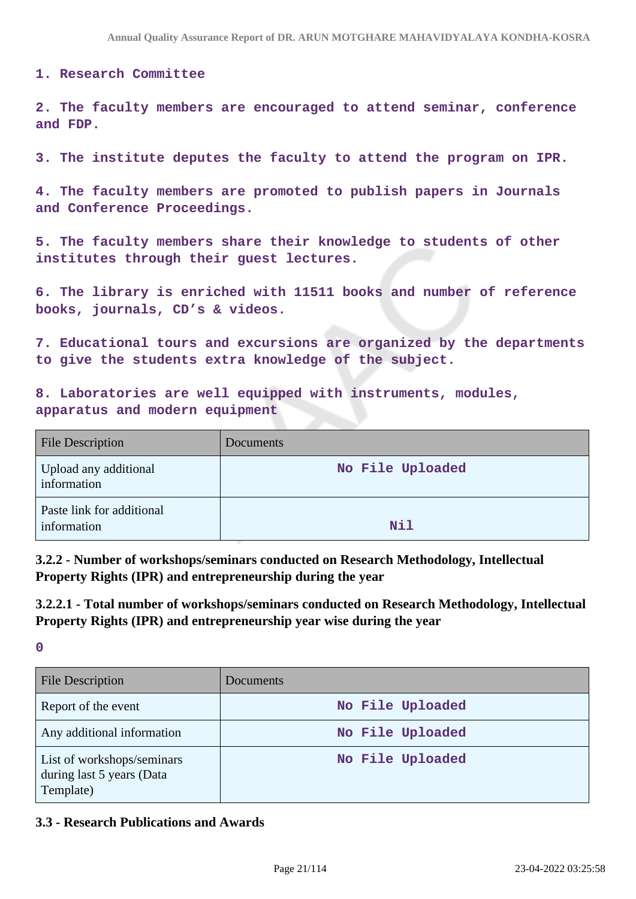#### **1. Research Committee**

**2. The faculty members are encouraged to attend seminar, conference and FDP.**

**3. The institute deputes the faculty to attend the program on IPR.**

**4. The faculty members are promoted to publish papers in Journals and Conference Proceedings.**

**5. The faculty members share their knowledge to students of other institutes through their guest lectures.**

**6. The library is enriched with 11511 books and number of reference books, journals, CD's & videos.**

**7. Educational tours and excursions are organized by the departments to give the students extra knowledge of the subject.**

**8. Laboratories are well equipped with instruments, modules, apparatus and modern equipment**

| <b>File Description</b>                  | Documents        |
|------------------------------------------|------------------|
| Upload any additional<br>information     | No File Uploaded |
| Paste link for additional<br>information | Nil              |

**3.2.2 - Number of workshops/seminars conducted on Research Methodology, Intellectual Property Rights (IPR) and entrepreneurship during the year**

**3.2.2.1 - Total number of workshops/seminars conducted on Research Methodology, Intellectual Property Rights (IPR) and entrepreneurship year wise during the year**

**0**

| <b>File Description</b>                                              | <b>Documents</b> |
|----------------------------------------------------------------------|------------------|
| Report of the event                                                  | No File Uploaded |
| Any additional information                                           | No File Uploaded |
| List of workshops/seminars<br>during last 5 years (Data<br>Template) | No File Uploaded |

#### **3.3 - Research Publications and Awards**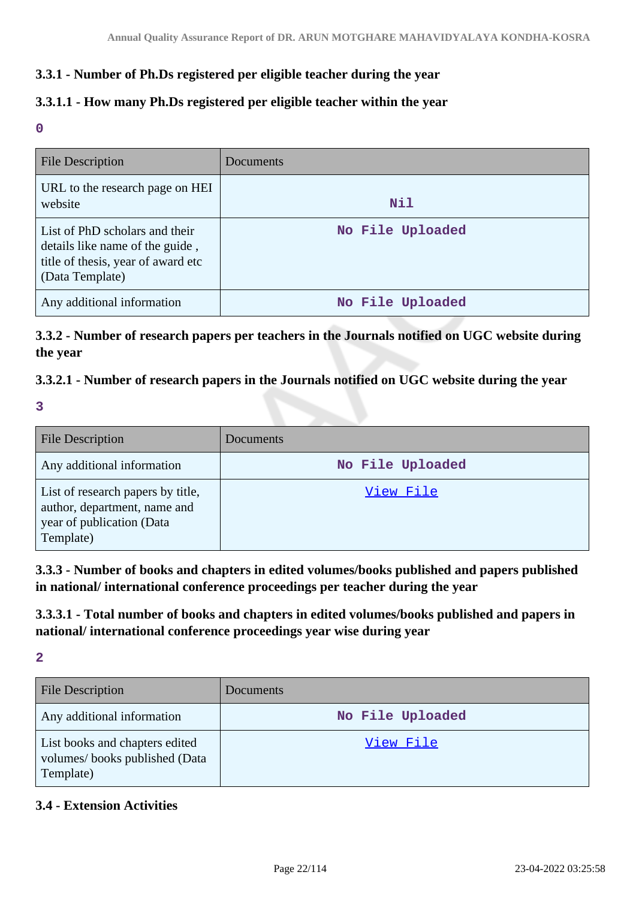### **3.3.1 - Number of Ph.Ds registered per eligible teacher during the year**

### **3.3.1.1 - How many Ph.Ds registered per eligible teacher within the year**

**0**

| <b>File Description</b>                                                                                                    | <b>Documents</b> |
|----------------------------------------------------------------------------------------------------------------------------|------------------|
| URL to the research page on HEI<br>website                                                                                 | Nil              |
| List of PhD scholars and their<br>details like name of the guide,<br>title of thesis, year of award etc<br>(Data Template) | No File Uploaded |
| Any additional information                                                                                                 | No File Uploaded |

**3.3.2 - Number of research papers per teachers in the Journals notified on UGC website during the year**

### **3.3.2.1 - Number of research papers in the Journals notified on UGC website during the year**

**3**

| <b>File Description</b>                                                                                     | Documents        |
|-------------------------------------------------------------------------------------------------------------|------------------|
| Any additional information                                                                                  | No File Uploaded |
| List of research papers by title,<br>author, department, name and<br>year of publication (Data<br>Template) | View File        |

**3.3.3 - Number of books and chapters in edited volumes/books published and papers published in national/ international conference proceedings per teacher during the year**

**3.3.3.1 - Total number of books and chapters in edited volumes/books published and papers in national/ international conference proceedings year wise during year**

**2**

| <b>File Description</b>                                                      | Documents        |
|------------------------------------------------------------------------------|------------------|
| Any additional information                                                   | No File Uploaded |
| List books and chapters edited<br>volumes/books published (Data<br>Template) | View File        |

### **3.4 - Extension Activities**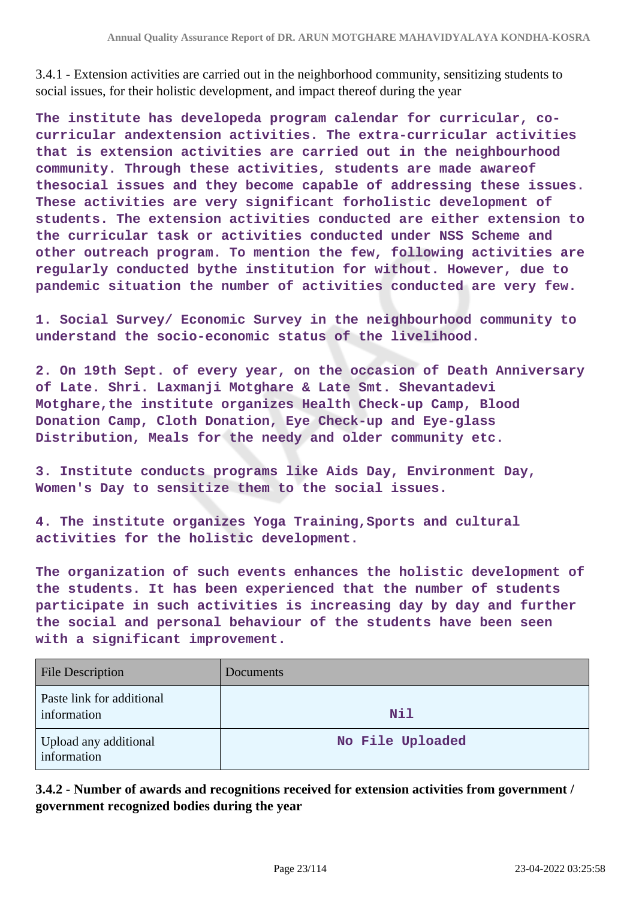3.4.1 - Extension activities are carried out in the neighborhood community, sensitizing students to social issues, for their holistic development, and impact thereof during the year

**The institute has developeda program calendar for curricular, cocurricular andextension activities. The extra-curricular activities that is extension activities are carried out in the neighbourhood community. Through these activities, students are made awareof thesocial issues and they become capable of addressing these issues. These activities are very significant forholistic development of students. The extension activities conducted are either extension to the curricular task or activities conducted under NSS Scheme and other outreach program. To mention the few, following activities are regularly conducted bythe institution for without. However, due to pandemic situation the number of activities conducted are very few.**

**1. Social Survey/ Economic Survey in the neighbourhood community to understand the socio-economic status of the livelihood.**

**2. On 19th Sept. of every year, on the occasion of Death Anniversary of Late. Shri. Laxmanji Motghare & Late Smt. Shevantadevi Motghare,the institute organizes Health Check-up Camp, Blood Donation Camp, Cloth Donation, Eye Check-up and Eye-glass Distribution, Meals for the needy and older community etc.**

**3. Institute conducts programs like Aids Day, Environment Day, Women's Day to sensitize them to the social issues.**

**4. The institute organizes Yoga Training,Sports and cultural activities for the holistic development.**

**The organization of such events enhances the holistic development of the students. It has been experienced that the number of students participate in such activities is increasing day by day and further the social and personal behaviour of the students have been seen with a significant improvement.**

| <b>File Description</b>                  | <b>Documents</b> |
|------------------------------------------|------------------|
| Paste link for additional<br>information | <b>Nil</b>       |
| Upload any additional<br>information     | No File Uploaded |

**3.4.2 - Number of awards and recognitions received for extension activities from government / government recognized bodies during the year**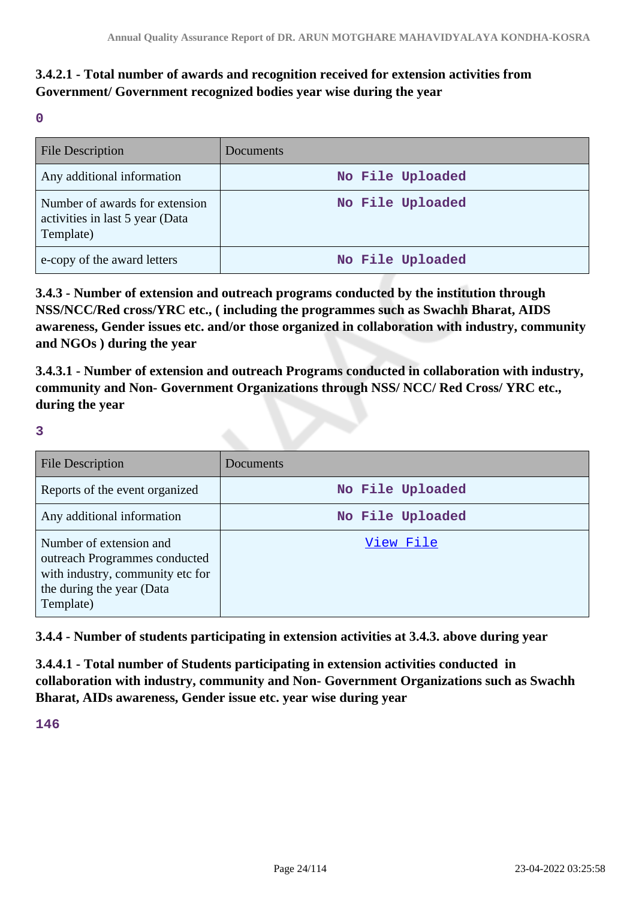# **3.4.2.1 - Total number of awards and recognition received for extension activities from Government/ Government recognized bodies year wise during the year**

**0**

| <b>File Description</b>                                                        | Documents        |
|--------------------------------------------------------------------------------|------------------|
| Any additional information                                                     | No File Uploaded |
| Number of awards for extension<br>activities in last 5 year (Data<br>Template) | No File Uploaded |
| e-copy of the award letters                                                    | No File Uploaded |

**3.4.3 - Number of extension and outreach programs conducted by the institution through NSS/NCC/Red cross/YRC etc., ( including the programmes such as Swachh Bharat, AIDS awareness, Gender issues etc. and/or those organized in collaboration with industry, community and NGOs ) during the year**

**3.4.3.1 - Number of extension and outreach Programs conducted in collaboration with industry, community and Non- Government Organizations through NSS/ NCC/ Red Cross/ YRC etc., during the year**

**3**

| <b>File Description</b>                                                                                                                | Documents        |
|----------------------------------------------------------------------------------------------------------------------------------------|------------------|
| Reports of the event organized                                                                                                         | No File Uploaded |
| Any additional information                                                                                                             | No File Uploaded |
| Number of extension and<br>outreach Programmes conducted<br>with industry, community etc for<br>the during the year (Data<br>Template) | View File        |

**3.4.4 - Number of students participating in extension activities at 3.4.3. above during year**

**3.4.4.1 - Total number of Students participating in extension activities conducted in collaboration with industry, community and Non- Government Organizations such as Swachh Bharat, AIDs awareness, Gender issue etc. year wise during year**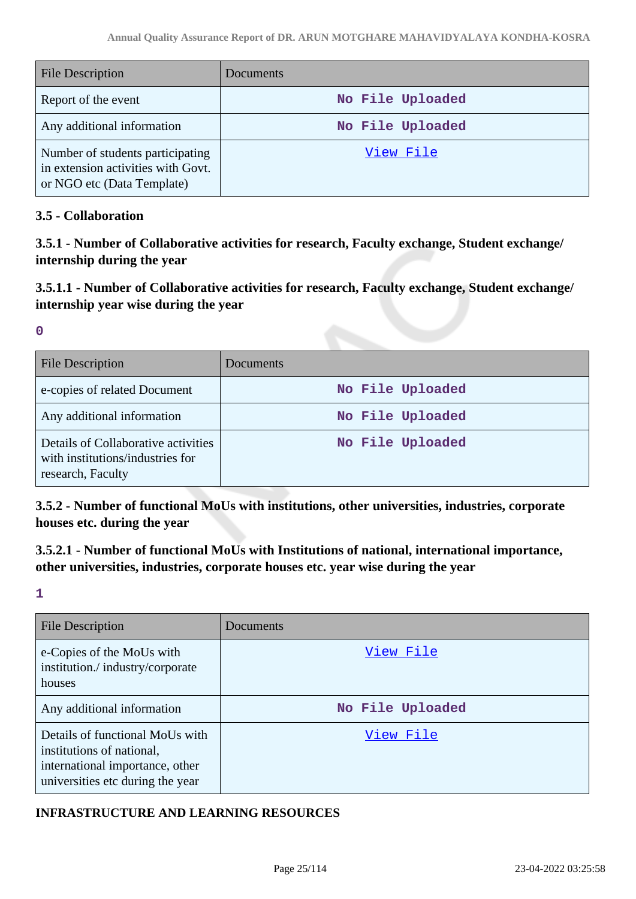| <b>File Description</b>                                                                              | Documents        |
|------------------------------------------------------------------------------------------------------|------------------|
| Report of the event                                                                                  | No File Uploaded |
| Any additional information                                                                           | No File Uploaded |
| Number of students participating<br>in extension activities with Govt.<br>or NGO etc (Data Template) | View File        |

### **3.5 - Collaboration**

**3.5.1 - Number of Collaborative activities for research, Faculty exchange, Student exchange/ internship during the year**

# **3.5.1.1 - Number of Collaborative activities for research, Faculty exchange, Student exchange/ internship year wise during the year**

**0**

| <b>File Description</b>                                                                      | Documents        |
|----------------------------------------------------------------------------------------------|------------------|
| e-copies of related Document                                                                 | No File Uploaded |
| Any additional information                                                                   | No File Uploaded |
| Details of Collaborative activities<br>with institutions/industries for<br>research, Faculty | No File Uploaded |

**3.5.2 - Number of functional MoUs with institutions, other universities, industries, corporate houses etc. during the year**

# **3.5.2.1 - Number of functional MoUs with Institutions of national, international importance, other universities, industries, corporate houses etc. year wise during the year**

**1**

| File Description                                                                                                                    | Documents        |
|-------------------------------------------------------------------------------------------------------------------------------------|------------------|
| e-Copies of the MoUs with<br>institution./industry/corporate<br>houses                                                              | View File        |
| Any additional information                                                                                                          | No File Uploaded |
| Details of functional MoUs with<br>institutions of national,<br>international importance, other<br>universities etc during the year | View File        |

### **INFRASTRUCTURE AND LEARNING RESOURCES**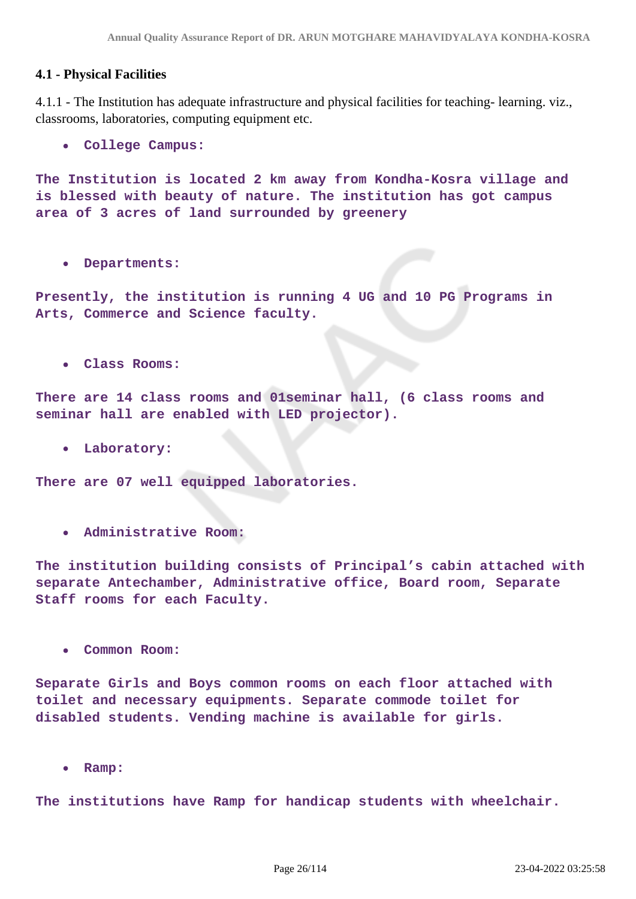### **4.1 - Physical Facilities**

4.1.1 - The Institution has adequate infrastructure and physical facilities for teaching- learning. viz., classrooms, laboratories, computing equipment etc.

**College Campus:**

**The Institution is located 2 km away from Kondha-Kosra village and is blessed with beauty of nature. The institution has got campus area of 3 acres of land surrounded by greenery**

**Departments:**

**Presently, the institution is running 4 UG and 10 PG Programs in Arts, Commerce and Science faculty.**

**Class Rooms:**

**There are 14 class rooms and 01seminar hall, (6 class rooms and seminar hall are enabled with LED projector).**

**Laboratory:**

**There are 07 well equipped laboratories.**

**Administrative Room:**

**The institution building consists of Principal's cabin attached with separate Antechamber, Administrative office, Board room, Separate Staff rooms for each Faculty.**

**Common Room:**

**Separate Girls and Boys common rooms on each floor attached with toilet and necessary equipments. Separate commode toilet for disabled students. Vending machine is available for girls.**

**Ramp:**  $\bullet$ 

**The institutions have Ramp for handicap students with wheelchair.**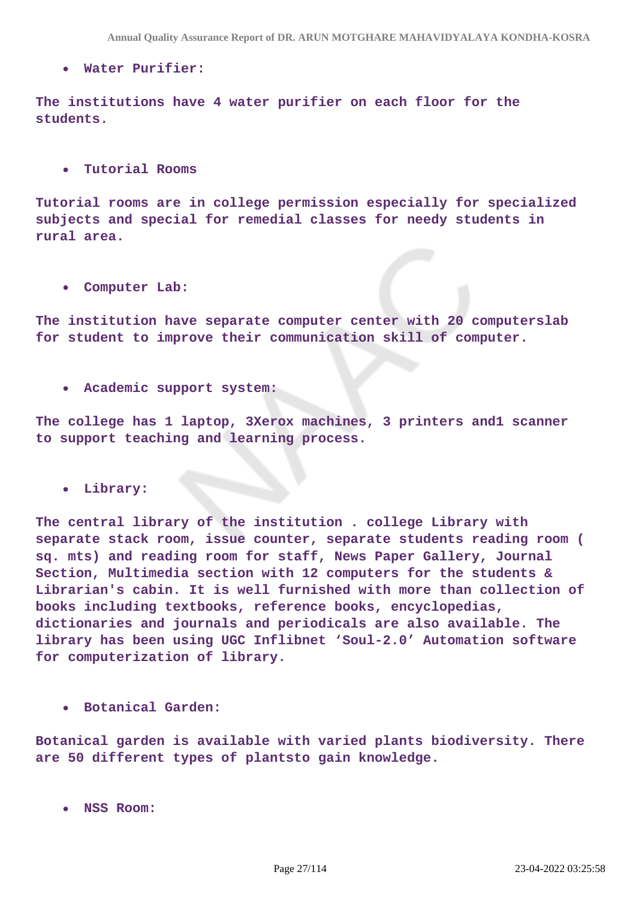**Water Purifier:**

**The institutions have 4 water purifier on each floor for the students.**

**Tutorial Rooms**

**Tutorial rooms are in college permission especially for specialized subjects and special for remedial classes for needy students in rural area.**

**Computer Lab:**

**The institution have separate computer center with 20 computerslab for student to improve their communication skill of computer.**

**Academic support system:**

**The college has 1 laptop, 3Xerox machines, 3 printers and1 scanner to support teaching and learning process.**

**Library:**

**The central library of the institution . college Library with separate stack room, issue counter, separate students reading room ( sq. mts) and reading room for staff, News Paper Gallery, Journal Section, Multimedia section with 12 computers for the students & Librarian's cabin. It is well furnished with more than collection of books including textbooks, reference books, encyclopedias, dictionaries and journals and periodicals are also available. The library has been using UGC Inflibnet 'Soul-2.0' Automation software for computerization of library.**

**Botanical Garden:**

**Botanical garden is available with varied plants biodiversity. There are 50 different types of plantsto gain knowledge.**

**NSS Room:**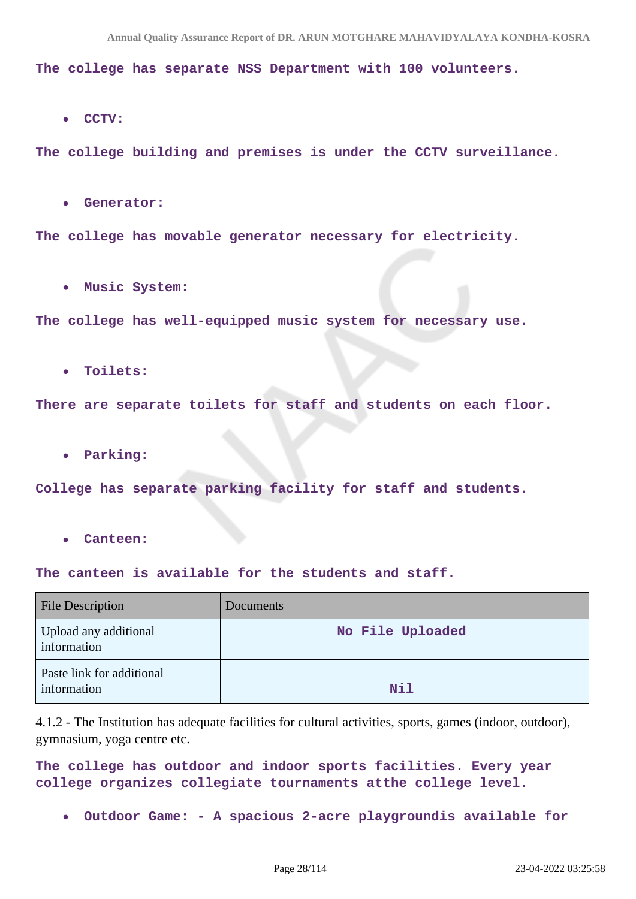**The college has separate NSS Department with 100 volunteers.**

**CCTV:**

**The college building and premises is under the CCTV surveillance.**

**Generator:**

**The college has movable generator necessary for electricity.**

**Music System:**

**The college has well-equipped music system for necessary use.**

**Toilets:**

**There are separate toilets for staff and students on each floor.**

**Parking:**

**College has separate parking facility for staff and students.**

**Canteen:**

**The canteen is available for the students and staff.**

| <b>File Description</b>                  | Documents        |
|------------------------------------------|------------------|
| Upload any additional<br>information     | No File Uploaded |
| Paste link for additional<br>information | Nil              |

4.1.2 - The Institution has adequate facilities for cultural activities, sports, games (indoor, outdoor), gymnasium, yoga centre etc.

**The college has outdoor and indoor sports facilities. Every year college organizes collegiate tournaments atthe college level.**

**Outdoor Game: - A spacious 2-acre playgroundis available for**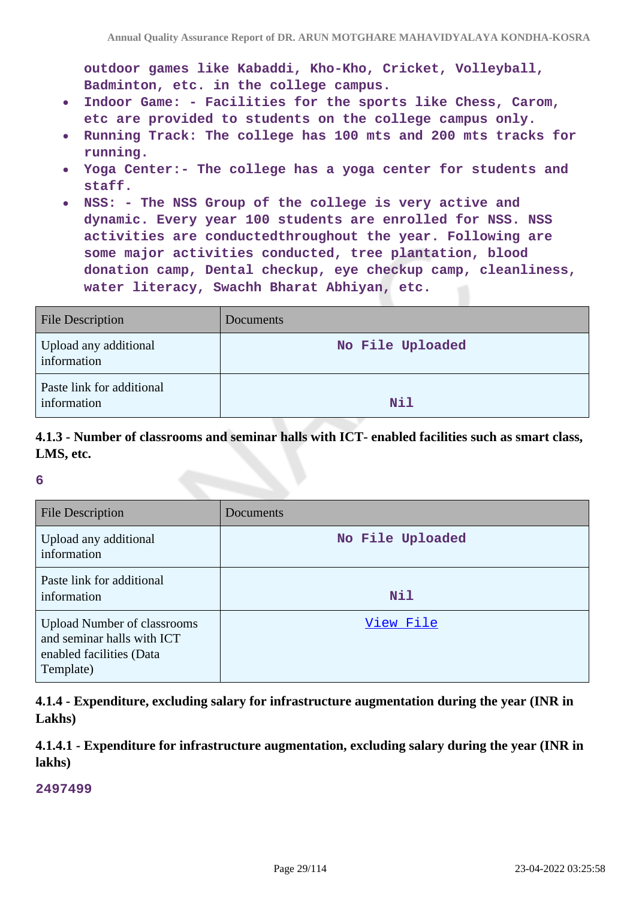**outdoor games like Kabaddi, Kho-Kho, Cricket, Volleyball, Badminton, etc. in the college campus.**

- **Indoor Game: Facilities for the sports like Chess, Carom,**  $\bullet$ **etc are provided to students on the college campus only.**
- **Running Track: The college has 100 mts and 200 mts tracks for running.**
- **Yoga Center:- The college has a yoga center for students and**  $\bullet$ **staff.**
- **NSS: The NSS Group of the college is very active and dynamic. Every year 100 students are enrolled for NSS. NSS activities are conductedthroughout the year. Following are some major activities conducted, tree plantation, blood donation camp, Dental checkup, eye checkup camp, cleanliness, water literacy, Swachh Bharat Abhiyan, etc.**

| <b>File Description</b>                  | Documents        |
|------------------------------------------|------------------|
| Upload any additional<br>information     | No File Uploaded |
| Paste link for additional<br>information | Nil              |

### **4.1.3 - Number of classrooms and seminar halls with ICT- enabled facilities such as smart class, LMS, etc.**

#### **6**

| <b>File Description</b>                                                                                   | Documents        |
|-----------------------------------------------------------------------------------------------------------|------------------|
| Upload any additional<br>information                                                                      | No File Uploaded |
| Paste link for additional<br>information                                                                  | <b>Nil</b>       |
| <b>Upload Number of classrooms</b><br>and seminar halls with ICT<br>enabled facilities (Data<br>Template) | View File        |

**4.1.4 - Expenditure, excluding salary for infrastructure augmentation during the year (INR in Lakhs)**

**4.1.4.1 - Expenditure for infrastructure augmentation, excluding salary during the year (INR in lakhs)**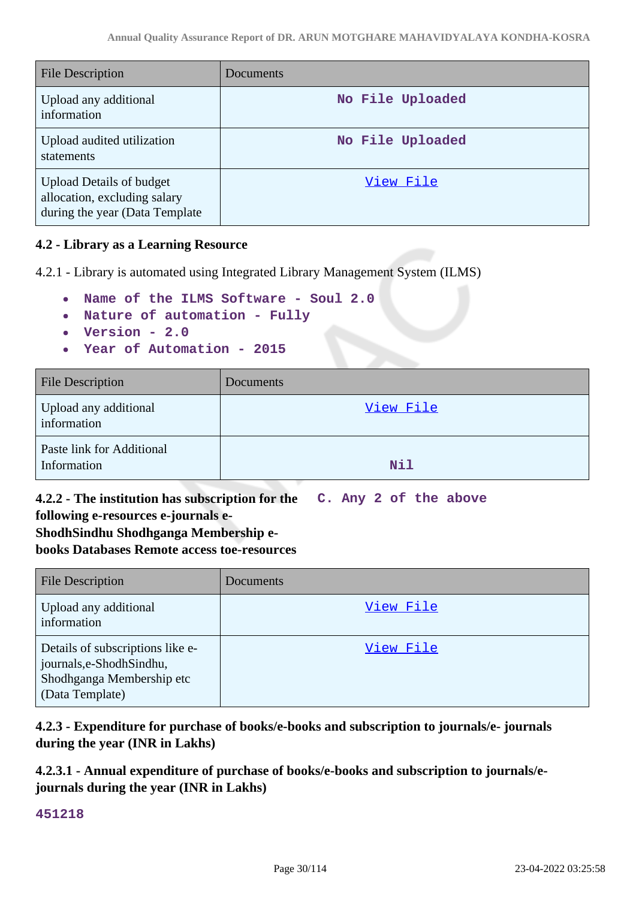| <b>File Description</b>                                                                           | <b>Documents</b> |
|---------------------------------------------------------------------------------------------------|------------------|
| Upload any additional<br>information                                                              | No File Uploaded |
| Upload audited utilization<br>statements                                                          | No File Uploaded |
| <b>Upload Details of budget</b><br>allocation, excluding salary<br>during the year (Data Template | View File        |

### **4.2 - Library as a Learning Resource**

4.2.1 - Library is automated using Integrated Library Management System (ILMS)

- **Name of the ILMS Software Soul 2.0**
- **Nature of automation Fully**
- **Version 2.0**
- **Year of Automation 2015**

| <b>File Description</b>                  | <b>Documents</b> |
|------------------------------------------|------------------|
| Upload any additional<br>information     | View File        |
| Paste link for Additional<br>Information | Nil              |

#### **4.2.2 - The institution has subscription for the following e-resources e-journals e-C. Any 2 of the above**

# **ShodhSindhu Shodhganga Membership ebooks Databases Remote access toe-resources**

| <b>File Description</b>                                                                                       | Documents |
|---------------------------------------------------------------------------------------------------------------|-----------|
| Upload any additional<br>information                                                                          | View File |
| Details of subscriptions like e-<br>journals, e-Shodh Sindhu,<br>Shodhganga Membership etc<br>(Data Template) | View File |

# **4.2.3 - Expenditure for purchase of books/e-books and subscription to journals/e- journals during the year (INR in Lakhs)**

# **4.2.3.1 - Annual expenditure of purchase of books/e-books and subscription to journals/ejournals during the year (INR in Lakhs)**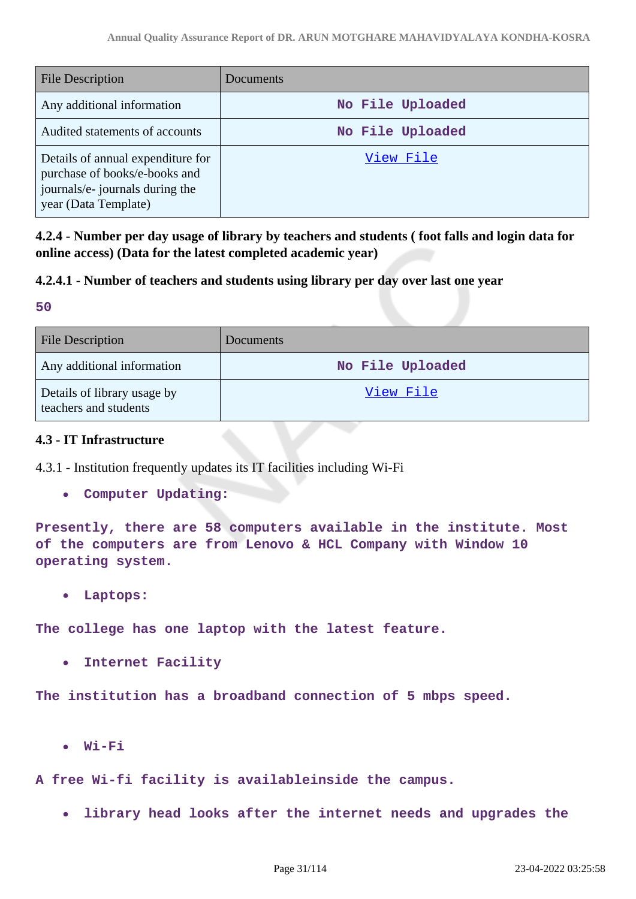| <b>File Description</b>                                                                                                       | Documents        |
|-------------------------------------------------------------------------------------------------------------------------------|------------------|
| Any additional information                                                                                                    | No File Uploaded |
| Audited statements of accounts                                                                                                | No File Uploaded |
| Details of annual expenditure for<br>purchase of books/e-books and<br>journals/e- journals during the<br>year (Data Template) | View File        |

**4.2.4 - Number per day usage of library by teachers and students ( foot falls and login data for online access) (Data for the latest completed academic year)**

### **4.2.4.1 - Number of teachers and students using library per day over last one year**

**50**

| <b>File Description</b>                              | <b>Documents</b> |
|------------------------------------------------------|------------------|
| Any additional information                           | No File Uploaded |
| Details of library usage by<br>teachers and students | View File        |

### **4.3 - IT Infrastructure**

4.3.1 - Institution frequently updates its IT facilities including Wi-Fi

 $\bullet$ **Computer Updating:**

**Presently, there are 58 computers available in the institute. Most of the computers are from Lenovo & HCL Company with Window 10 operating system.**

**Laptops:**  $\bullet$ 

**The college has one laptop with the latest feature.**

 $\bullet$ **Internet Facility**

**The institution has a broadband connection of 5 mbps speed.**

 $\bullet$ **Wi-Fi**

**A free Wi-fi facility is availableinside the campus.**

**library head looks after the internet needs and upgrades the**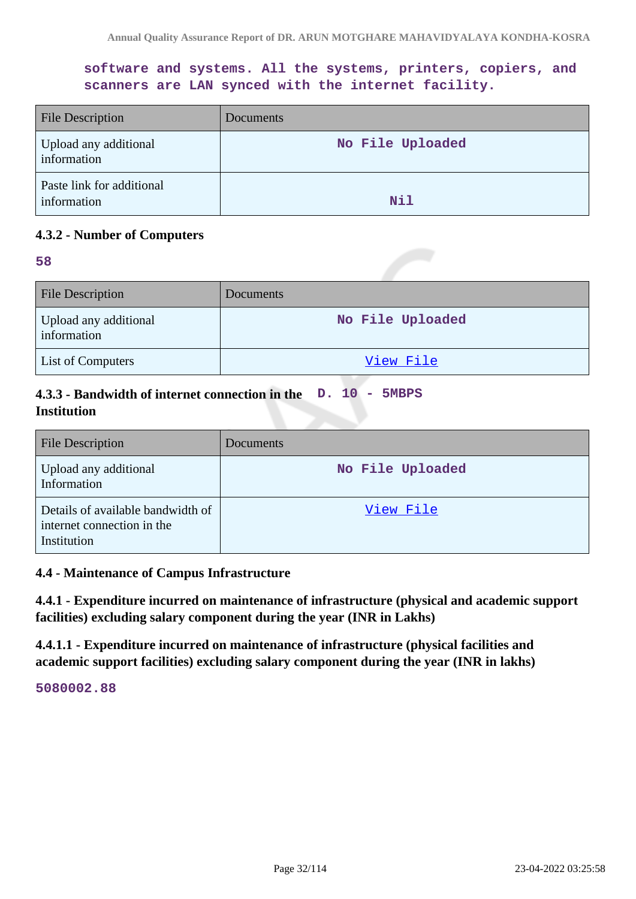**software and systems. All the systems, printers, copiers, and scanners are LAN synced with the internet facility.**

| <b>File Description</b>                  | <b>Documents</b> |
|------------------------------------------|------------------|
| Upload any additional<br>information     | No File Uploaded |
| Paste link for additional<br>information | Nil              |

### **4.3.2 - Number of Computers**

#### **58**

| <b>File Description</b>              | <b>Documents</b> |
|--------------------------------------|------------------|
| Upload any additional<br>information | No File Uploaded |
| <b>List of Computers</b>             | View File        |

# **4.3.3 - Bandwidth of internet connection in the D. 10 - 5MBPS Institution**

| <b>File Description</b>                                                        | Documents        |
|--------------------------------------------------------------------------------|------------------|
| Upload any additional<br>Information                                           | No File Uploaded |
| Details of available bandwidth of<br>internet connection in the<br>Institution | View File        |

#### **4.4 - Maintenance of Campus Infrastructure**

**4.4.1 - Expenditure incurred on maintenance of infrastructure (physical and academic support facilities) excluding salary component during the year (INR in Lakhs)**

**4.4.1.1 - Expenditure incurred on maintenance of infrastructure (physical facilities and academic support facilities) excluding salary component during the year (INR in lakhs)**

**5080002.88**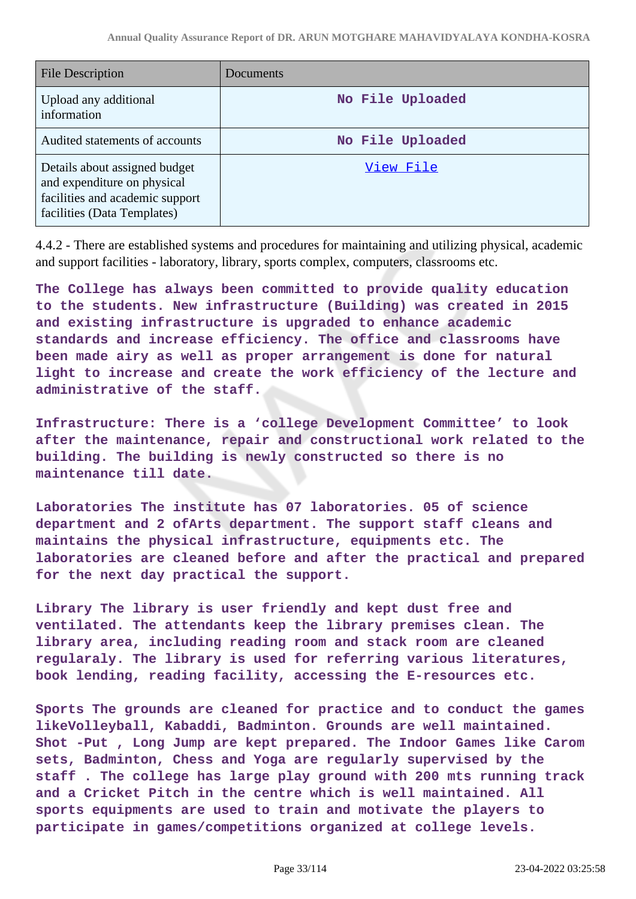| <b>File Description</b>                                                                                                        | Documents        |
|--------------------------------------------------------------------------------------------------------------------------------|------------------|
| Upload any additional<br>information                                                                                           | No File Uploaded |
| Audited statements of accounts                                                                                                 | No File Uploaded |
| Details about assigned budget<br>and expenditure on physical<br>facilities and academic support<br>facilities (Data Templates) | View File        |

4.4.2 - There are established systems and procedures for maintaining and utilizing physical, academic and support facilities - laboratory, library, sports complex, computers, classrooms etc.

**The College has always been committed to provide quality education to the students. New infrastructure (Building) was created in 2015 and existing infrastructure is upgraded to enhance academic standards and increase efficiency. The office and classrooms have been made airy as well as proper arrangement is done for natural light to increase and create the work efficiency of the lecture and administrative of the staff.**

**Infrastructure: There is a 'college Development Committee' to look after the maintenance, repair and constructional work related to the building. The building is newly constructed so there is no maintenance till date.**

**Laboratories The institute has 07 laboratories. 05 of science department and 2 ofArts department. The support staff cleans and maintains the physical infrastructure, equipments etc. The laboratories are cleaned before and after the practical and prepared for the next day practical the support.**

**Library The library is user friendly and kept dust free and ventilated. The attendants keep the library premises clean. The library area, including reading room and stack room are cleaned regularaly. The library is used for referring various literatures, book lending, reading facility, accessing the E-resources etc.**

**Sports The grounds are cleaned for practice and to conduct the games likeVolleyball, Kabaddi, Badminton. Grounds are well maintained. Shot -Put , Long Jump are kept prepared. The Indoor Games like Carom sets, Badminton, Chess and Yoga are regularly supervised by the staff . The college has large play ground with 200 mts running track and a Cricket Pitch in the centre which is well maintained. All sports equipments are used to train and motivate the players to participate in games/competitions organized at college levels.**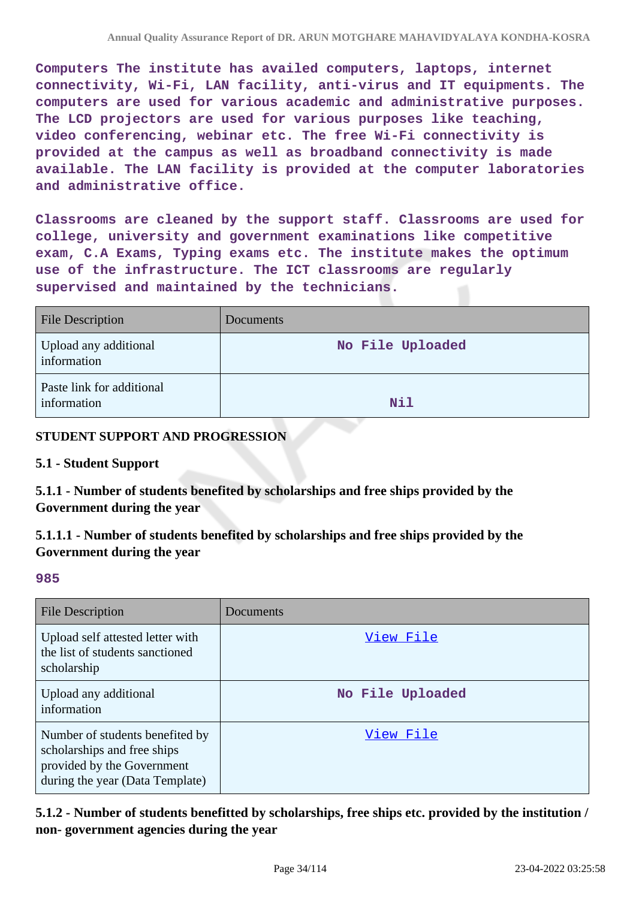**Computers The institute has availed computers, laptops, internet connectivity, Wi-Fi, LAN facility, anti-virus and IT equipments. The computers are used for various academic and administrative purposes. The LCD projectors are used for various purposes like teaching, video conferencing, webinar etc. The free Wi-Fi connectivity is provided at the campus as well as broadband connectivity is made available. The LAN facility is provided at the computer laboratories and administrative office.**

**Classrooms are cleaned by the support staff. Classrooms are used for college, university and government examinations like competitive exam, C.A Exams, Typing exams etc. The institute makes the optimum use of the infrastructure. The ICT classrooms are regularly supervised and maintained by the technicians.**

| <b>File Description</b>                  | Documents        |
|------------------------------------------|------------------|
| Upload any additional<br>information     | No File Uploaded |
| Paste link for additional<br>information | Nil              |

### **STUDENT SUPPORT AND PROGRESSION**

#### **5.1 - Student Support**

**5.1.1 - Number of students benefited by scholarships and free ships provided by the Government during the year**

**5.1.1.1 - Number of students benefited by scholarships and free ships provided by the Government during the year**

#### **985**

| File Description                                                                                                                | Documents        |
|---------------------------------------------------------------------------------------------------------------------------------|------------------|
| Upload self attested letter with<br>the list of students sanctioned<br>scholarship                                              | View File        |
| Upload any additional<br>information                                                                                            | No File Uploaded |
| Number of students benefited by<br>scholarships and free ships<br>provided by the Government<br>during the year (Data Template) | View File        |

**5.1.2 - Number of students benefitted by scholarships, free ships etc. provided by the institution / non- government agencies during the year**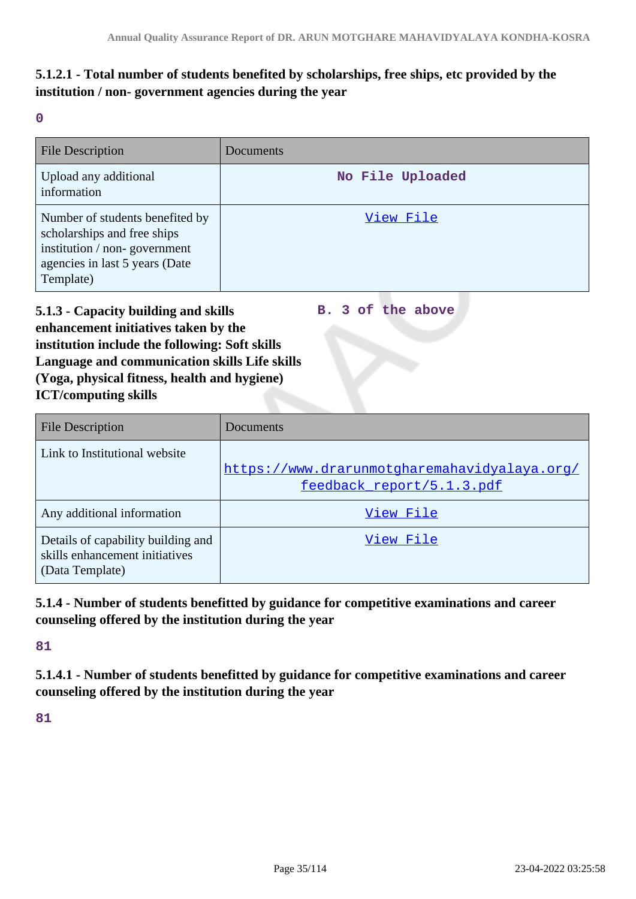# **5.1.2.1 - Total number of students benefited by scholarships, free ships, etc provided by the institution / non- government agencies during the year**

**0**

| <b>File Description</b>                                                                                                                       | Documents        |
|-----------------------------------------------------------------------------------------------------------------------------------------------|------------------|
| Upload any additional<br>information                                                                                                          | No File Uploaded |
| Number of students benefited by<br>scholarships and free ships<br>institution / non-government<br>agencies in last 5 years (Date<br>Template) | View File        |

**5.1.3 - Capacity building and skills enhancement initiatives taken by the institution include the following: Soft skills Language and communication skills Life skills (Yoga, physical fitness, health and hygiene) ICT/computing skills B. 3 of the above**

| <b>File Description</b>                                                                 | Documents                                                                 |
|-----------------------------------------------------------------------------------------|---------------------------------------------------------------------------|
| Link to Institutional website                                                           | https://www.drarunmotgharemahavidyalaya.org/<br>feedback report/5.1.3.pdf |
| Any additional information                                                              | View File                                                                 |
| Details of capability building and<br>skills enhancement initiatives<br>(Data Template) | View File                                                                 |

# **5.1.4 - Number of students benefitted by guidance for competitive examinations and career counseling offered by the institution during the year**

**81**

**5.1.4.1 - Number of students benefitted by guidance for competitive examinations and career counseling offered by the institution during the year**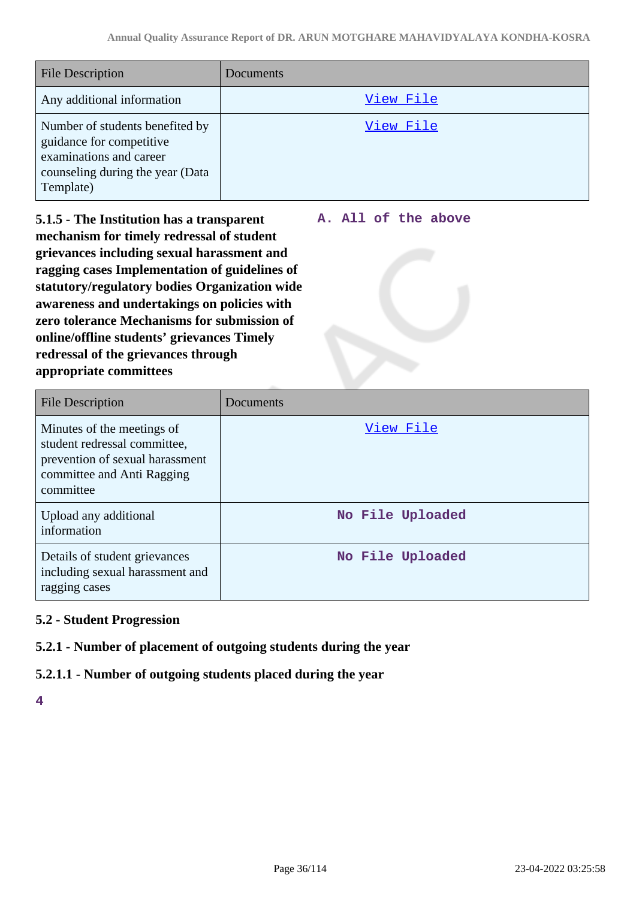| <b>File Description</b>                                                                                                                 | Documents |
|-----------------------------------------------------------------------------------------------------------------------------------------|-----------|
| Any additional information                                                                                                              | View File |
| Number of students benefited by<br>guidance for competitive<br>examinations and career<br>counseling during the year (Data<br>Template) | View File |

**5.1.5 - The Institution has a transparent mechanism for timely redressal of student grievances including sexual harassment and ragging cases Implementation of guidelines of statutory/regulatory bodies Organization wide awareness and undertakings on policies with zero tolerance Mechanisms for submission of online/offline students' grievances Timely redressal of the grievances through appropriate committees**

#### **A. All of the above**

| <b>File Description</b>                                                                                                                  | Documents        |
|------------------------------------------------------------------------------------------------------------------------------------------|------------------|
| Minutes of the meetings of<br>student redressal committee,<br>prevention of sexual harassment<br>committee and Anti Ragging<br>committee | View File        |
| Upload any additional<br>information                                                                                                     | No File Uploaded |
| Details of student grievances<br>including sexual harassment and<br>ragging cases                                                        | No File Uploaded |

# **5.2 - Student Progression**

# **5.2.1 - Number of placement of outgoing students during the year**

# **5.2.1.1 - Number of outgoing students placed during the year**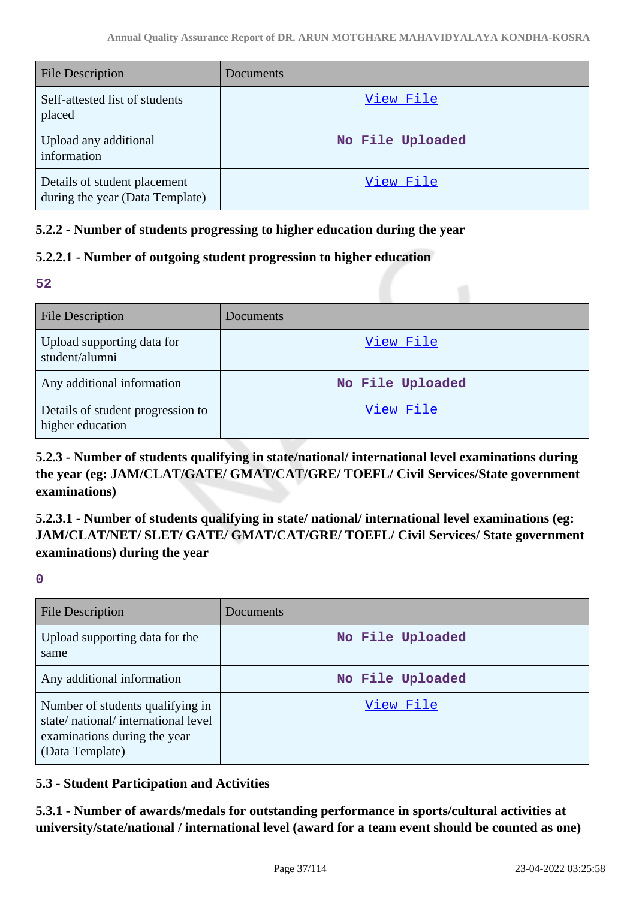| <b>File Description</b>                                         | Documents        |
|-----------------------------------------------------------------|------------------|
| Self-attested list of students<br>placed                        | View File        |
| Upload any additional<br>information                            | No File Uploaded |
| Details of student placement<br>during the year (Data Template) | View File        |

# **5.2.2 - Number of students progressing to higher education during the year**

# **5.2.2.1 - Number of outgoing student progression to higher education**

**52**

| <b>File Description</b>                               | Documents        |
|-------------------------------------------------------|------------------|
| Upload supporting data for<br>student/alumni          | View File        |
| Any additional information                            | No File Uploaded |
| Details of student progression to<br>higher education | View File        |

**5.2.3 - Number of students qualifying in state/national/ international level examinations during the year (eg: JAM/CLAT/GATE/ GMAT/CAT/GRE/ TOEFL/ Civil Services/State government examinations)**

**5.2.3.1 - Number of students qualifying in state/ national/ international level examinations (eg: JAM/CLAT/NET/ SLET/ GATE/ GMAT/CAT/GRE/ TOEFL/ Civil Services/ State government examinations) during the year**

**0**

| <b>File Description</b>                                                                                                   | Documents        |
|---------------------------------------------------------------------------------------------------------------------------|------------------|
| Upload supporting data for the<br>same                                                                                    | No File Uploaded |
| Any additional information                                                                                                | No File Uploaded |
| Number of students qualifying in<br>state/national/international level<br>examinations during the year<br>(Data Template) | View File        |

# **5.3 - Student Participation and Activities**

**5.3.1 - Number of awards/medals for outstanding performance in sports/cultural activities at university/state/national / international level (award for a team event should be counted as one)**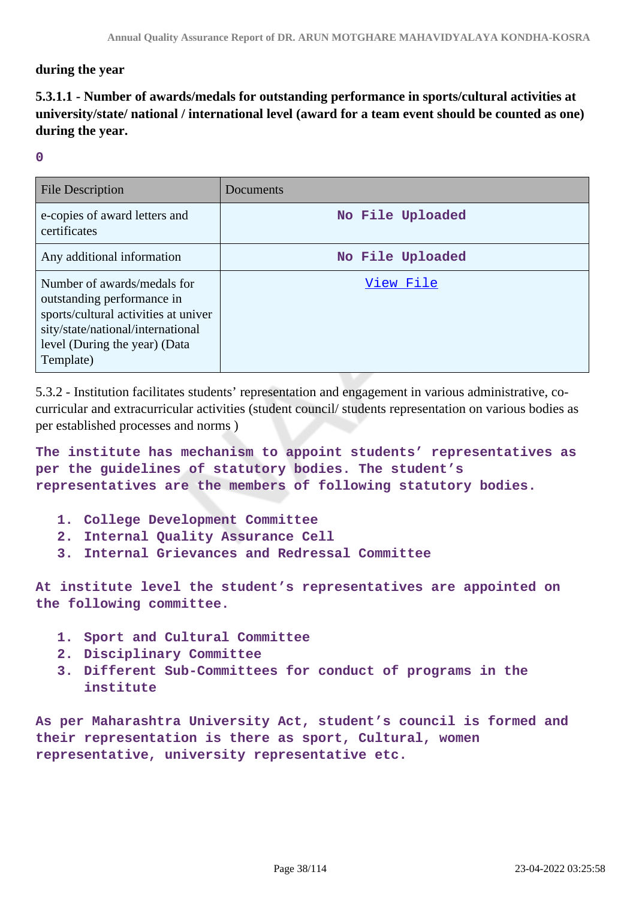### **during the year**

# **5.3.1.1 - Number of awards/medals for outstanding performance in sports/cultural activities at university/state/ national / international level (award for a team event should be counted as one) during the year.**

#### **0**

| <b>File Description</b>                                                                                                                                                              | Documents        |
|--------------------------------------------------------------------------------------------------------------------------------------------------------------------------------------|------------------|
| e-copies of award letters and<br>certificates                                                                                                                                        | No File Uploaded |
| Any additional information                                                                                                                                                           | No File Uploaded |
| Number of awards/medals for<br>outstanding performance in<br>sports/cultural activities at univer<br>sity/state/national/international<br>level (During the year) (Data<br>Template) | View File        |

5.3.2 - Institution facilitates students' representation and engagement in various administrative, cocurricular and extracurricular activities (student council/ students representation on various bodies as per established processes and norms )

**The institute has mechanism to appoint students' representatives as per the guidelines of statutory bodies. The student's representatives are the members of following statutory bodies.**

- **1. College Development Committee**
- **2. Internal Quality Assurance Cell**
- **3. Internal Grievances and Redressal Committee**

**At institute level the student's representatives are appointed on the following committee.**

- **1. Sport and Cultural Committee**
- **2. Disciplinary Committee**
- **3. Different Sub-Committees for conduct of programs in the institute**

**As per Maharashtra University Act, student's council is formed and their representation is there as sport, Cultural, women representative, university representative etc.**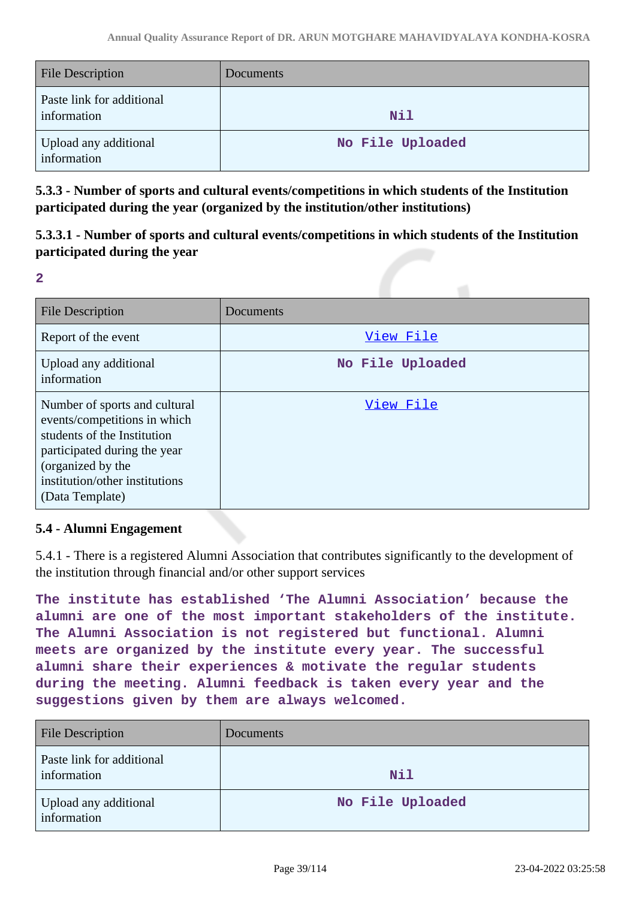| <b>File Description</b>                  | <b>Documents</b> |
|------------------------------------------|------------------|
| Paste link for additional<br>information | <b>Nil</b>       |
| Upload any additional<br>information     | No File Uploaded |

**5.3.3 - Number of sports and cultural events/competitions in which students of the Institution participated during the year (organized by the institution/other institutions)**

**5.3.3.1 - Number of sports and cultural events/competitions in which students of the Institution participated during the year**

**2**

| <b>File Description</b>                                                                                                                                                                                | Documents        |
|--------------------------------------------------------------------------------------------------------------------------------------------------------------------------------------------------------|------------------|
| Report of the event                                                                                                                                                                                    | View File        |
| Upload any additional<br>information                                                                                                                                                                   | No File Uploaded |
| Number of sports and cultural<br>events/competitions in which<br>students of the Institution<br>participated during the year<br>(organized by the<br>institution/other institutions<br>(Data Template) | View File        |

# **5.4 - Alumni Engagement**

5.4.1 - There is a registered Alumni Association that contributes significantly to the development of the institution through financial and/or other support services

**The institute has established 'The Alumni Association' because the alumni are one of the most important stakeholders of the institute. The Alumni Association is not registered but functional. Alumni meets are organized by the institute every year. The successful alumni share their experiences & motivate the regular students during the meeting. Alumni feedback is taken every year and the suggestions given by them are always welcomed.**

| <b>File Description</b>                  | Documents        |
|------------------------------------------|------------------|
| Paste link for additional<br>information | <b>Nil</b>       |
| Upload any additional<br>information     | No File Uploaded |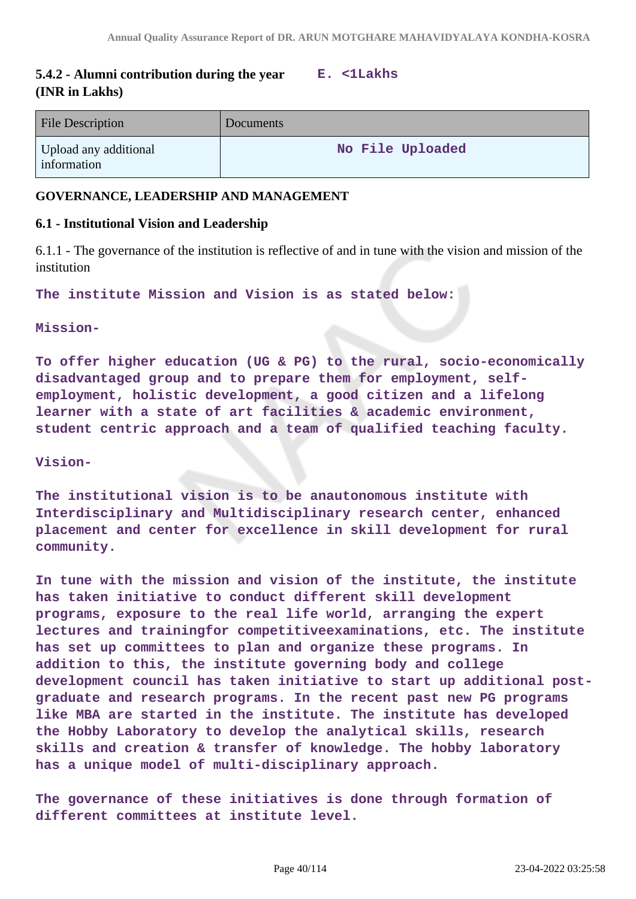# **5.4.2 - Alumni contribution during the year E. <1Lakhs (INR in Lakhs)**

| <b>File Description</b>              | Documents        |
|--------------------------------------|------------------|
| Upload any additional<br>information | No File Uploaded |

### **GOVERNANCE, LEADERSHIP AND MANAGEMENT**

#### **6.1 - Institutional Vision and Leadership**

6.1.1 - The governance of the institution is reflective of and in tune with the vision and mission of the institution

**The institute Mission and Vision is as stated below:**

#### **Mission-**

**To offer higher education (UG & PG) to the rural, socio-economically disadvantaged group and to prepare them for employment, selfemployment, holistic development, a good citizen and a lifelong learner with a state of art facilities & academic environment, student centric approach and a team of qualified teaching faculty.**

#### **Vision-**

**The institutional vision is to be anautonomous institute with Interdisciplinary and Multidisciplinary research center, enhanced placement and center for excellence in skill development for rural community.**

**In tune with the mission and vision of the institute, the institute has taken initiative to conduct different skill development programs, exposure to the real life world, arranging the expert lectures and trainingfor competitiveexaminations, etc. The institute has set up committees to plan and organize these programs. In addition to this, the institute governing body and college development council has taken initiative to start up additional postgraduate and research programs. In the recent past new PG programs like MBA are started in the institute. The institute has developed the Hobby Laboratory to develop the analytical skills, research skills and creation & transfer of knowledge. The hobby laboratory has a unique model of multi-disciplinary approach.**

**The governance of these initiatives is done through formation of different committees at institute level.**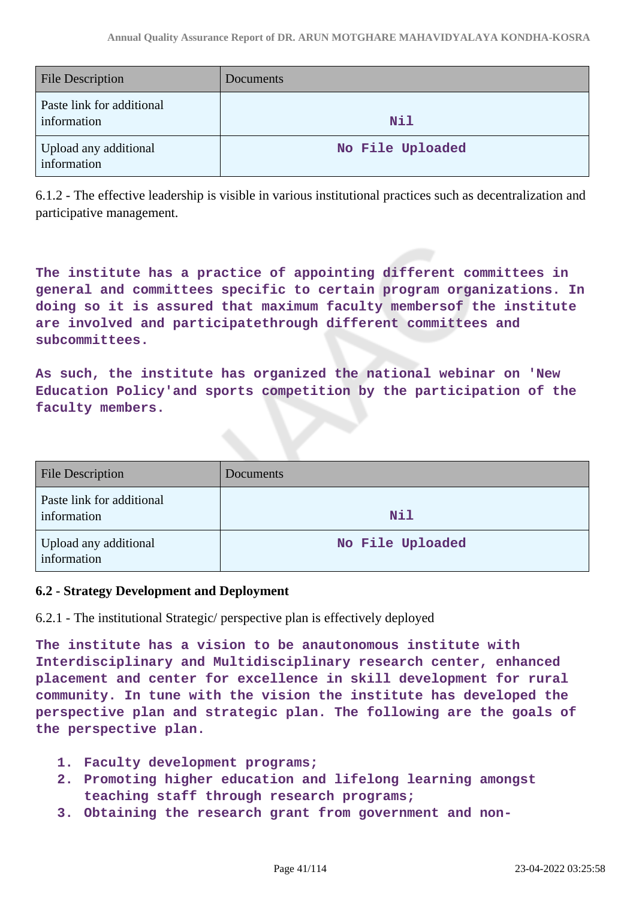| <b>File Description</b>                  | <b>Documents</b> |
|------------------------------------------|------------------|
| Paste link for additional<br>information | <b>Nil</b>       |
| Upload any additional<br>information     | No File Uploaded |

6.1.2 - The effective leadership is visible in various institutional practices such as decentralization and participative management.

**The institute has a practice of appointing different committees in general and committees specific to certain program organizations. In doing so it is assured that maximum faculty membersof the institute are involved and participatethrough different committees and subcommittees.**

**As such, the institute has organized the national webinar on 'New Education Policy'and sports competition by the participation of the faculty members.**

| <b>File Description</b>                  | Documents        |
|------------------------------------------|------------------|
| Paste link for additional<br>information | Nil              |
| Upload any additional<br>information     | No File Uploaded |

# **6.2 - Strategy Development and Deployment**

6.2.1 - The institutional Strategic/ perspective plan is effectively deployed

**The institute has a vision to be anautonomous institute with Interdisciplinary and Multidisciplinary research center, enhanced placement and center for excellence in skill development for rural community. In tune with the vision the institute has developed the perspective plan and strategic plan. The following are the goals of the perspective plan.**

- **1. Faculty development programs;**
- **2. Promoting higher education and lifelong learning amongst teaching staff through research programs;**
- **3. Obtaining the research grant from government and non-**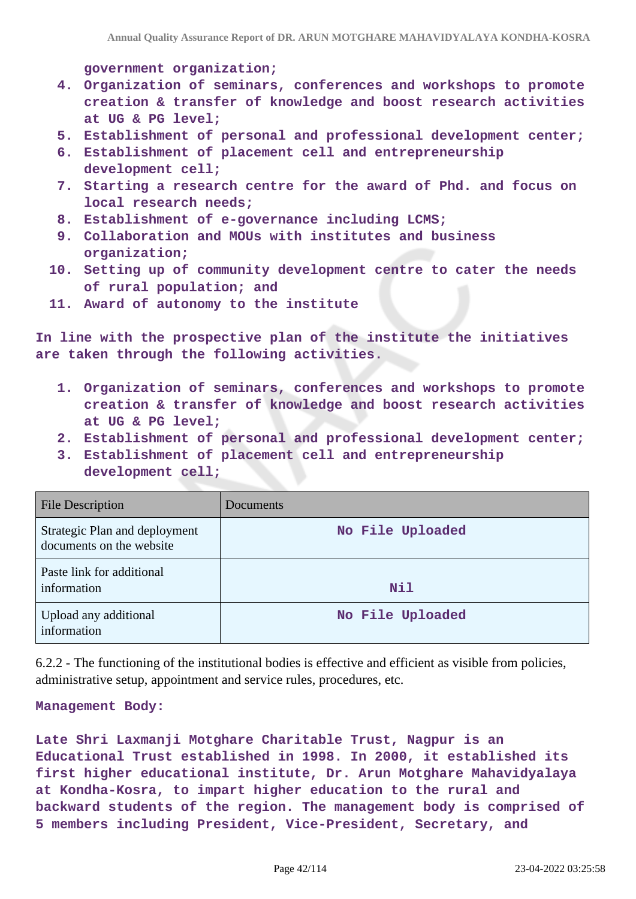**government organization;**

- **4. Organization of seminars, conferences and workshops to promote creation & transfer of knowledge and boost research activities at UG & PG level;**
- **5. Establishment of personal and professional development center;**
- **6. Establishment of placement cell and entrepreneurship development cell;**
- **7. Starting a research centre for the award of Phd. and focus on local research needs;**
- **8. Establishment of e-governance including LCMS;**
- **9. Collaboration and MOUs with institutes and business organization;**
- **10. Setting up of community development centre to cater the needs of rural population; and**
- **11. Award of autonomy to the institute**

**In line with the prospective plan of the institute the initiatives are taken through the following activities.**

- **1. Organization of seminars, conferences and workshops to promote creation & transfer of knowledge and boost research activities at UG & PG level;**
- **2. Establishment of personal and professional development center;**
- **3. Establishment of placement cell and entrepreneurship development cell;**

| <b>File Description</b>                                   | Documents        |
|-----------------------------------------------------------|------------------|
| Strategic Plan and deployment<br>documents on the website | No File Uploaded |
| Paste link for additional<br>information                  | <b>Nil</b>       |
| Upload any additional<br>information                      | No File Uploaded |

6.2.2 - The functioning of the institutional bodies is effective and efficient as visible from policies, administrative setup, appointment and service rules, procedures, etc.

#### **Management Body:**

**Late Shri Laxmanji Motghare Charitable Trust, Nagpur is an Educational Trust established in 1998. In 2000, it established its first higher educational institute, Dr. Arun Motghare Mahavidyalaya at Kondha-Kosra, to impart higher education to the rural and backward students of the region. The management body is comprised of 5 members including President, Vice-President, Secretary, and**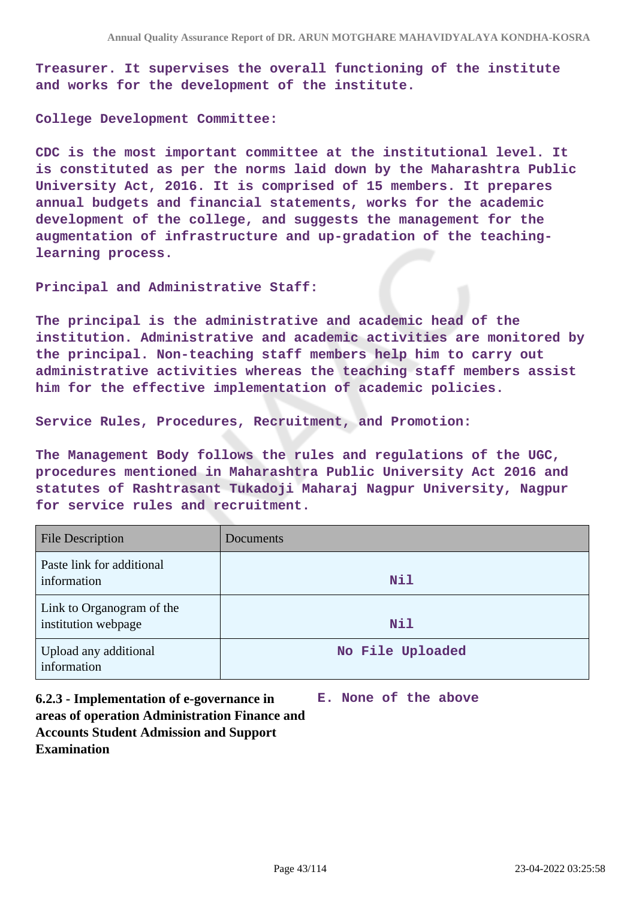**Treasurer. It supervises the overall functioning of the institute and works for the development of the institute.**

**College Development Committee:**

**CDC is the most important committee at the institutional level. It is constituted as per the norms laid down by the Maharashtra Public University Act, 2016. It is comprised of 15 members. It prepares annual budgets and financial statements, works for the academic development of the college, and suggests the management for the augmentation of infrastructure and up-gradation of the teachinglearning process.**

**Principal and Administrative Staff:**

**The principal is the administrative and academic head of the institution. Administrative and academic activities are monitored by the principal. Non-teaching staff members help him to carry out administrative activities whereas the teaching staff members assist him for the effective implementation of academic policies.**

**Service Rules, Procedures, Recruitment, and Promotion:**

**The Management Body follows the rules and regulations of the UGC, procedures mentioned in Maharashtra Public University Act 2016 and statutes of Rashtrasant Tukadoji Maharaj Nagpur University, Nagpur for service rules and recruitment.**

| <b>File Description</b>                          | <b>Documents</b> |
|--------------------------------------------------|------------------|
| Paste link for additional<br>information         | Nil              |
| Link to Organogram of the<br>institution webpage | Nil              |
| Upload any additional<br>information             | No File Uploaded |

**6.2.3 - Implementation of e-governance in areas of operation Administration Finance and Accounts Student Admission and Support Examination**

**E. None of the above**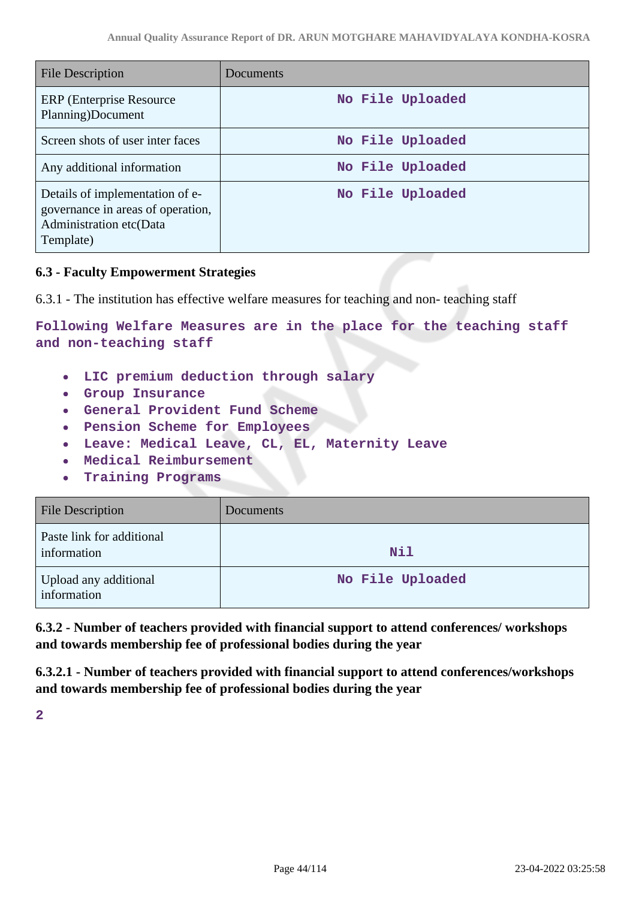| <b>File Description</b>                                                                                      | Documents        |
|--------------------------------------------------------------------------------------------------------------|------------------|
| <b>ERP</b> (Enterprise Resource)<br>Planning)Document                                                        | No File Uploaded |
| Screen shots of user inter faces                                                                             | No File Uploaded |
| Any additional information                                                                                   | No File Uploaded |
| Details of implementation of e-<br>governance in areas of operation,<br>Administration etc(Data<br>Template) | No File Uploaded |

# **6.3 - Faculty Empowerment Strategies**

6.3.1 - The institution has effective welfare measures for teaching and non- teaching staff

**Following Welfare Measures are in the place for the teaching staff and non-teaching staff**

- **LIC premium deduction through salary**  $\bullet$
- **Group Insurance**
- **General Provident Fund Scheme**
- **Pension Scheme for Employees**
- **Leave: Medical Leave, CL, EL, Maternity Leave**
- **Medical Reimbursement**  $\bullet$
- **Training Programs**  $\bullet$

| <b>File Description</b>                  | Documents        |
|------------------------------------------|------------------|
| Paste link for additional<br>information | <b>Nil</b>       |
| Upload any additional<br>information     | No File Uploaded |

**6.3.2 - Number of teachers provided with financial support to attend conferences/ workshops and towards membership fee of professional bodies during the year**

**6.3.2.1 - Number of teachers provided with financial support to attend conferences/workshops and towards membership fee of professional bodies during the year**

**2**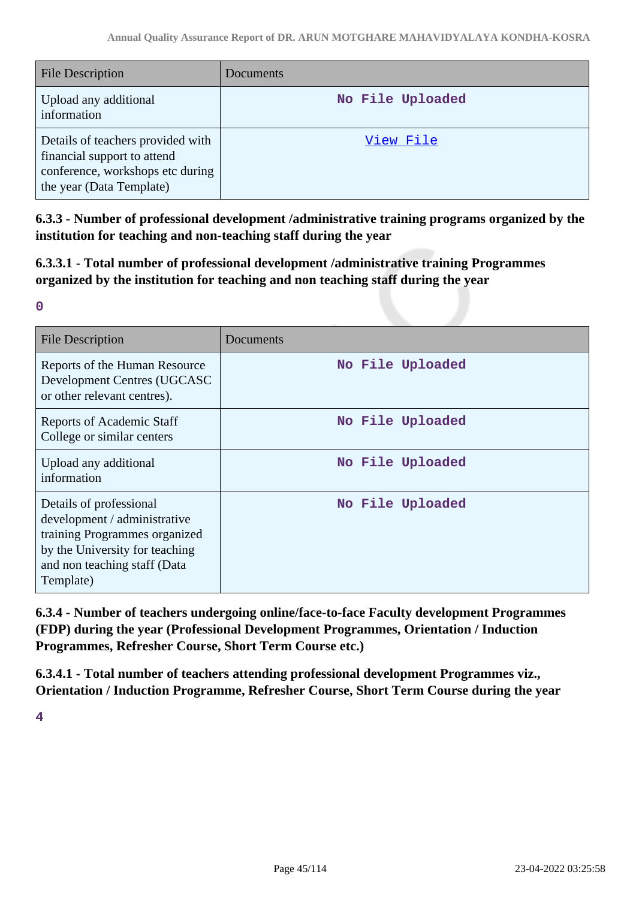| <b>File Description</b>                                                                                                          | <b>Documents</b> |
|----------------------------------------------------------------------------------------------------------------------------------|------------------|
| Upload any additional<br>information                                                                                             | No File Uploaded |
| Details of teachers provided with<br>financial support to attend<br>conference, workshops etc during<br>the year (Data Template) | View File        |

**6.3.3 - Number of professional development /administrative training programs organized by the institution for teaching and non-teaching staff during the year**

**6.3.3.1 - Total number of professional development /administrative training Programmes organized by the institution for teaching and non teaching staff during the year**

| ٠<br>۰. | ı |  |
|---------|---|--|
|         |   |  |

| <b>File Description</b>                                                                                                                                                 | Documents        |
|-------------------------------------------------------------------------------------------------------------------------------------------------------------------------|------------------|
| Reports of the Human Resource<br>Development Centres (UGCASC<br>or other relevant centres).                                                                             | No File Uploaded |
| <b>Reports of Academic Staff</b><br>College or similar centers                                                                                                          | No File Uploaded |
| Upload any additional<br>information                                                                                                                                    | No File Uploaded |
| Details of professional<br>development / administrative<br>training Programmes organized<br>by the University for teaching<br>and non teaching staff (Data<br>Template) | No File Uploaded |

**6.3.4 - Number of teachers undergoing online/face-to-face Faculty development Programmes (FDP) during the year (Professional Development Programmes, Orientation / Induction Programmes, Refresher Course, Short Term Course etc.)**

**6.3.4.1 - Total number of teachers attending professional development Programmes viz., Orientation / Induction Programme, Refresher Course, Short Term Course during the year**

**4**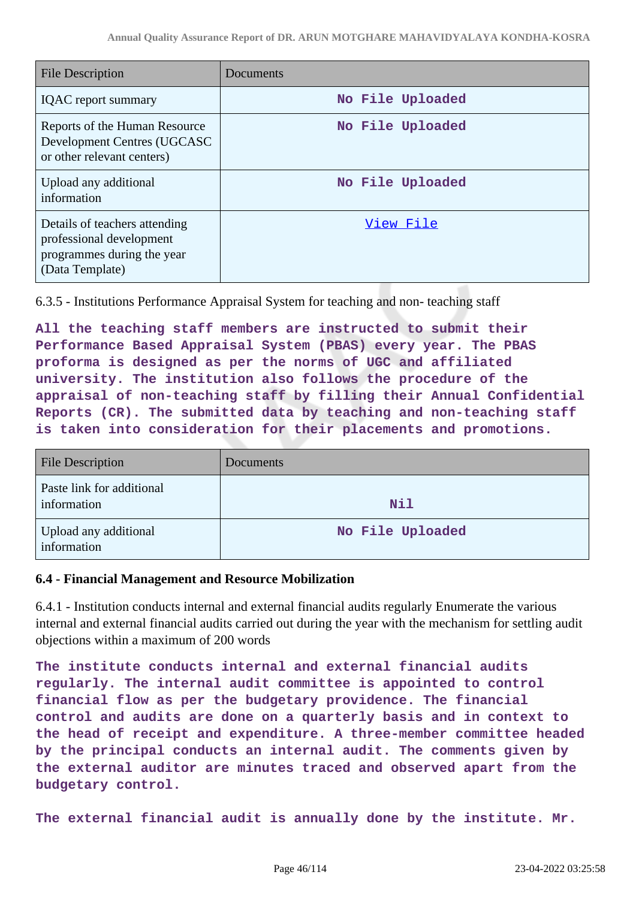| <b>File Description</b>                                                                                    | Documents        |
|------------------------------------------------------------------------------------------------------------|------------------|
| <b>IQAC</b> report summary                                                                                 | No File Uploaded |
| Reports of the Human Resource<br>Development Centres (UGCASC<br>or other relevant centers)                 | No File Uploaded |
| Upload any additional<br>information                                                                       | No File Uploaded |
| Details of teachers attending<br>professional development<br>programmes during the year<br>(Data Template) | View File        |

6.3.5 - Institutions Performance Appraisal System for teaching and non- teaching staff

**All the teaching staff members are instructed to submit their Performance Based Appraisal System (PBAS) every year. The PBAS proforma is designed as per the norms of UGC and affiliated university. The institution also follows the procedure of the appraisal of non-teaching staff by filling their Annual Confidential Reports (CR). The submitted data by teaching and non-teaching staff is taken into consideration for their placements and promotions.**

| <b>File Description</b>                  | Documents        |
|------------------------------------------|------------------|
| Paste link for additional<br>information | Nil              |
| Upload any additional<br>information     | No File Uploaded |

# **6.4 - Financial Management and Resource Mobilization**

6.4.1 - Institution conducts internal and external financial audits regularly Enumerate the various internal and external financial audits carried out during the year with the mechanism for settling audit objections within a maximum of 200 words

**The institute conducts internal and external financial audits regularly. The internal audit committee is appointed to control financial flow as per the budgetary providence. The financial control and audits are done on a quarterly basis and in context to the head of receipt and expenditure. A three-member committee headed by the principal conducts an internal audit. The comments given by the external auditor are minutes traced and observed apart from the budgetary control.**

**The external financial audit is annually done by the institute. Mr.**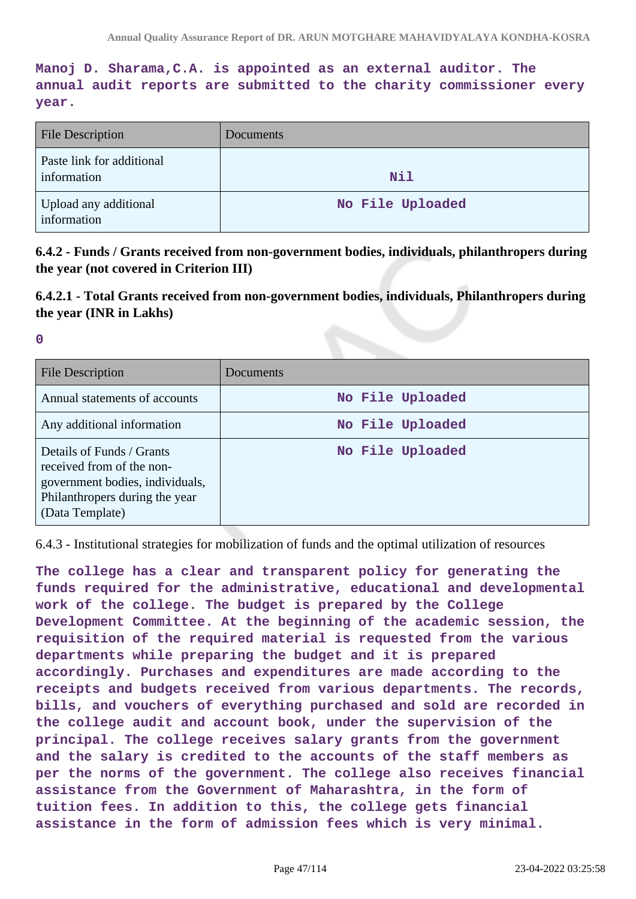**Manoj D. Sharama,C.A. is appointed as an external auditor. The annual audit reports are submitted to the charity commissioner every year.**

| <b>File Description</b>                  | Documents        |
|------------------------------------------|------------------|
| Paste link for additional<br>information | <b>Nil</b>       |
| Upload any additional<br>information     | No File Uploaded |

**6.4.2 - Funds / Grants received from non-government bodies, individuals, philanthropers during the year (not covered in Criterion III)**

**6.4.2.1 - Total Grants received from non-government bodies, individuals, Philanthropers during the year (INR in Lakhs)**

**0**

| File Description                                                                                                                               | Documents        |
|------------------------------------------------------------------------------------------------------------------------------------------------|------------------|
| Annual statements of accounts                                                                                                                  | No File Uploaded |
| Any additional information                                                                                                                     | No File Uploaded |
| Details of Funds / Grants<br>received from of the non-<br>government bodies, individuals,<br>Philanthropers during the year<br>(Data Template) | No File Uploaded |

6.4.3 - Institutional strategies for mobilization of funds and the optimal utilization of resources

**The college has a clear and transparent policy for generating the funds required for the administrative, educational and developmental work of the college. The budget is prepared by the College Development Committee. At the beginning of the academic session, the requisition of the required material is requested from the various departments while preparing the budget and it is prepared accordingly. Purchases and expenditures are made according to the receipts and budgets received from various departments. The records, bills, and vouchers of everything purchased and sold are recorded in the college audit and account book, under the supervision of the principal. The college receives salary grants from the government and the salary is credited to the accounts of the staff members as per the norms of the government. The college also receives financial assistance from the Government of Maharashtra, in the form of tuition fees. In addition to this, the college gets financial assistance in the form of admission fees which is very minimal.**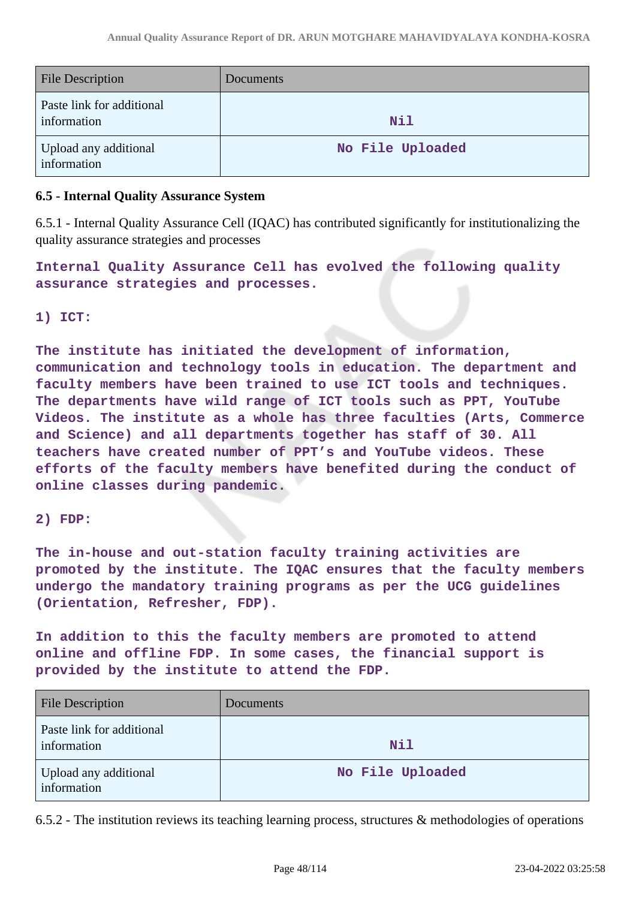| <b>File Description</b>                  | Documents        |
|------------------------------------------|------------------|
| Paste link for additional<br>information | Nil              |
| Upload any additional<br>information     | No File Uploaded |

### **6.5 - Internal Quality Assurance System**

6.5.1 - Internal Quality Assurance Cell (IQAC) has contributed significantly for institutionalizing the quality assurance strategies and processes

**Internal Quality Assurance Cell has evolved the following quality assurance strategies and processes.**

#### **1) ICT:**

**The institute has initiated the development of information, communication and technology tools in education. The department and faculty members have been trained to use ICT tools and techniques. The departments have wild range of ICT tools such as PPT, YouTube Videos. The institute as a whole has three faculties (Arts, Commerce and Science) and all departments together has staff of 30. All teachers have created number of PPT's and YouTube videos. These efforts of the faculty members have benefited during the conduct of online classes during pandemic.**

#### **2) FDP:**

**The in-house and out-station faculty training activities are promoted by the institute. The IQAC ensures that the faculty members undergo the mandatory training programs as per the UCG guidelines (Orientation, Refresher, FDP).**

**In addition to this the faculty members are promoted to attend online and offline FDP. In some cases, the financial support is provided by the institute to attend the FDP.**

| <b>File Description</b>                  | <b>Documents</b> |
|------------------------------------------|------------------|
| Paste link for additional<br>information | <b>Nil</b>       |
| Upload any additional<br>information     | No File Uploaded |

6.5.2 - The institution reviews its teaching learning process, structures & methodologies of operations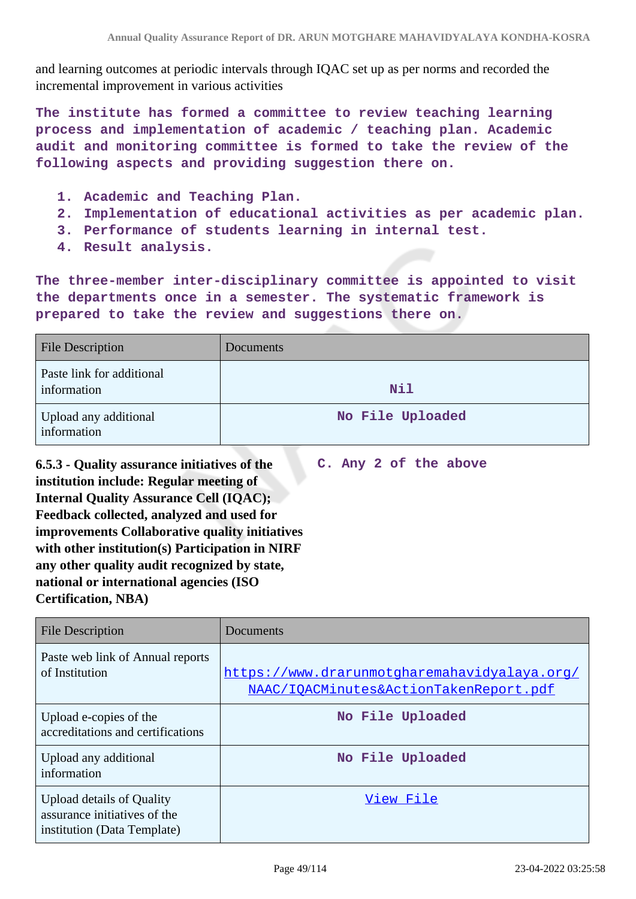and learning outcomes at periodic intervals through IQAC set up as per norms and recorded the incremental improvement in various activities

**The institute has formed a committee to review teaching learning process and implementation of academic / teaching plan. Academic audit and monitoring committee is formed to take the review of the following aspects and providing suggestion there on.**

- **1. Academic and Teaching Plan.**
- **2. Implementation of educational activities as per academic plan.**
- **3. Performance of students learning in internal test.**
- **4. Result analysis.**

**The three-member inter-disciplinary committee is appointed to visit the departments once in a semester. The systematic framework is prepared to take the review and suggestions there on.**

| <b>File Description</b>                  | Documents        |
|------------------------------------------|------------------|
| Paste link for additional<br>information | Nil              |
| Upload any additional<br>information     | No File Uploaded |

**6.5.3 - Quality assurance initiatives of the institution include: Regular meeting of Internal Quality Assurance Cell (IQAC); Feedback collected, analyzed and used for improvements Collaborative quality initiatives with other institution(s) Participation in NIRF any other quality audit recognized by state, national or international agencies (ISO Certification, NBA)**

**C. Any 2 of the above**

| <b>File Description</b>                                                                         | Documents                                                                              |
|-------------------------------------------------------------------------------------------------|----------------------------------------------------------------------------------------|
| Paste web link of Annual reports<br>of Institution                                              | https://www.drarunmotgharemahavidyalaya.org/<br>NAAC/IQACMinutes&ActionTakenReport.pdf |
| Upload e-copies of the<br>accreditations and certifications                                     | No File Uploaded                                                                       |
| Upload any additional<br>information                                                            | No File Uploaded                                                                       |
| <b>Upload details of Quality</b><br>assurance initiatives of the<br>institution (Data Template) | View File                                                                              |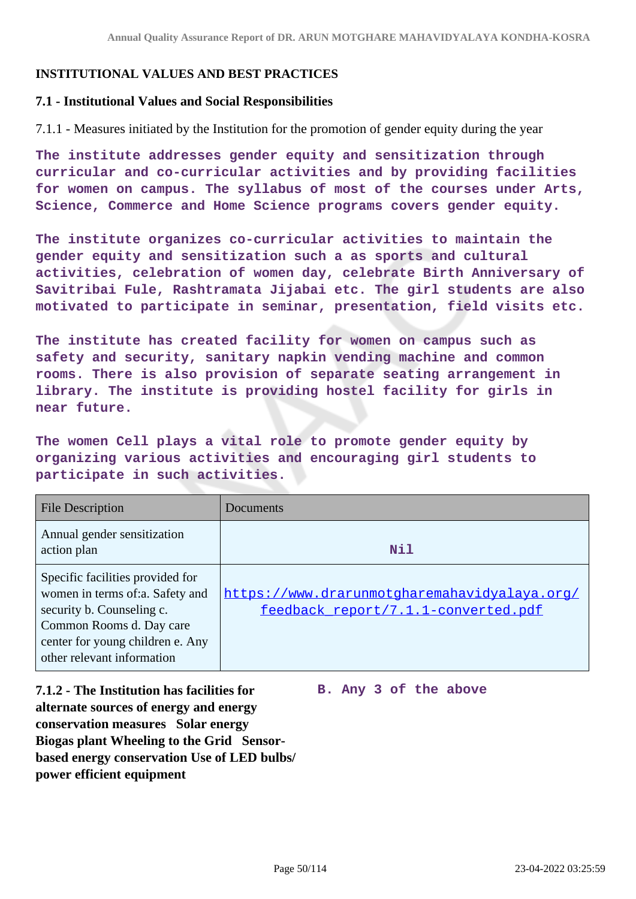# **INSTITUTIONAL VALUES AND BEST PRACTICES**

#### **7.1 - Institutional Values and Social Responsibilities**

7.1.1 - Measures initiated by the Institution for the promotion of gender equity during the year

**The institute addresses gender equity and sensitization through curricular and co-curricular activities and by providing facilities for women on campus. The syllabus of most of the courses under Arts, Science, Commerce and Home Science programs covers gender equity.**

**The institute organizes co-curricular activities to maintain the gender equity and sensitization such a as sports and cultural activities, celebration of women day, celebrate Birth Anniversary of Savitribai Fule, Rashtramata Jijabai etc. The girl students are also motivated to participate in seminar, presentation, field visits etc.**

**The institute has created facility for women on campus such as safety and security, sanitary napkin vending machine and common rooms. There is also provision of separate seating arrangement in library. The institute is providing hostel facility for girls in near future.**

**The women Cell plays a vital role to promote gender equity by organizing various activities and encouraging girl students to participate in such activities.**

| <b>File Description</b>                                                                                                                                                                        | Documents                                                                           |
|------------------------------------------------------------------------------------------------------------------------------------------------------------------------------------------------|-------------------------------------------------------------------------------------|
| Annual gender sensitization<br>action plan                                                                                                                                                     | Nil                                                                                 |
| Specific facilities provided for<br>women in terms of:a. Safety and<br>security b. Counseling c.<br>Common Rooms d. Day care<br>center for young children e. Any<br>other relevant information | https://www.drarunmotgharemahavidyalaya.org/<br>feedback_report/7.1.1-converted.pdf |

**7.1.2 - The Institution has facilities for alternate sources of energy and energy conservation measures Solar energy Biogas plant Wheeling to the Grid Sensorbased energy conservation Use of LED bulbs/ power efficient equipment** 

**B. Any 3 of the above**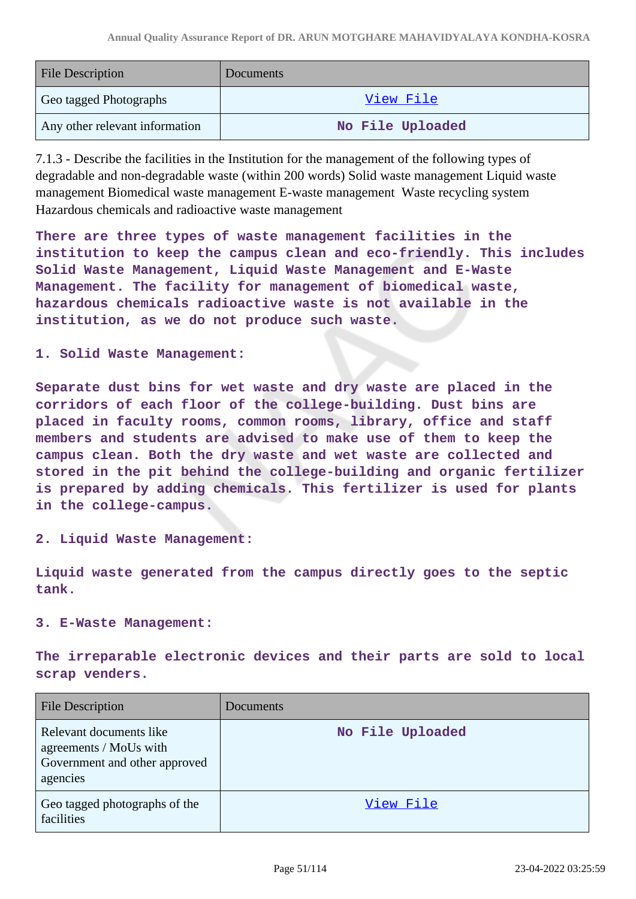| <b>File Description</b>        | Documents        |
|--------------------------------|------------------|
| Geo tagged Photographs         | View File        |
| Any other relevant information | No File Uploaded |

7.1.3 - Describe the facilities in the Institution for the management of the following types of degradable and non-degradable waste (within 200 words) Solid waste management Liquid waste management Biomedical waste management E-waste management Waste recycling system Hazardous chemicals and radioactive waste management

**There are three types of waste management facilities in the institution to keep the campus clean and eco-friendly. This includes Solid Waste Management, Liquid Waste Management and E-Waste Management. The facility for management of biomedical waste, hazardous chemicals radioactive waste is not available in the institution, as we do not produce such waste.**

#### **1. Solid Waste Management:**

**Separate dust bins for wet waste and dry waste are placed in the corridors of each floor of the college-building. Dust bins are placed in faculty rooms, common rooms, library, office and staff members and students are advised to make use of them to keep the campus clean. Both the dry waste and wet waste are collected and stored in the pit behind the college-building and organic fertilizer is prepared by adding chemicals. This fertilizer is used for plants in the college-campus.**

**2. Liquid Waste Management:**

**Liquid waste generated from the campus directly goes to the septic tank.**

#### **3. E-Waste Management:**

**The irreparable electronic devices and their parts are sold to local scrap venders.**

| <b>File Description</b>                                                                        | Documents        |
|------------------------------------------------------------------------------------------------|------------------|
| Relevant documents like<br>agreements / MoUs with<br>Government and other approved<br>agencies | No File Uploaded |
| Geo tagged photographs of the<br>facilities                                                    | View File        |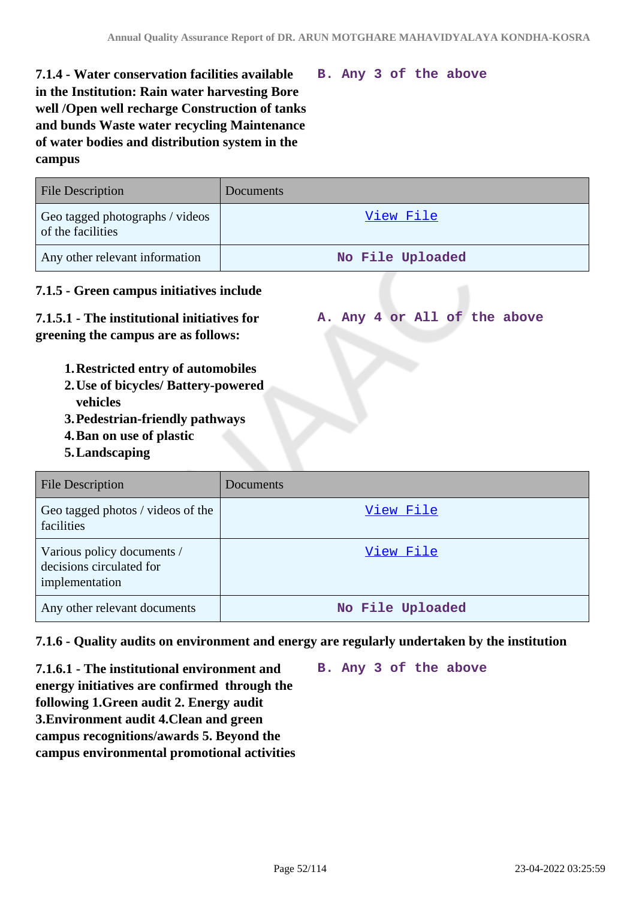**B. Any 3 of the above**

**A. Any 4 or All of the above**

# **7.1.4 - Water conservation facilities available in the Institution: Rain water harvesting Bore well /Open well recharge Construction of tanks and bunds Waste water recycling Maintenance of water bodies and distribution system in the campus**

# File Description Documents Geo tagged photographs / videos of the facilities View File Any other relevant information **No File Uploaded**

# **7.1.5 - Green campus initiatives include**

# **7.1.5.1 - The institutional initiatives for greening the campus are as follows:**

- **1.Restricted entry of automobiles**
- **2.Use of bicycles/ Battery-powered vehicles**
- **3.Pedestrian-friendly pathways**
- **4.Ban on use of plastic**
- **5.Landscaping**

| <b>File Description</b>                                                  | Documents        |
|--------------------------------------------------------------------------|------------------|
| Geo tagged photos / videos of the<br>facilities                          | View File        |
| Various policy documents /<br>decisions circulated for<br>implementation | View File        |
| Any other relevant documents                                             | No File Uploaded |

#### **7.1.6 - Quality audits on environment and energy are regularly undertaken by the institution**

**7.1.6.1 - The institutional environment and energy initiatives are confirmed through the following 1.Green audit 2. Energy audit 3.Environment audit 4.Clean and green campus recognitions/awards 5. Beyond the campus environmental promotional activities** **B. Any 3 of the above**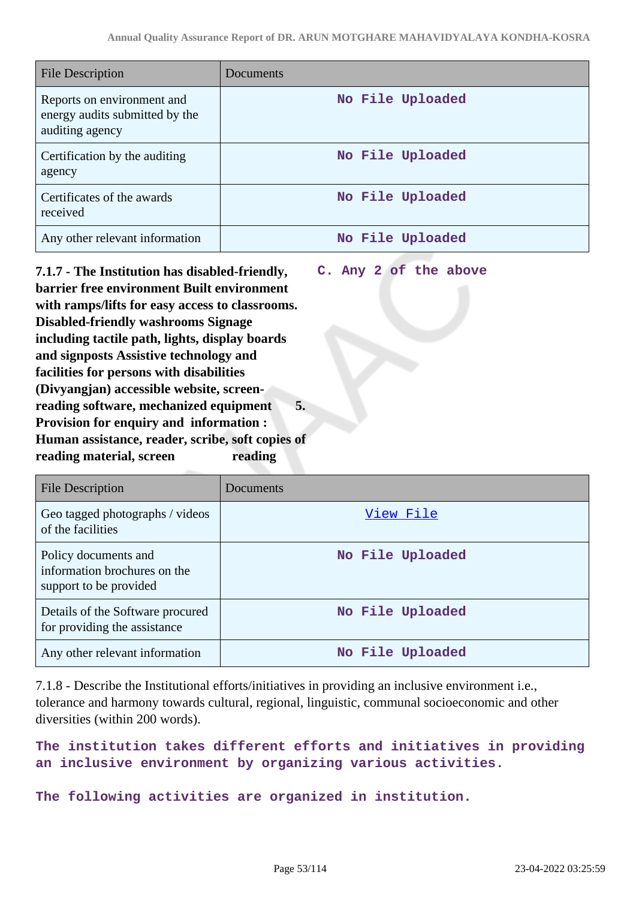**C. Any 2 of the above**

| File Description                                                                | Documents        |
|---------------------------------------------------------------------------------|------------------|
| Reports on environment and<br>energy audits submitted by the<br>auditing agency | No File Uploaded |
| Certification by the auditing<br>agency                                         | No File Uploaded |
| Certificates of the awards<br>received                                          | No File Uploaded |
| Any other relevant information                                                  | No File Uploaded |

**7.1.7 - The Institution has disabled-friendly, barrier free environment Built environment with ramps/lifts for easy access to classrooms. Disabled-friendly washrooms Signage including tactile path, lights, display boards and signposts Assistive technology and facilities for persons with disabilities (Divyangjan) accessible website, screenreading software, mechanized equipment 5. Provision for enquiry and information : Human assistance, reader, scribe, soft copies of reading material, screen reading**

File Description Documents Geo tagged photographs / videos of the facilities View File Policy documents and information brochures on the support to be provided **No File Uploaded** Details of the Software procured for providing the assistance **No File Uploaded** Any other relevant information **No File Uploaded** 

7.1.8 - Describe the Institutional efforts/initiatives in providing an inclusive environment i.e., tolerance and harmony towards cultural, regional, linguistic, communal socioeconomic and other diversities (within 200 words).

**The institution takes different efforts and initiatives in providing an inclusive environment by organizing various activities.**

**The following activities are organized in institution.**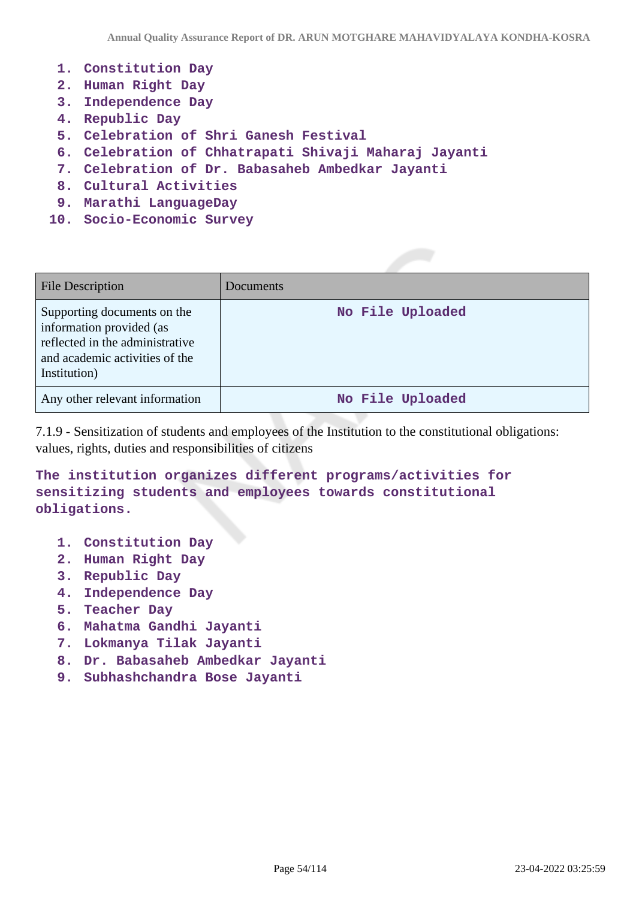- **1. Constitution Day**
- **2. Human Right Day**
- **3. Independence Day**
- **4. Republic Day**
- **5. Celebration of Shri Ganesh Festival**
- **6. Celebration of Chhatrapati Shivaji Maharaj Jayanti**
- **7. Celebration of Dr. Babasaheb Ambedkar Jayanti**
- **8. Cultural Activities**
- **9. Marathi LanguageDay**
- **10. Socio-Economic Survey**

| <b>File Description</b>                                                                                                                      | <b>Documents</b> |
|----------------------------------------------------------------------------------------------------------------------------------------------|------------------|
| Supporting documents on the<br>information provided (as<br>reflected in the administrative<br>and academic activities of the<br>Institution) | No File Uploaded |
| Any other relevant information                                                                                                               | No File Uploaded |

7.1.9 - Sensitization of students and employees of the Institution to the constitutional obligations: values, rights, duties and responsibilities of citizens

**The institution organizes different programs/activities for sensitizing students and employees towards constitutional obligations.**

- **1. Constitution Day**
- **2. Human Right Day**
- **3. Republic Day**
- **4. Independence Day**
- **5. Teacher Day**
- **6. Mahatma Gandhi Jayanti**
- **7. Lokmanya Tilak Jayanti**
- **8. Dr. Babasaheb Ambedkar Jayanti**
- **9. Subhashchandra Bose Jayanti**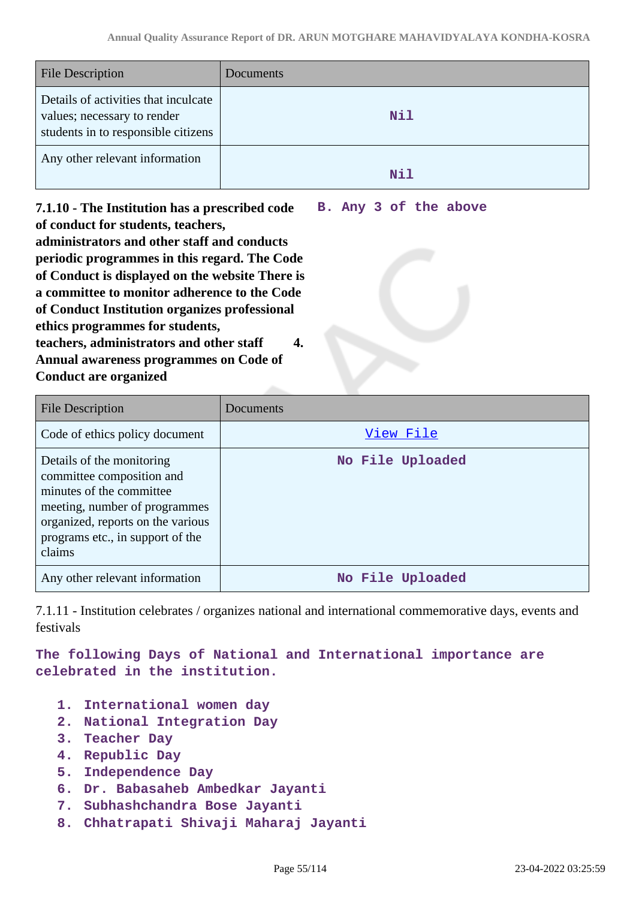| <b>File Description</b>                                                                                    | <b>Documents</b> |
|------------------------------------------------------------------------------------------------------------|------------------|
| Details of activities that inculcate<br>values; necessary to render<br>students in to responsible citizens | Nil              |
| Any other relevant information                                                                             | Nil              |

**7.1.10 - The Institution has a prescribed code of conduct for students, teachers, administrators and other staff and conducts periodic programmes in this regard. The Code of Conduct is displayed on the website There is a committee to monitor adherence to the Code of Conduct Institution organizes professional ethics programmes for students, teachers, administrators and other staff 4. Annual awareness programmes on Code of Conduct are organized B. Any 3 of the above**

File Description Documents Code of ethics policy document View File Details of the monitoring committee composition and minutes of the committee meeting, number of programmes organized, reports on the various programs etc., in support of the claims **No File Uploaded** Any other relevant information **No File Uploaded** 

7.1.11 - Institution celebrates / organizes national and international commemorative days, events and festivals

**The following Days of National and International importance are celebrated in the institution.**

- **1. International women day**
- **2. National Integration Day**
- **3. Teacher Day**
- **4. Republic Day**
- **5. Independence Day**
- **6. Dr. Babasaheb Ambedkar Jayanti**
- **7. Subhashchandra Bose Jayanti**
- **8. Chhatrapati Shivaji Maharaj Jayanti**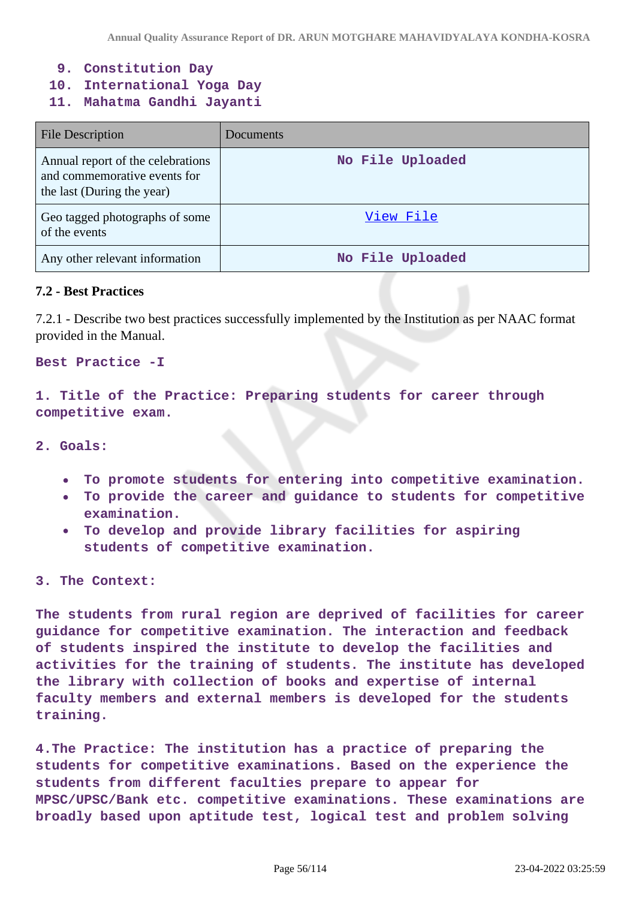- **9. Constitution Day**
- **10. International Yoga Day**
- **11. Mahatma Gandhi Jayanti**

| <b>File Description</b>                                                                         | Documents        |
|-------------------------------------------------------------------------------------------------|------------------|
| Annual report of the celebrations<br>and commemorative events for<br>the last (During the year) | No File Uploaded |
| Geo tagged photographs of some<br>of the events                                                 | View File        |
| Any other relevant information                                                                  | No File Uploaded |

#### **7.2 - Best Practices**

7.2.1 - Describe two best practices successfully implemented by the Institution as per NAAC format provided in the Manual.

#### **Best Practice -I**

**1. Title of the Practice: Preparing students for career through competitive exam.**

- **2. Goals:** 
	- **To promote students for entering into competitive examination.**
	- **To provide the career and guidance to students for competitive**  $\bullet$ **examination.**
	- **To develop and provide library facilities for aspiring students of competitive examination.**

#### **3. The Context:**

**The students from rural region are deprived of facilities for career guidance for competitive examination. The interaction and feedback of students inspired the institute to develop the facilities and activities for the training of students. The institute has developed the library with collection of books and expertise of internal faculty members and external members is developed for the students training.**

**4.The Practice: The institution has a practice of preparing the students for competitive examinations. Based on the experience the students from different faculties prepare to appear for MPSC/UPSC/Bank etc. competitive examinations. These examinations are broadly based upon aptitude test, logical test and problem solving**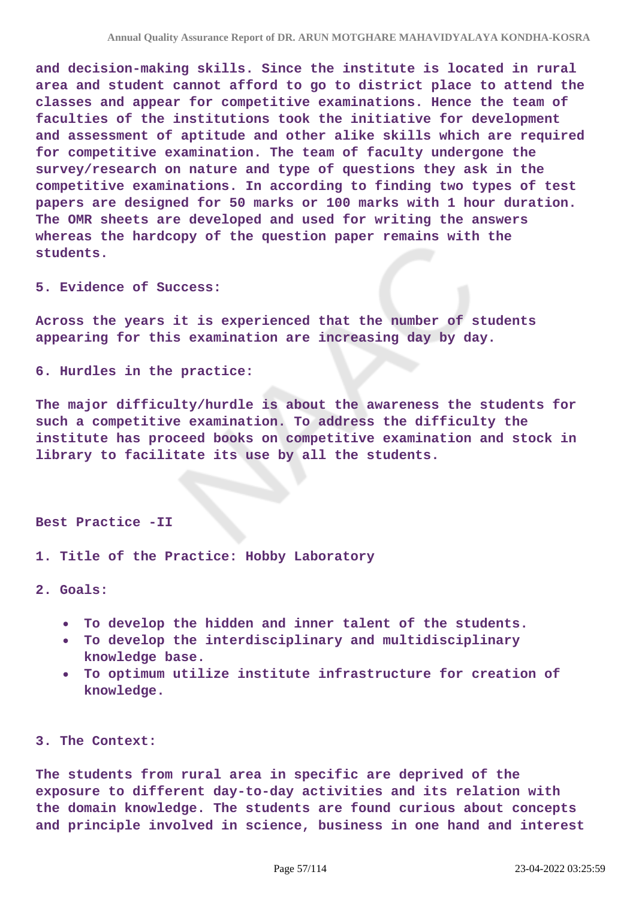**and decision-making skills. Since the institute is located in rural area and student cannot afford to go to district place to attend the classes and appear for competitive examinations. Hence the team of faculties of the institutions took the initiative for development and assessment of aptitude and other alike skills which are required for competitive examination. The team of faculty undergone the survey/research on nature and type of questions they ask in the competitive examinations. In according to finding two types of test papers are designed for 50 marks or 100 marks with 1 hour duration. The OMR sheets are developed and used for writing the answers whereas the hardcopy of the question paper remains with the students.**

**5. Evidence of Success:**

**Across the years it is experienced that the number of students appearing for this examination are increasing day by day.**

**6. Hurdles in the practice:**

**The major difficulty/hurdle is about the awareness the students for such a competitive examination. To address the difficulty the institute has proceed books on competitive examination and stock in library to facilitate its use by all the students.**

#### **Best Practice -II**

**1. Title of the Practice: Hobby Laboratory**

**2. Goals:**

- **To develop the hidden and inner talent of the students.**
- **To develop the interdisciplinary and multidisciplinary**  $\bullet$ **knowledge base.**
- **To optimum utilize institute infrastructure for creation of knowledge.**

#### **3. The Context:**

**The students from rural area in specific are deprived of the exposure to different day-to-day activities and its relation with the domain knowledge. The students are found curious about concepts and principle involved in science, business in one hand and interest**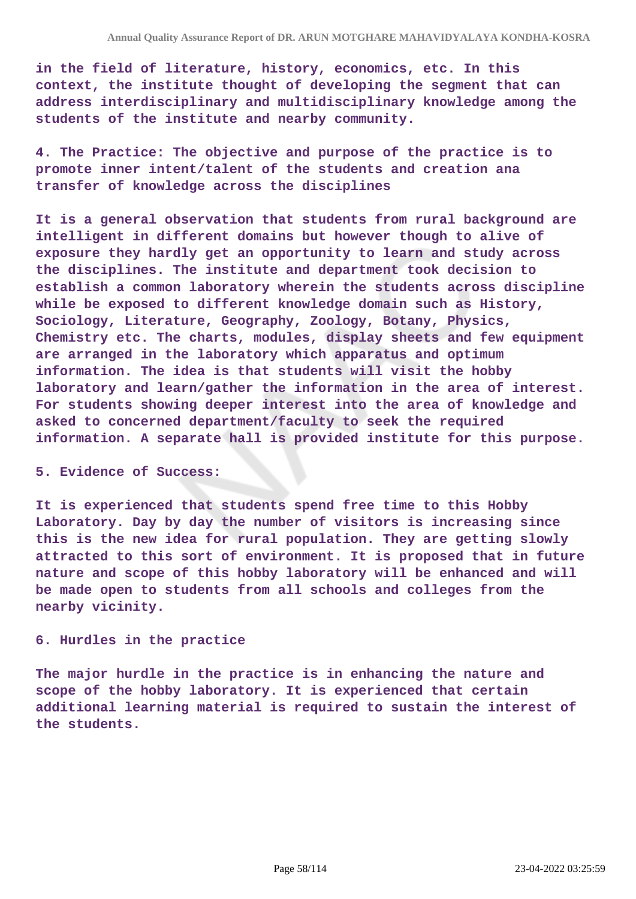**in the field of literature, history, economics, etc. In this context, the institute thought of developing the segment that can address interdisciplinary and multidisciplinary knowledge among the students of the institute and nearby community.**

**4. The Practice: The objective and purpose of the practice is to promote inner intent/talent of the students and creation ana transfer of knowledge across the disciplines**

**It is a general observation that students from rural background are intelligent in different domains but however though to alive of exposure they hardly get an opportunity to learn and study across the disciplines. The institute and department took decision to establish a common laboratory wherein the students across discipline while be exposed to different knowledge domain such as History, Sociology, Literature, Geography, Zoology, Botany, Physics, Chemistry etc. The charts, modules, display sheets and few equipment are arranged in the laboratory which apparatus and optimum information. The idea is that students will visit the hobby laboratory and learn/gather the information in the area of interest. For students showing deeper interest into the area of knowledge and asked to concerned department/faculty to seek the required information. A separate hall is provided institute for this purpose.**

#### **5. Evidence of Success:**

**It is experienced that students spend free time to this Hobby Laboratory. Day by day the number of visitors is increasing since this is the new idea for rural population. They are getting slowly attracted to this sort of environment. It is proposed that in future nature and scope of this hobby laboratory will be enhanced and will be made open to students from all schools and colleges from the nearby vicinity.**

#### **6. Hurdles in the practice**

**The major hurdle in the practice is in enhancing the nature and scope of the hobby laboratory. It is experienced that certain additional learning material is required to sustain the interest of the students.**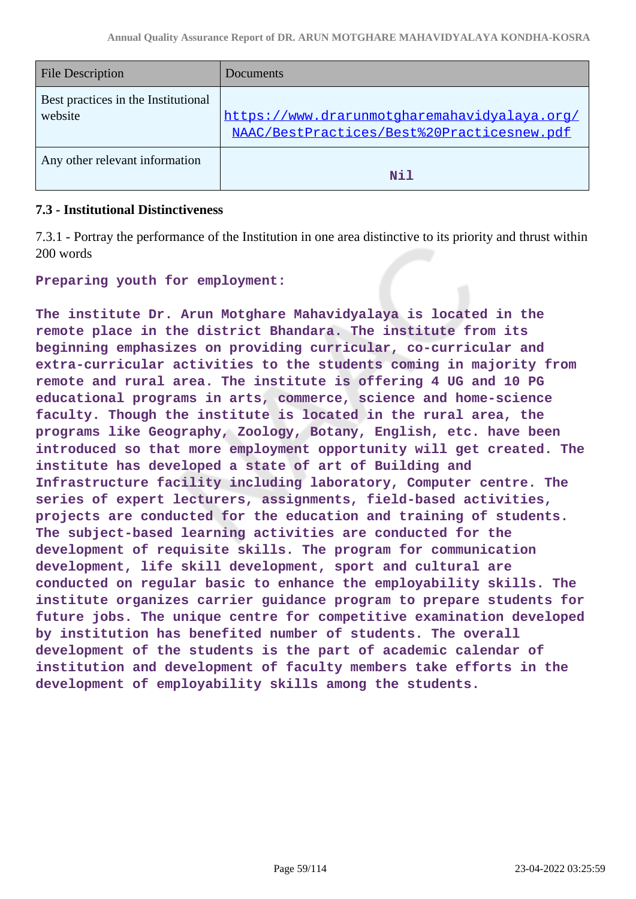| <b>File Description</b>                        | Documents                                                                                  |
|------------------------------------------------|--------------------------------------------------------------------------------------------|
| Best practices in the Institutional<br>website | https://www.drarunmotgharemahavidyalaya.org/<br>NAAC/BestPractices/Best%20Practicesnew.pdf |
| Any other relevant information                 | N <sub>i</sub> 1                                                                           |

### **7.3 - Institutional Distinctiveness**

7.3.1 - Portray the performance of the Institution in one area distinctive to its priority and thrust within 200 words

**Preparing youth for employment:**

**The institute Dr. Arun Motghare Mahavidyalaya is located in the remote place in the district Bhandara. The institute from its beginning emphasizes on providing curricular, co-curricular and extra-curricular activities to the students coming in majority from remote and rural area. The institute is offering 4 UG and 10 PG educational programs in arts, commerce, science and home-science faculty. Though the institute is located in the rural area, the programs like Geography, Zoology, Botany, English, etc. have been introduced so that more employment opportunity will get created. The institute has developed a state of art of Building and Infrastructure facility including laboratory, Computer centre. The series of expert lecturers, assignments, field-based activities, projects are conducted for the education and training of students. The subject-based learning activities are conducted for the development of requisite skills. The program for communication development, life skill development, sport and cultural are conducted on regular basic to enhance the employability skills. The institute organizes carrier guidance program to prepare students for future jobs. The unique centre for competitive examination developed by institution has benefited number of students. The overall development of the students is the part of academic calendar of institution and development of faculty members take efforts in the development of employability skills among the students.**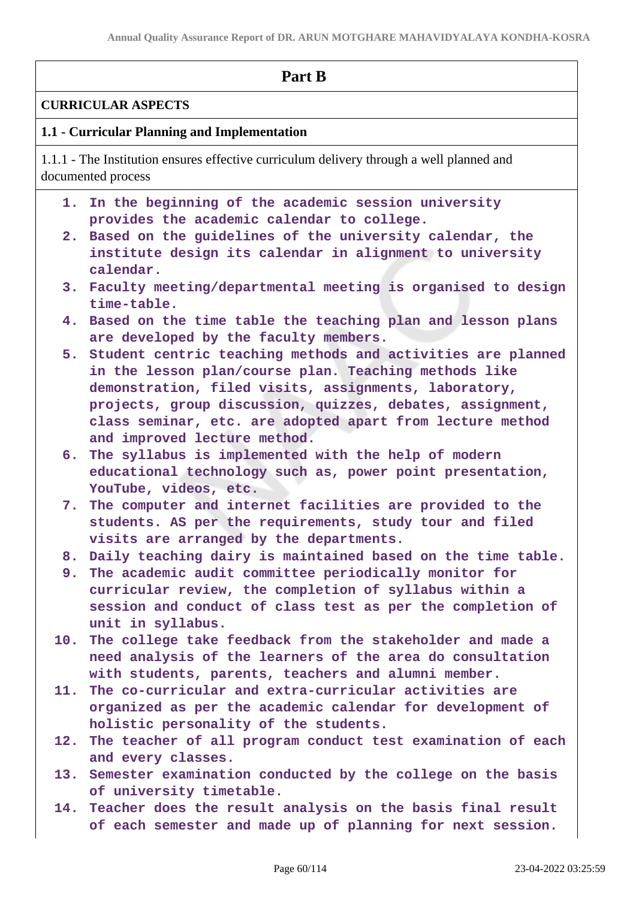|      | Part B                                                                                                                                                                                                                                                                                                     |  |
|------|------------------------------------------------------------------------------------------------------------------------------------------------------------------------------------------------------------------------------------------------------------------------------------------------------------|--|
|      | <b>CURRICULAR ASPECTS</b>                                                                                                                                                                                                                                                                                  |  |
|      | 1.1 - Curricular Planning and Implementation                                                                                                                                                                                                                                                               |  |
|      | 1.1.1 - The Institution ensures effective curriculum delivery through a well planned and<br>documented process                                                                                                                                                                                             |  |
| 1. . | In the beginning of the academic session university<br>provides the academic calendar to college.                                                                                                                                                                                                          |  |
| 2.   | Based on the guidelines of the university calendar, the<br>institute design its calendar in alignment to university<br>calendar.                                                                                                                                                                           |  |
|      | 3. Faculty meeting/departmental meeting is organised to design<br>time-table.                                                                                                                                                                                                                              |  |
|      | 4. Based on the time table the teaching plan and lesson plans<br>are developed by the faculty members.                                                                                                                                                                                                     |  |
|      | 5. Student centric teaching methods and activities are planned<br>in the lesson plan/course plan. Teaching methods like<br>demonstration, filed visits, assignments, laboratory,<br>projects, group discussion, quizzes, debates, assignment,<br>class seminar, etc. are adopted apart from lecture method |  |
| 6.   | and improved lecture method.<br>The syllabus is implemented with the help of modern<br>educational technology such as, power point presentation,<br>YouTube, videos, etc.                                                                                                                                  |  |
| 7.   | The computer and internet facilities are provided to the<br>students. AS per the requirements, study tour and filed<br>visits are arranged by the departments.                                                                                                                                             |  |
|      | 8. Daily teaching dairy is maintained based on the time table.                                                                                                                                                                                                                                             |  |
|      | 9. The academic audit committee periodically monitor for<br>curricular review, the completion of syllabus within a<br>session and conduct of class test as per the completion of<br>unit in syllabus.                                                                                                      |  |
|      | 10. The college take feedback from the stakeholder and made a<br>need analysis of the learners of the area do consultation<br>with students, parents, teachers and alumni member.                                                                                                                          |  |
|      | 11. The co-curricular and extra-curricular activities are<br>organized as per the academic calendar for development of                                                                                                                                                                                     |  |
|      | holistic personality of the students.<br>12. The teacher of all program conduct test examination of each<br>and every classes.                                                                                                                                                                             |  |
|      | 13. Semester examination conducted by the college on the basis<br>of university timetable.                                                                                                                                                                                                                 |  |
|      |                                                                                                                                                                                                                                                                                                            |  |

**14. Teacher does the result analysis on the basis final result of each semester and made up of planning for next session.**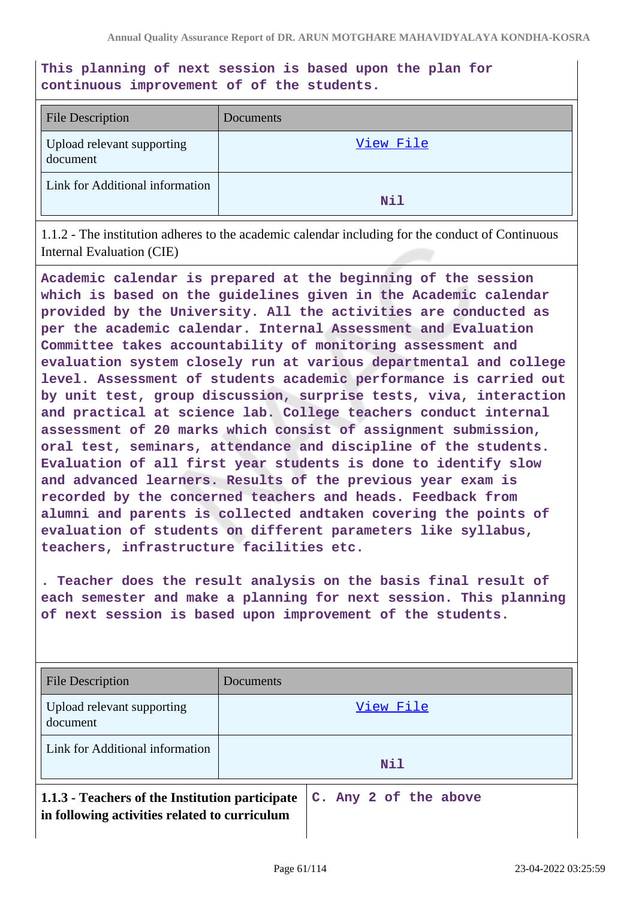**This planning of next session is based upon the plan for continuous improvement of of the students.**

| <b>File Description</b>                | Documents |
|----------------------------------------|-----------|
| Upload relevant supporting<br>document | View File |
| Link for Additional information        | Nil       |

1.1.2 - The institution adheres to the academic calendar including for the conduct of Continuous Internal Evaluation (CIE)

**Academic calendar is prepared at the beginning of the session which is based on the guidelines given in the Academic calendar provided by the University. All the activities are conducted as per the academic calendar. Internal Assessment and Evaluation Committee takes accountability of monitoring assessment and evaluation system closely run at various departmental and college level. Assessment of students academic performance is carried out by unit test, group discussion, surprise tests, viva, interaction and practical at science lab. College teachers conduct internal assessment of 20 marks which consist of assignment submission, oral test, seminars, attendance and discipline of the students. Evaluation of all first year students is done to identify slow and advanced learners. Results of the previous year exam is recorded by the concerned teachers and heads. Feedback from alumni and parents is collected andtaken covering the points of evaluation of students on different parameters like syllabus, teachers, infrastructure facilities etc.**

**. Teacher does the result analysis on the basis final result of each semester and make a planning for next session. This planning of next session is based upon improvement of the students.**

| File Description                                                                                 | Documents             |
|--------------------------------------------------------------------------------------------------|-----------------------|
| Upload relevant supporting<br>document                                                           | View File             |
| Link for Additional information                                                                  | <b>Nil</b>            |
| 1.1.3 - Teachers of the Institution participate<br>in following activities related to curriculum | C. Any 2 of the above |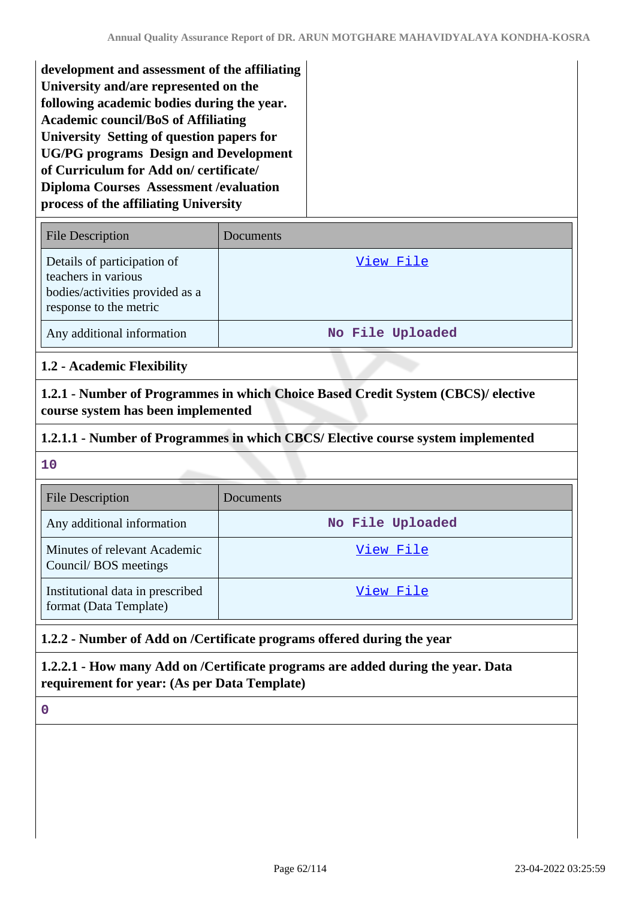| development and assessment of the affiliating  |  |
|------------------------------------------------|--|
| University and/are represented on the          |  |
| following academic bodies during the year.     |  |
| <b>Academic council/BoS of Affiliating</b>     |  |
| University Setting of question papers for      |  |
| <b>UG/PG</b> programs Design and Development   |  |
| of Curriculum for Add on/certificate/          |  |
| <b>Diploma Courses Assessment / evaluation</b> |  |
| process of the affiliating University          |  |

| <b>File Description</b>                                                                                         | Documents        |
|-----------------------------------------------------------------------------------------------------------------|------------------|
| Details of participation of<br>teachers in various<br>bodies/activities provided as a<br>response to the metric | View File        |
| Any additional information                                                                                      | No File Uploaded |

# **1.2 - Academic Flexibility**

**1.2.1 - Number of Programmes in which Choice Based Credit System (CBCS)/ elective course system has been implemented**

# **1.2.1.1 - Number of Programmes in which CBCS/ Elective course system implemented**

#### **10**

| <b>File Description</b>                                    | Documents        |
|------------------------------------------------------------|------------------|
| Any additional information                                 | No File Uploaded |
| Minutes of relevant Academic<br>Council/BOS meetings       | View File        |
| Institutional data in prescribed<br>format (Data Template) | View File        |

# **1.2.2 - Number of Add on /Certificate programs offered during the year**

# **1.2.2.1 - How many Add on /Certificate programs are added during the year. Data requirement for year: (As per Data Template)**

**0**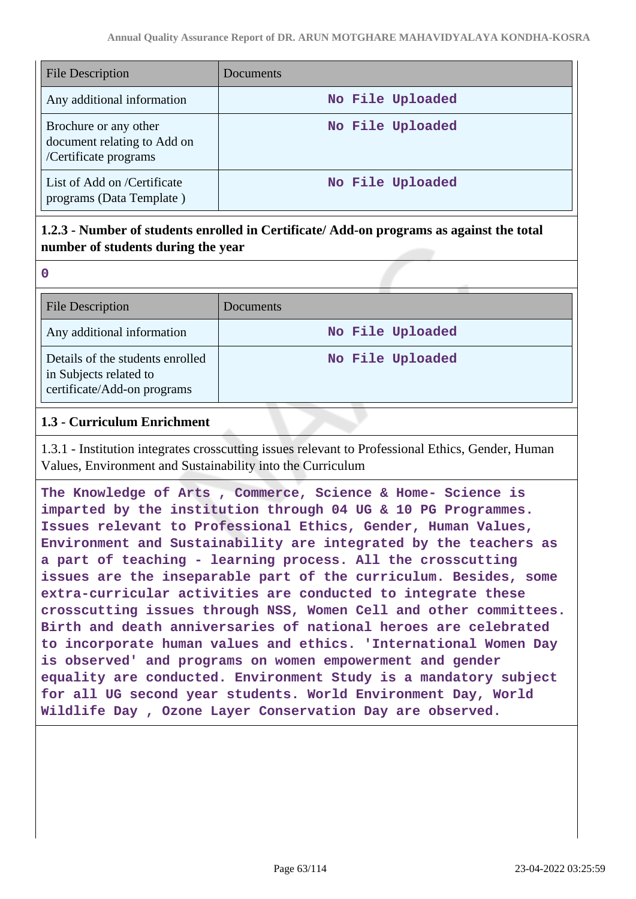| <b>File Description</b>                                                       | Documents        |
|-------------------------------------------------------------------------------|------------------|
| Any additional information                                                    | No File Uploaded |
| Brochure or any other<br>document relating to Add on<br>/Certificate programs | No File Uploaded |
| List of Add on /Certificate<br>programs (Data Template)                       | No File Uploaded |

# **1.2.3 - Number of students enrolled in Certificate/ Add-on programs as against the total number of students during the year**

| <b>File Description</b>                                                                   | Documents        |
|-------------------------------------------------------------------------------------------|------------------|
| Any additional information                                                                | No File Uploaded |
| Details of the students enrolled<br>in Subjects related to<br>certificate/Add-on programs | No File Uploaded |

# **1.3 - Curriculum Enrichment**

**0**

1.3.1 - Institution integrates crosscutting issues relevant to Professional Ethics, Gender, Human Values, Environment and Sustainability into the Curriculum

**The Knowledge of Arts , Commerce, Science & Home- Science is imparted by the institution through 04 UG & 10 PG Programmes. Issues relevant to Professional Ethics, Gender, Human Values, Environment and Sustainability are integrated by the teachers as a part of teaching - learning process. All the crosscutting issues are the inseparable part of the curriculum. Besides, some extra-curricular activities are conducted to integrate these crosscutting issues through NSS, Women Cell and other committees. Birth and death anniversaries of national heroes are celebrated to incorporate human values and ethics. 'International Women Day is observed' and programs on women empowerment and gender equality are conducted. Environment Study is a mandatory subject for all UG second year students. World Environment Day, World Wildlife Day , Ozone Layer Conservation Day are observed.**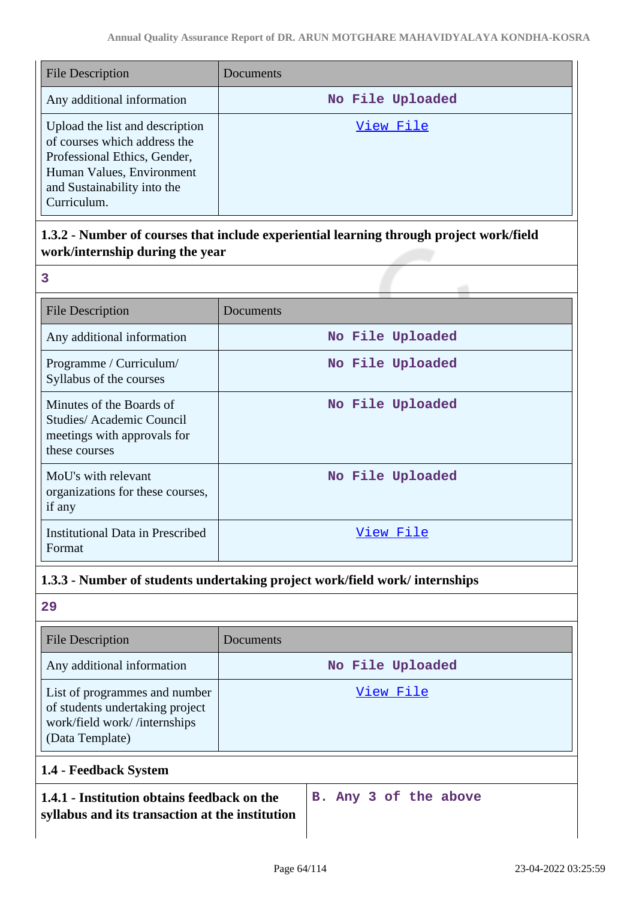| <b>File Description</b>                                                                                                                                                    | Documents        |
|----------------------------------------------------------------------------------------------------------------------------------------------------------------------------|------------------|
| Any additional information                                                                                                                                                 | No File Uploaded |
| Upload the list and description<br>of courses which address the<br>Professional Ethics, Gender,<br>Human Values, Environment<br>and Sustainability into the<br>Curriculum. | View File        |

# **1.3.2 - Number of courses that include experiential learning through project work/field work/internship during the year**

| 3                                                                                                    |                  |
|------------------------------------------------------------------------------------------------------|------------------|
| <b>File Description</b>                                                                              | Documents        |
| Any additional information                                                                           | No File Uploaded |
| Programme / Curriculum/<br>Syllabus of the courses                                                   | No File Uploaded |
| Minutes of the Boards of<br>Studies/Academic Council<br>meetings with approvals for<br>these courses | No File Uploaded |
| MoU's with relevant<br>organizations for these courses,<br>if any                                    | No File Uploaded |
| <b>Institutional Data in Prescribed</b><br>Format                                                    | View File        |

# **1.3.3 - Number of students undertaking project work/field work/ internships**

# **29**

| <b>File Description</b>                                                                                             | Documents             |
|---------------------------------------------------------------------------------------------------------------------|-----------------------|
| Any additional information                                                                                          | No File Uploaded      |
| List of programmes and number<br>of students undertaking project<br>work/field work//internships<br>(Data Template) | View File             |
| 1.4 - Feedback System                                                                                               |                       |
| 1.4.1 - Institution obtains feedback on the<br>syllabus and its transaction at the institution                      | B. Any 3 of the above |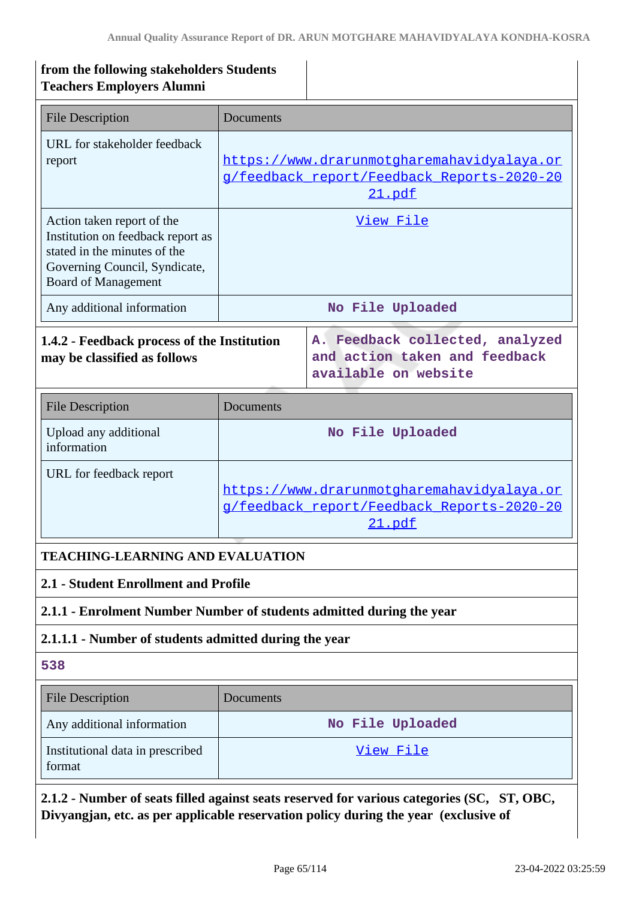| from the following stakeholders Students<br><b>Teachers Employers Alumni</b>                                                                                   |                                                                                                                  |                                                                                                    |  |
|----------------------------------------------------------------------------------------------------------------------------------------------------------------|------------------------------------------------------------------------------------------------------------------|----------------------------------------------------------------------------------------------------|--|
| <b>File Description</b>                                                                                                                                        | Documents                                                                                                        |                                                                                                    |  |
| URL for stakeholder feedback<br>report                                                                                                                         |                                                                                                                  | https://www.drarunmotgharemahavidyalaya.or<br>g/feedback report/Feedback Reports-2020-20<br>21.pdf |  |
| Action taken report of the<br>Institution on feedback report as<br>stated in the minutes of the<br>Governing Council, Syndicate,<br><b>Board of Management</b> | View File                                                                                                        |                                                                                                    |  |
| Any additional information                                                                                                                                     |                                                                                                                  | No File Uploaded                                                                                   |  |
| 1.4.2 - Feedback process of the Institution<br>may be classified as follows                                                                                    |                                                                                                                  | A. Feedback collected, analyzed<br>and action taken and feedback<br>available on website           |  |
| <b>File Description</b>                                                                                                                                        | Documents                                                                                                        |                                                                                                    |  |
| Upload any additional<br>information                                                                                                                           | No File Uploaded                                                                                                 |                                                                                                    |  |
| URL for feedback report                                                                                                                                        | https://www.drarunmotgharemahavidyalaya.or<br><u>g/feedback report/Feedback Reports-2020-20</u><br><u>21.pdf</u> |                                                                                                    |  |
| <b>TEACHING-LEARNING AND EVALUATION</b>                                                                                                                        |                                                                                                                  |                                                                                                    |  |
| 2.1 - Student Enrollment and Profile                                                                                                                           |                                                                                                                  |                                                                                                    |  |
| 2.1.1 - Enrolment Number Number of students admitted during the year                                                                                           |                                                                                                                  |                                                                                                    |  |
|                                                                                                                                                                | 2.1.1.1 - Number of students admitted during the year                                                            |                                                                                                    |  |
| 538                                                                                                                                                            |                                                                                                                  |                                                                                                    |  |
| <b>File Description</b>                                                                                                                                        | Documents                                                                                                        |                                                                                                    |  |
| Any additional information                                                                                                                                     | No File Uploaded                                                                                                 |                                                                                                    |  |
| Institutional data in prescribed<br>format                                                                                                                     | <u>View File</u>                                                                                                 |                                                                                                    |  |
| 2.1.2 - Number of seats filled against seats reserved for various categories (SC, ST, OBC,                                                                     |                                                                                                                  |                                                                                                    |  |

**Divyangjan, etc. as per applicable reservation policy during the year (exclusive of**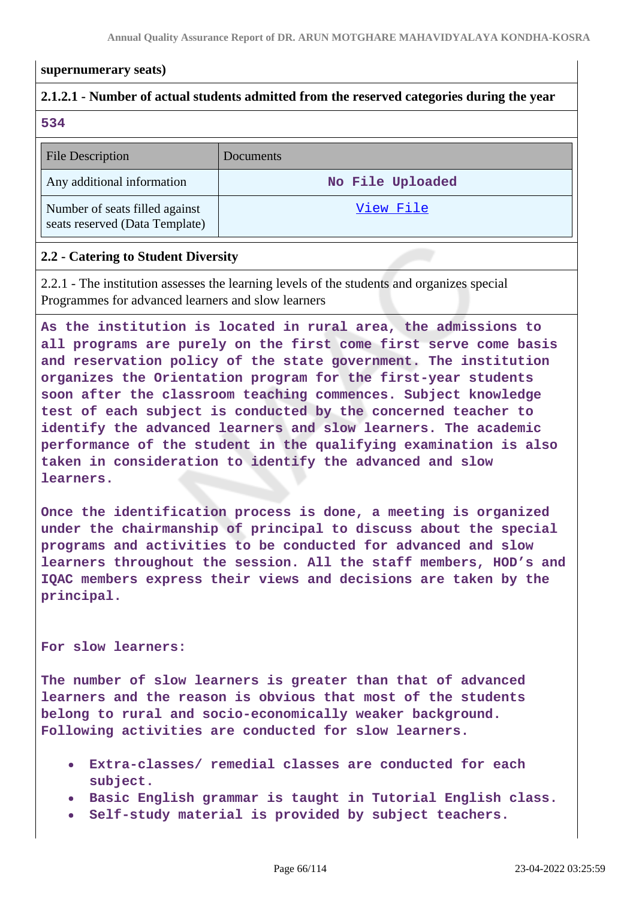#### **supernumerary seats)**

# **2.1.2.1 - Number of actual students admitted from the reserved categories during the year**

**534**

| <b>File Description</b>                                          | Documents        |
|------------------------------------------------------------------|------------------|
| Any additional information                                       | No File Uploaded |
| Number of seats filled against<br>seats reserved (Data Template) | View File        |

### **2.2 - Catering to Student Diversity**

2.2.1 - The institution assesses the learning levels of the students and organizes special Programmes for advanced learners and slow learners

**As the institution is located in rural area, the admissions to all programs are purely on the first come first serve come basis and reservation policy of the state government. The institution organizes the Orientation program for the first-year students soon after the classroom teaching commences. Subject knowledge test of each subject is conducted by the concerned teacher to identify the advanced learners and slow learners. The academic performance of the student in the qualifying examination is also taken in consideration to identify the advanced and slow learners.**

**Once the identification process is done, a meeting is organized under the chairmanship of principal to discuss about the special programs and activities to be conducted for advanced and slow learners throughout the session. All the staff members, HOD's and IQAC members express their views and decisions are taken by the principal.**

#### **For slow learners:**

**The number of slow learners is greater than that of advanced learners and the reason is obvious that most of the students belong to rural and socio-economically weaker background. Following activities are conducted for slow learners.**

- **Extra-classes/ remedial classes are conducted for each subject.**
- **Basic English grammar is taught in Tutorial English class.**
- **Self-study material is provided by subject teachers.**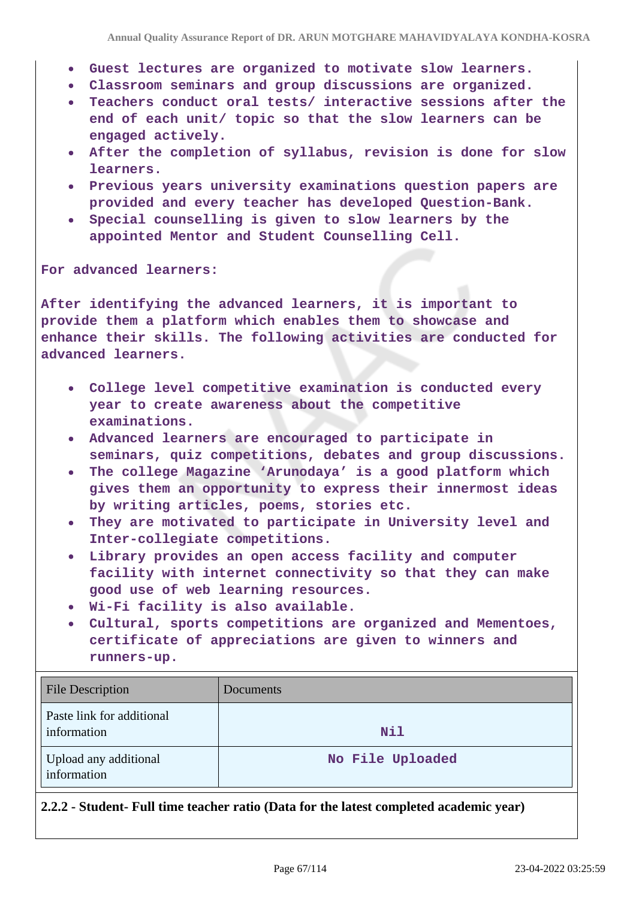- **Guest lectures are organized to motivate slow learners.**
- **Classroom seminars and group discussions are organized.**
- **Teachers conduct oral tests/ interactive sessions after the end of each unit/ topic so that the slow learners can be engaged actively.**
- **After the completion of syllabus, revision is done for slow learners.**
- **Previous years university examinations question papers are provided and every teacher has developed Question-Bank.**
- **Special counselling is given to slow learners by the appointed Mentor and Student Counselling Cell.**

**For advanced learners:**

**After identifying the advanced learners, it is important to provide them a platform which enables them to showcase and enhance their skills. The following activities are conducted for advanced learners.**

- **College level competitive examination is conducted every year to create awareness about the competitive examinations.**
- **Advanced learners are encouraged to participate in seminars, quiz competitions, debates and group discussions.**
- **The college Magazine 'Arunodaya' is a good platform which gives them an opportunity to express their innermost ideas by writing articles, poems, stories etc.**
- **They are motivated to participate in University level and Inter-collegiate competitions.**
- **Library provides an open access facility and computer facility with internet connectivity so that they can make good use of web learning resources.**
- **Wi-Fi facility is also available.**
- **Cultural, sports competitions are organized and Mementoes, certificate of appreciations are given to winners and runners-up.**

| <b>File Description</b>                  | Documents        |
|------------------------------------------|------------------|
| Paste link for additional<br>information | Nil              |
| Upload any additional<br>information     | No File Uploaded |

**2.2.2 - Student- Full time teacher ratio (Data for the latest completed academic year)**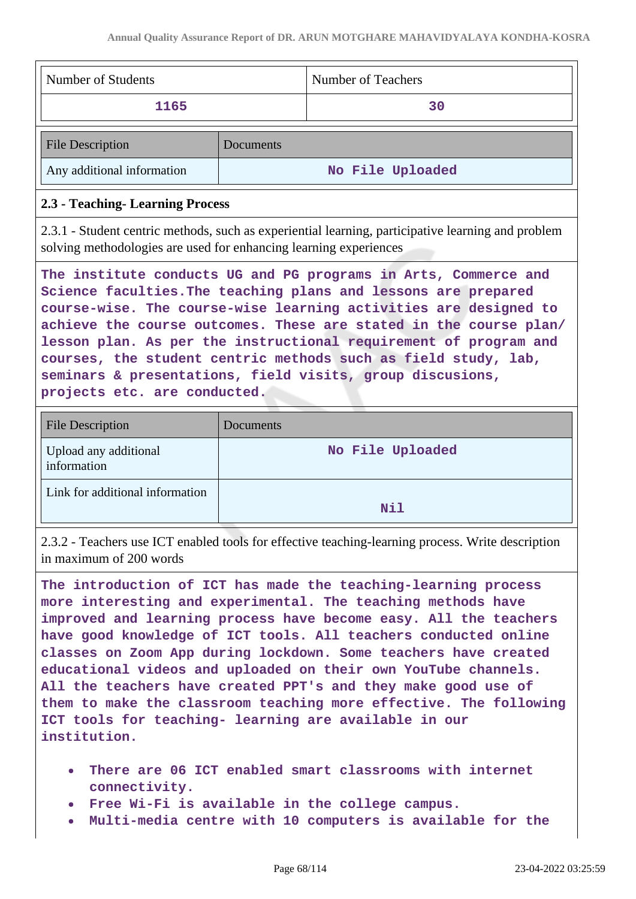| Number of Students                                                                                                                                                                                                                                                                                                                                                                                                                                                                                            |           | Number of Teachers |
|---------------------------------------------------------------------------------------------------------------------------------------------------------------------------------------------------------------------------------------------------------------------------------------------------------------------------------------------------------------------------------------------------------------------------------------------------------------------------------------------------------------|-----------|--------------------|
| 1165                                                                                                                                                                                                                                                                                                                                                                                                                                                                                                          |           | 30                 |
| <b>File Description</b>                                                                                                                                                                                                                                                                                                                                                                                                                                                                                       | Documents |                    |
| Any additional information                                                                                                                                                                                                                                                                                                                                                                                                                                                                                    |           | No File Uploaded   |
| 2.3 - Teaching- Learning Process                                                                                                                                                                                                                                                                                                                                                                                                                                                                              |           |                    |
| 2.3.1 - Student centric methods, such as experiential learning, participative learning and problem<br>solving methodologies are used for enhancing learning experiences                                                                                                                                                                                                                                                                                                                                       |           |                    |
| The institute conducts UG and PG programs in Arts, Commerce and<br>Science faculties. The teaching plans and lessons are prepared<br>course-wise. The course-wise learning activities are designed to<br>achieve the course outcomes. These are stated in the course plan/<br>lesson plan. As per the instructional requirement of program and<br>courses, the student centric methods such as field study, lab,<br>seminars & presentations, field visits, group discusions,<br>projects etc. are conducted. |           |                    |
| <b>File Description</b>                                                                                                                                                                                                                                                                                                                                                                                                                                                                                       | Documents |                    |

| Upload any additional<br>information | No File Uploaded |
|--------------------------------------|------------------|
| Link for additional information      | Nil              |

2.3.2 - Teachers use ICT enabled tools for effective teaching-learning process. Write description in maximum of 200 words

**The introduction of ICT has made the teaching-learning process more interesting and experimental. The teaching methods have improved and learning process have become easy. All the teachers have good knowledge of ICT tools. All teachers conducted online classes on Zoom App during lockdown. Some teachers have created educational videos and uploaded on their own YouTube channels. All the teachers have created PPT's and they make good use of them to make the classroom teaching more effective. The following ICT tools for teaching- learning are available in our institution.**

- **There are 06 ICT enabled smart classrooms with internet connectivity.**
- **Free Wi-Fi is available in the college campus.**
- **Multi-media centre with 10 computers is available for the**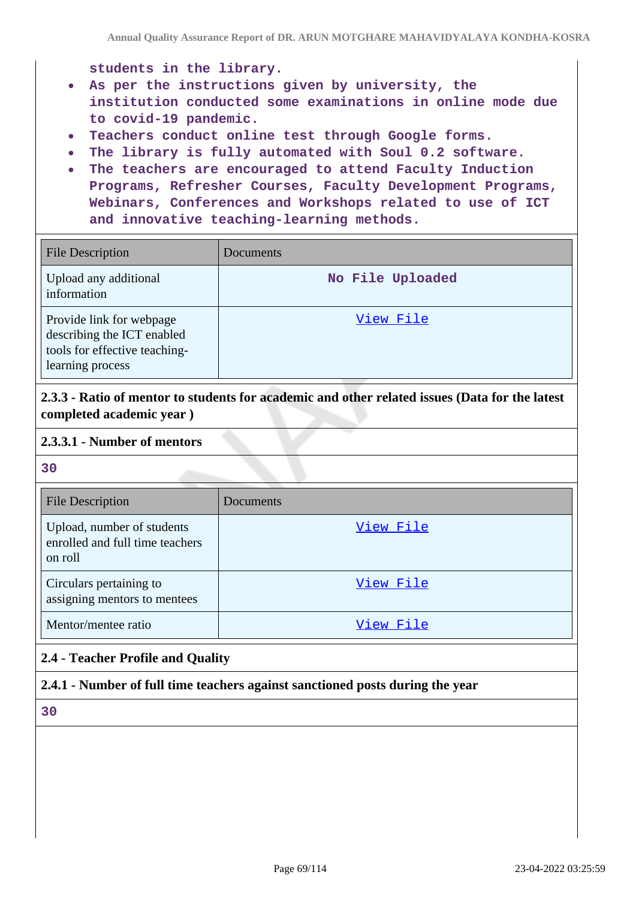**students in the library.**

- **As per the instructions given by university, the institution conducted some examinations in online mode due to covid-19 pandemic.**
- **Teachers conduct online test through Google forms.**
- **The library is fully automated with Soul 0.2 software.**
- **The teachers are encouraged to attend Faculty Induction Programs, Refresher Courses, Faculty Development Programs, Webinars, Conferences and Workshops related to use of ICT and innovative teaching-learning methods.**

| <b>File Description</b>                                                                                     | <b>Documents</b> |
|-------------------------------------------------------------------------------------------------------------|------------------|
| Upload any additional<br>information                                                                        | No File Uploaded |
| Provide link for webpage<br>describing the ICT enabled<br>tools for effective teaching-<br>learning process | View File        |

**2.3.3 - Ratio of mentor to students for academic and other related issues (Data for the latest completed academic year )**

### **2.3.3.1 - Number of mentors**

**30**

| <b>File Description</b>                                                  | Documents |
|--------------------------------------------------------------------------|-----------|
| Upload, number of students<br>enrolled and full time teachers<br>on roll | View File |
| Circulars pertaining to<br>assigning mentors to mentees                  | View File |
| Mentor/mentee ratio                                                      | View File |

# **2.4 - Teacher Profile and Quality**

# **2.4.1 - Number of full time teachers against sanctioned posts during the year**

**30**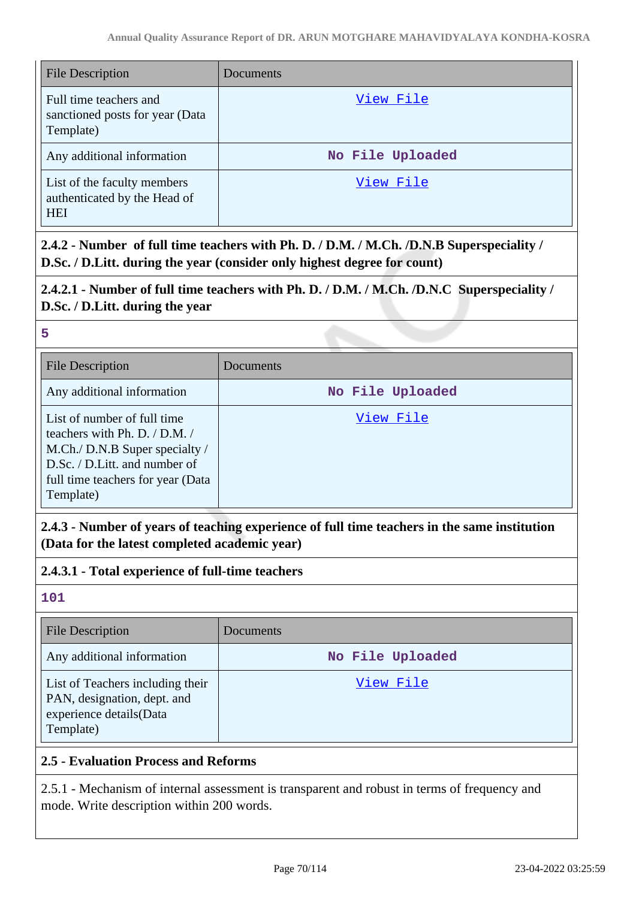| File Description                                                          | Documents        |
|---------------------------------------------------------------------------|------------------|
| Full time teachers and<br>sanctioned posts for year (Data<br>Template)    | View File        |
| Any additional information                                                | No File Uploaded |
| List of the faculty members<br>authenticated by the Head of<br><b>HEI</b> | View File        |

**2.4.2 - Number of full time teachers with Ph. D. / D.M. / M.Ch. /D.N.B Superspeciality / D.Sc. / D.Litt. during the year (consider only highest degree for count)**

# **2.4.2.1 - Number of full time teachers with Ph. D. / D.M. / M.Ch. /D.N.C Superspeciality / D.Sc. / D.Litt. during the year**

| 5                                                                                                                                                                                     |                  |
|---------------------------------------------------------------------------------------------------------------------------------------------------------------------------------------|------------------|
| <b>File Description</b>                                                                                                                                                               | Documents        |
| Any additional information                                                                                                                                                            | No File Uploaded |
| List of number of full time<br>teachers with Ph. D. $/$ D.M. $/$<br>M.Ch./ D.N.B Super specialty /<br>D.Sc. / D.Litt. and number of<br>full time teachers for year (Data<br>Template) | View File        |

**2.4.3 - Number of years of teaching experience of full time teachers in the same institution (Data for the latest completed academic year)**

**2.4.3.1 - Total experience of full-time teachers**

**101**

| <b>File Description</b>                                                                                 | Documents        |
|---------------------------------------------------------------------------------------------------------|------------------|
| Any additional information                                                                              | No File Uploaded |
| List of Teachers including their<br>PAN, designation, dept. and<br>experience details(Data<br>Template) | View File        |

# **2.5 - Evaluation Process and Reforms**

2.5.1 - Mechanism of internal assessment is transparent and robust in terms of frequency and mode. Write description within 200 words.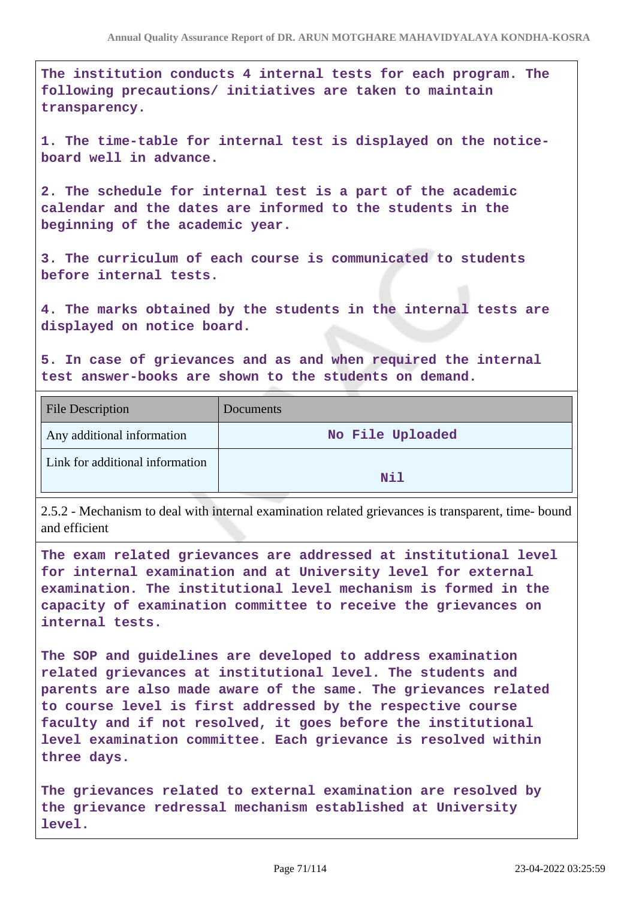**The institution conducts 4 internal tests for each program. The following precautions/ initiatives are taken to maintain transparency.**

**1. The time-table for internal test is displayed on the noticeboard well in advance.**

**2. The schedule for internal test is a part of the academic calendar and the dates are informed to the students in the beginning of the academic year.**

**3. The curriculum of each course is communicated to students before internal tests.**

**4. The marks obtained by the students in the internal tests are displayed on notice board.**

**5. In case of grievances and as and when required the internal test answer-books are shown to the students on demand.**

| <b>File Description</b>         | Documents        |
|---------------------------------|------------------|
| Any additional information      | No File Uploaded |
| Link for additional information | Nil              |

2.5.2 - Mechanism to deal with internal examination related grievances is transparent, time- bound and efficient

**The exam related grievances are addressed at institutional level for internal examination and at University level for external examination. The institutional level mechanism is formed in the capacity of examination committee to receive the grievances on internal tests.**

**The SOP and guidelines are developed to address examination related grievances at institutional level. The students and parents are also made aware of the same. The grievances related to course level is first addressed by the respective course faculty and if not resolved, it goes before the institutional level examination committee. Each grievance is resolved within three days.**

**The grievances related to external examination are resolved by the grievance redressal mechanism established at University level.**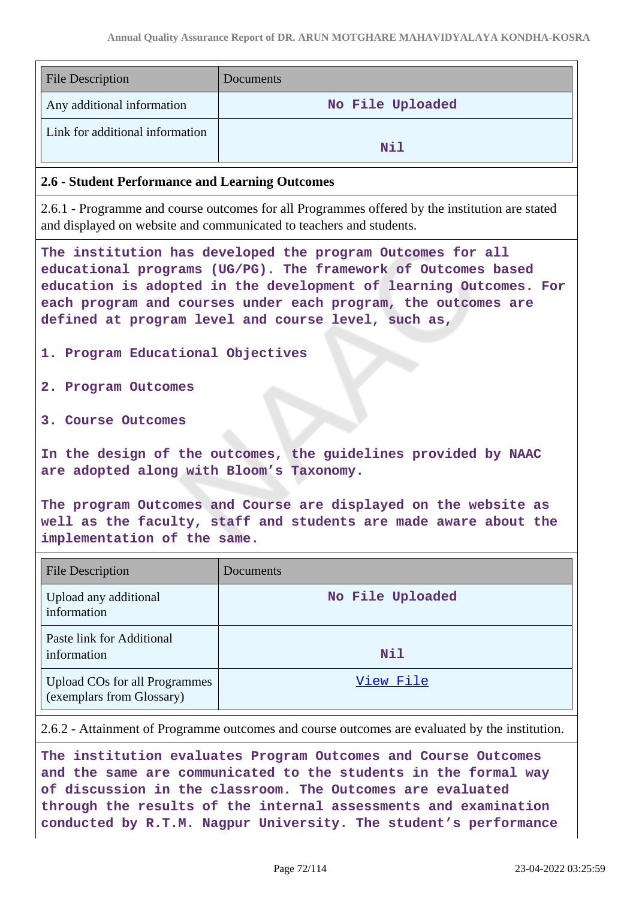| <b>File Description</b>                                                                                                                                                                                                                                                                                                                                       | Documents        |
|---------------------------------------------------------------------------------------------------------------------------------------------------------------------------------------------------------------------------------------------------------------------------------------------------------------------------------------------------------------|------------------|
| Any additional information                                                                                                                                                                                                                                                                                                                                    | No File Uploaded |
| Link for additional information                                                                                                                                                                                                                                                                                                                               | Nil              |
| 2.6 - Student Performance and Learning Outcomes                                                                                                                                                                                                                                                                                                               |                  |
| 2.6.1 - Programme and course outcomes for all Programmes offered by the institution are stated<br>and displayed on website and communicated to teachers and students.                                                                                                                                                                                         |                  |
| The institution has developed the program Outcomes for all<br>educational programs (UG/PG). The framework of Outcomes based<br>education is adopted in the development of learning Outcomes. For<br>each program and courses under each program, the outcomes are<br>defined at program level and course level, such as,<br>1. Program Educational Objectives |                  |
|                                                                                                                                                                                                                                                                                                                                                               |                  |
| 2. Program Outcomes                                                                                                                                                                                                                                                                                                                                           |                  |
| 3. Course Outcomes                                                                                                                                                                                                                                                                                                                                            |                  |
| In the design of the outcomes, the guidelines provided by NAAC<br>are adopted along with Bloom's Taxonomy.                                                                                                                                                                                                                                                    |                  |
| The program Outcomes and Course are displayed on the website as<br>well as the faculty, staff and students are made aware about the<br>implementation of the same.                                                                                                                                                                                            |                  |
| <b>File Description</b>                                                                                                                                                                                                                                                                                                                                       | Documents        |
| Upload any additional<br>information                                                                                                                                                                                                                                                                                                                          | No File Uploaded |
| Paste link for Additional<br>information                                                                                                                                                                                                                                                                                                                      | Nil              |
| <b>Upload COs for all Programmes</b><br>(exemplars from Glossary)                                                                                                                                                                                                                                                                                             | <u>View File</u> |
| 2.6.2 - Attainment of Programme outcomes and course outcomes are evaluated by the institution.                                                                                                                                                                                                                                                                |                  |
| $m$<br>$\sim$                                                                                                                                                                                                                                                                                                                                                 |                  |

**The institution evaluates Program Outcomes and Course Outcomes and the same are communicated to the students in the formal way of discussion in the classroom. The Outcomes are evaluated through the results of the internal assessments and examination conducted by R.T.M. Nagpur University. The student's performance**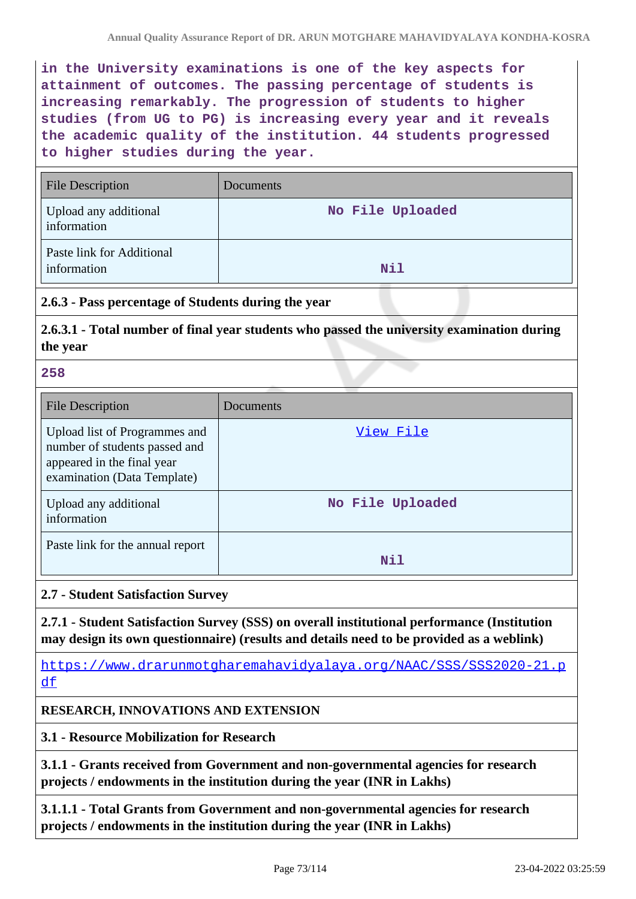**in the University examinations is one of the key aspects for attainment of outcomes. The passing percentage of students is increasing remarkably. The progression of students to higher studies (from UG to PG) is increasing every year and it reveals the academic quality of the institution. 44 students progressed to higher studies during the year.**

| <b>File Description</b>                  | Documents        |
|------------------------------------------|------------------|
| Upload any additional<br>information     | No File Uploaded |
| Paste link for Additional<br>information | Nil              |

### **2.6.3 - Pass percentage of Students during the year**

**2.6.3.1 - Total number of final year students who passed the university examination during the year**

**258**

| File Description                                                                                                            | Documents        |
|-----------------------------------------------------------------------------------------------------------------------------|------------------|
| Upload list of Programmes and<br>number of students passed and<br>appeared in the final year<br>examination (Data Template) | View File        |
| Upload any additional<br>information                                                                                        | No File Uploaded |
| Paste link for the annual report                                                                                            | Nil              |

### **2.7 - Student Satisfaction Survey**

**2.7.1 - Student Satisfaction Survey (SSS) on overall institutional performance (Institution may design its own questionnaire) (results and details need to be provided as a weblink)**

https://www.drarunmotgharemahavidyalaya.org/NAAC/SSS/SSS2020-21.p df

### **RESEARCH, INNOVATIONS AND EXTENSION**

**3.1 - Resource Mobilization for Research**

**3.1.1 - Grants received from Government and non-governmental agencies for research projects / endowments in the institution during the year (INR in Lakhs)**

**3.1.1.1 - Total Grants from Government and non-governmental agencies for research projects / endowments in the institution during the year (INR in Lakhs)**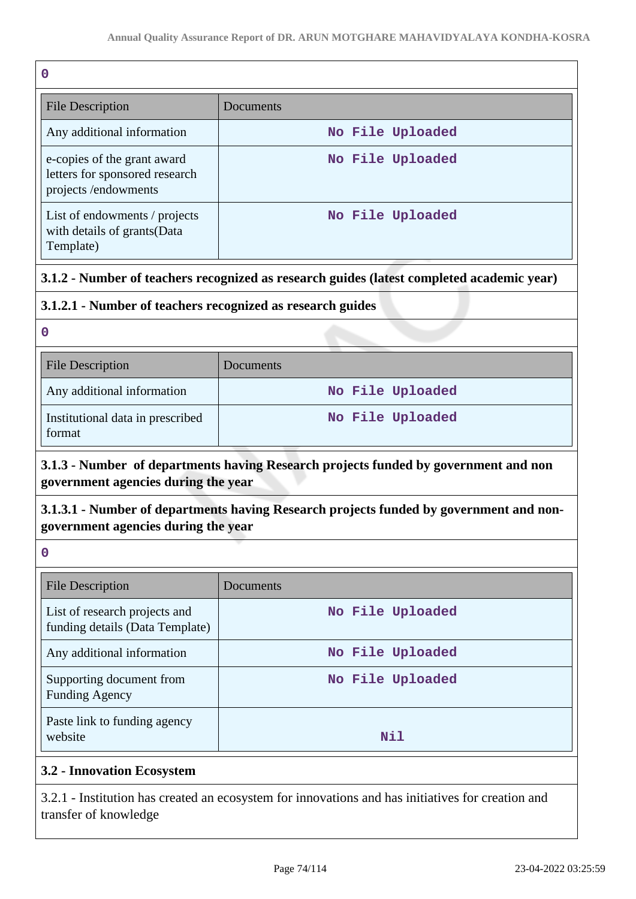| 0                                                                                    |                  |
|--------------------------------------------------------------------------------------|------------------|
| <b>File Description</b>                                                              | Documents        |
| Any additional information                                                           | No File Uploaded |
| e-copies of the grant award<br>letters for sponsored research<br>projects/endowments | No File Uploaded |
| List of endowments / projects<br>with details of grants (Data<br>Template)           | No File Uploaded |

### **3.1.2 - Number of teachers recognized as research guides (latest completed academic year)**

### **3.1.2.1 - Number of teachers recognized as research guides**

**0**

| <b>File Description</b>                    | Documents        |
|--------------------------------------------|------------------|
| Any additional information                 | No File Uploaded |
| Institutional data in prescribed<br>format | No File Uploaded |

# **3.1.3 - Number of departments having Research projects funded by government and non government agencies during the year**

# **3.1.3.1 - Number of departments having Research projects funded by government and nongovernment agencies during the year**

**0**

| <b>File Description</b>                                          | Documents        |
|------------------------------------------------------------------|------------------|
| List of research projects and<br>funding details (Data Template) | No File Uploaded |
| Any additional information                                       | No File Uploaded |
| Supporting document from<br><b>Funding Agency</b>                | No File Uploaded |
| Paste link to funding agency<br>website                          | Nil              |

### **3.2 - Innovation Ecosystem**

3.2.1 - Institution has created an ecosystem for innovations and has initiatives for creation and transfer of knowledge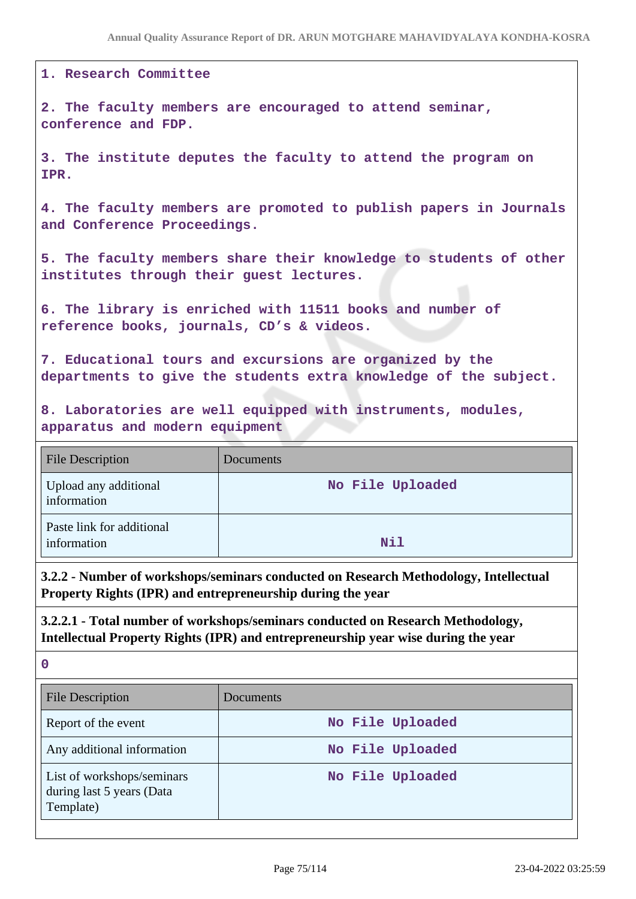#### **1. Research Committee**

**2. The faculty members are encouraged to attend seminar, conference and FDP.**

**3. The institute deputes the faculty to attend the program on IPR.**

**4. The faculty members are promoted to publish papers in Journals and Conference Proceedings.**

**5. The faculty members share their knowledge to students of other institutes through their guest lectures.**

**6. The library is enriched with 11511 books and number of reference books, journals, CD's & videos.**

**7. Educational tours and excursions are organized by the departments to give the students extra knowledge of the subject.**

**8. Laboratories are well equipped with instruments, modules, apparatus and modern equipment**

| <b>File Description</b>                  | Documents        |
|------------------------------------------|------------------|
| Upload any additional<br>information     | No File Uploaded |
| Paste link for additional<br>information | Nil              |

**3.2.2 - Number of workshops/seminars conducted on Research Methodology, Intellectual Property Rights (IPR) and entrepreneurship during the year**

**3.2.2.1 - Total number of workshops/seminars conducted on Research Methodology, Intellectual Property Rights (IPR) and entrepreneurship year wise during the year**

| <b>File Description</b>                                              | Documents        |
|----------------------------------------------------------------------|------------------|
| Report of the event                                                  | No File Uploaded |
| Any additional information                                           | No File Uploaded |
| List of workshops/seminars<br>during last 5 years (Data<br>Template) | No File Uploaded |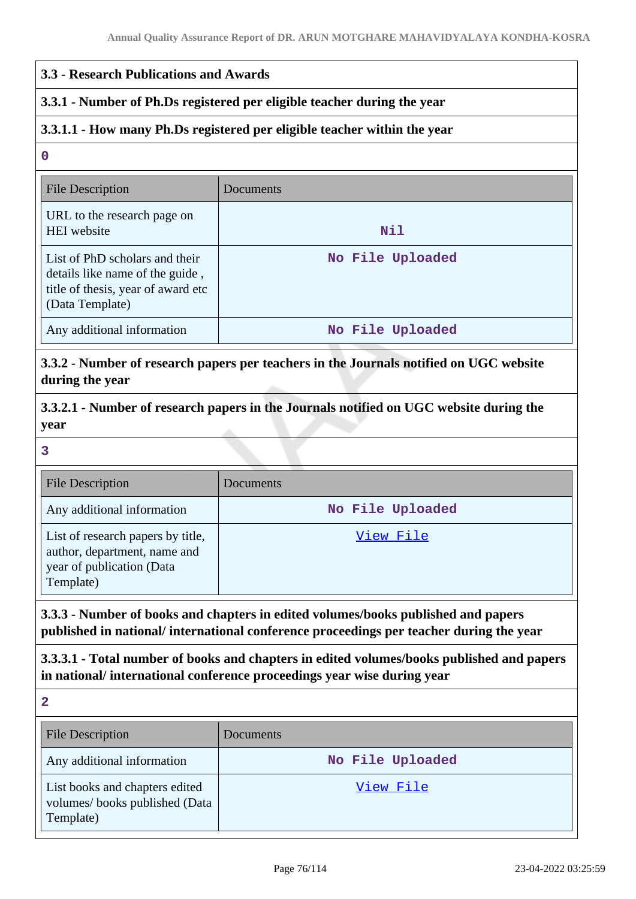### **3.3 - Research Publications and Awards**

#### **3.3.1 - Number of Ph.Ds registered per eligible teacher during the year**

### **3.3.1.1 - How many Ph.Ds registered per eligible teacher within the year**

#### **0**

| File Description                                                                                                           | Documents        |
|----------------------------------------------------------------------------------------------------------------------------|------------------|
| URL to the research page on<br><b>HEI</b> website                                                                          | Nil              |
| List of PhD scholars and their<br>details like name of the guide,<br>title of thesis, year of award etc<br>(Data Template) | No File Uploaded |
| Any additional information                                                                                                 | No File Uploaded |

# **3.3.2 - Number of research papers per teachers in the Journals notified on UGC website during the year**

**3.3.2.1 - Number of research papers in the Journals notified on UGC website during the year**

**3**

| <b>File Description</b>                                                                                     | Documents        |
|-------------------------------------------------------------------------------------------------------------|------------------|
| Any additional information                                                                                  | No File Uploaded |
| List of research papers by title,<br>author, department, name and<br>year of publication (Data<br>Template) | View File        |

**3.3.3 - Number of books and chapters in edited volumes/books published and papers published in national/ international conference proceedings per teacher during the year**

**3.3.3.1 - Total number of books and chapters in edited volumes/books published and papers in national/ international conference proceedings year wise during year**

| <b>File Description</b>                                                      | <b>Documents</b> |
|------------------------------------------------------------------------------|------------------|
| Any additional information                                                   | No File Uploaded |
| List books and chapters edited<br>volumes/books published (Data<br>Template) | View File        |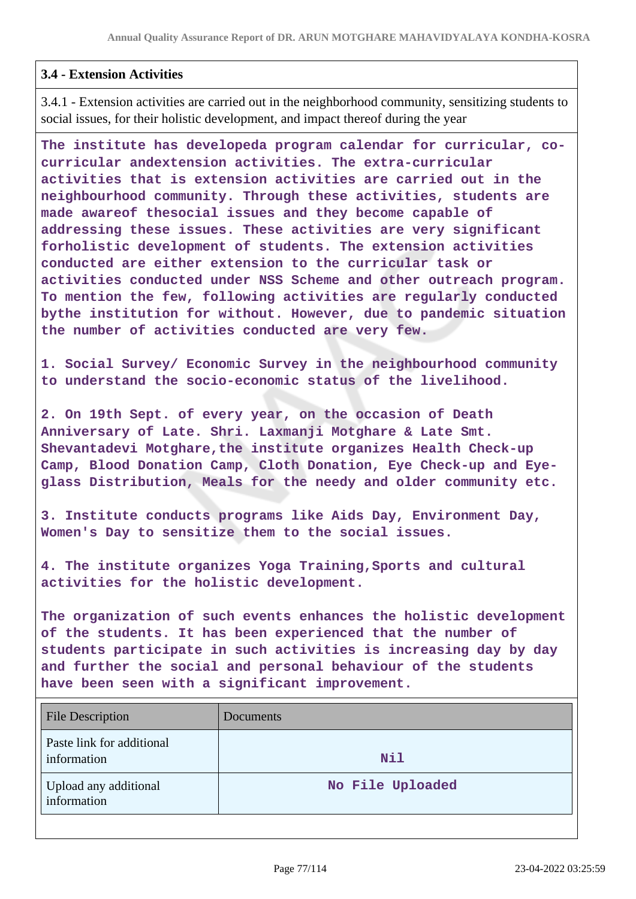#### **3.4 - Extension Activities**

3.4.1 - Extension activities are carried out in the neighborhood community, sensitizing students to social issues, for their holistic development, and impact thereof during the year

**The institute has developeda program calendar for curricular, cocurricular andextension activities. The extra-curricular activities that is extension activities are carried out in the neighbourhood community. Through these activities, students are made awareof thesocial issues and they become capable of addressing these issues. These activities are very significant forholistic development of students. The extension activities conducted are either extension to the curricular task or activities conducted under NSS Scheme and other outreach program. To mention the few, following activities are regularly conducted bythe institution for without. However, due to pandemic situation the number of activities conducted are very few.**

**1. Social Survey/ Economic Survey in the neighbourhood community to understand the socio-economic status of the livelihood.**

**2. On 19th Sept. of every year, on the occasion of Death Anniversary of Late. Shri. Laxmanji Motghare & Late Smt. Shevantadevi Motghare,the institute organizes Health Check-up Camp, Blood Donation Camp, Cloth Donation, Eye Check-up and Eyeglass Distribution, Meals for the needy and older community etc.**

**3. Institute conducts programs like Aids Day, Environment Day, Women's Day to sensitize them to the social issues.**

**4. The institute organizes Yoga Training,Sports and cultural activities for the holistic development.**

**The organization of such events enhances the holistic development of the students. It has been experienced that the number of students participate in such activities is increasing day by day and further the social and personal behaviour of the students have been seen with a significant improvement.**

| <b>File Description</b>                  | Documents        |
|------------------------------------------|------------------|
| Paste link for additional<br>information | Nil              |
| Upload any additional<br>information     | No File Uploaded |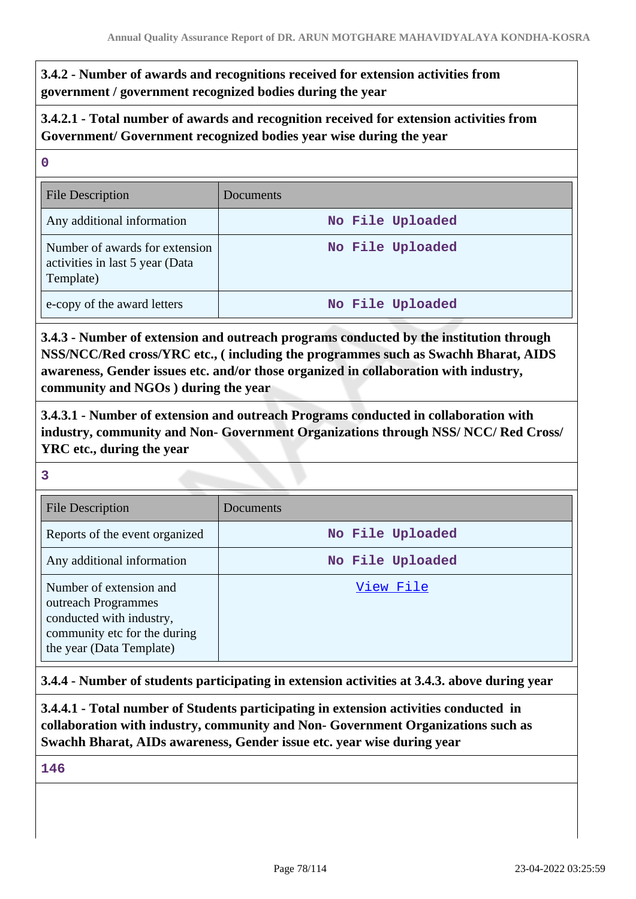**3.4.2 - Number of awards and recognitions received for extension activities from government / government recognized bodies during the year**

**3.4.2.1 - Total number of awards and recognition received for extension activities from Government/ Government recognized bodies year wise during the year**

| - U                                                                            |                  |
|--------------------------------------------------------------------------------|------------------|
| <b>File Description</b>                                                        | Documents        |
| Any additional information                                                     | No File Uploaded |
| Number of awards for extension<br>activities in last 5 year (Data<br>Template) | No File Uploaded |
| e-copy of the award letters                                                    | No File Uploaded |

**3.4.3 - Number of extension and outreach programs conducted by the institution through NSS/NCC/Red cross/YRC etc., ( including the programmes such as Swachh Bharat, AIDS awareness, Gender issues etc. and/or those organized in collaboration with industry, community and NGOs ) during the year**

**3.4.3.1 - Number of extension and outreach Programs conducted in collaboration with industry, community and Non- Government Organizations through NSS/ NCC/ Red Cross/ YRC etc., during the year**

**3**

**0**

| <b>File Description</b>                                                                                                                | Documents        |
|----------------------------------------------------------------------------------------------------------------------------------------|------------------|
| Reports of the event organized                                                                                                         | No File Uploaded |
| Any additional information                                                                                                             | No File Uploaded |
| Number of extension and<br>outreach Programmes<br>conducted with industry,<br>community etc for the during<br>the year (Data Template) | View File        |

**3.4.4 - Number of students participating in extension activities at 3.4.3. above during year**

**3.4.4.1 - Total number of Students participating in extension activities conducted in collaboration with industry, community and Non- Government Organizations such as Swachh Bharat, AIDs awareness, Gender issue etc. year wise during year**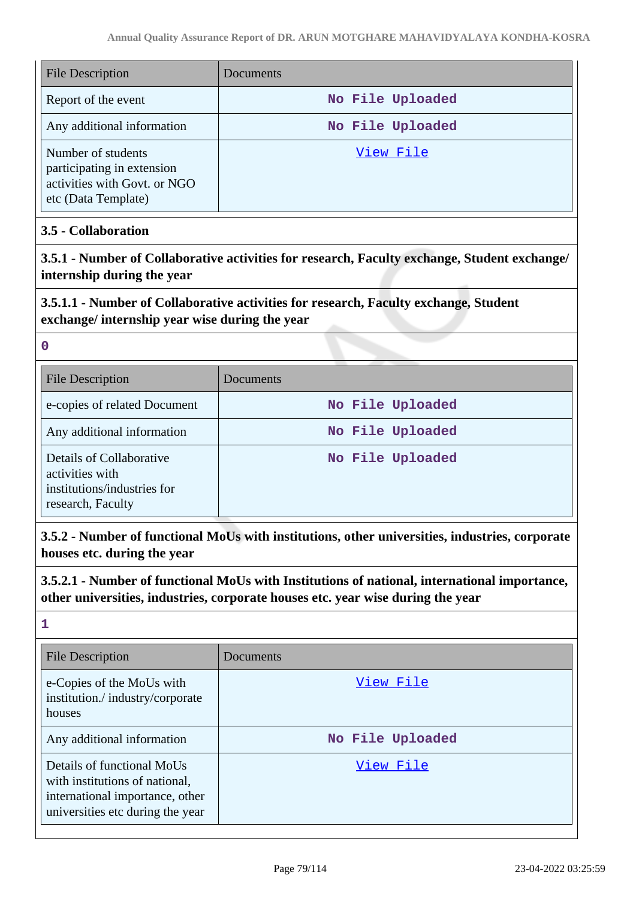| <b>File Description</b>                                                                                 | Documents        |
|---------------------------------------------------------------------------------------------------------|------------------|
| Report of the event                                                                                     | No File Uploaded |
| Any additional information                                                                              | No File Uploaded |
| Number of students<br>participating in extension<br>activities with Govt. or NGO<br>etc (Data Template) | View File        |

### **3.5 - Collaboration**

**3.5.1 - Number of Collaborative activities for research, Faculty exchange, Student exchange/ internship during the year**

# **3.5.1.1 - Number of Collaborative activities for research, Faculty exchange, Student exchange/ internship year wise during the year**

|   | w  |    |        |  |
|---|----|----|--------|--|
|   |    |    |        |  |
| × |    |    | I<br>I |  |
|   | M. | ۰. |        |  |

| <b>File Description</b>                                                                         | Documents        |
|-------------------------------------------------------------------------------------------------|------------------|
| e-copies of related Document                                                                    | No File Uploaded |
| Any additional information                                                                      | No File Uploaded |
| Details of Collaborative<br>activities with<br>institutions/industries for<br>research, Faculty | No File Uploaded |

**3.5.2 - Number of functional MoUs with institutions, other universities, industries, corporate houses etc. during the year**

**3.5.2.1 - Number of functional MoUs with Institutions of national, international importance, other universities, industries, corporate houses etc. year wise during the year**

| <b>File Description</b>                                                                                                             | Documents        |
|-------------------------------------------------------------------------------------------------------------------------------------|------------------|
| e-Copies of the MoUs with<br>institution./industry/corporate<br>houses                                                              | View File        |
| Any additional information                                                                                                          | No File Uploaded |
| Details of functional MoUs<br>with institutions of national,<br>international importance, other<br>universities etc during the year | View File        |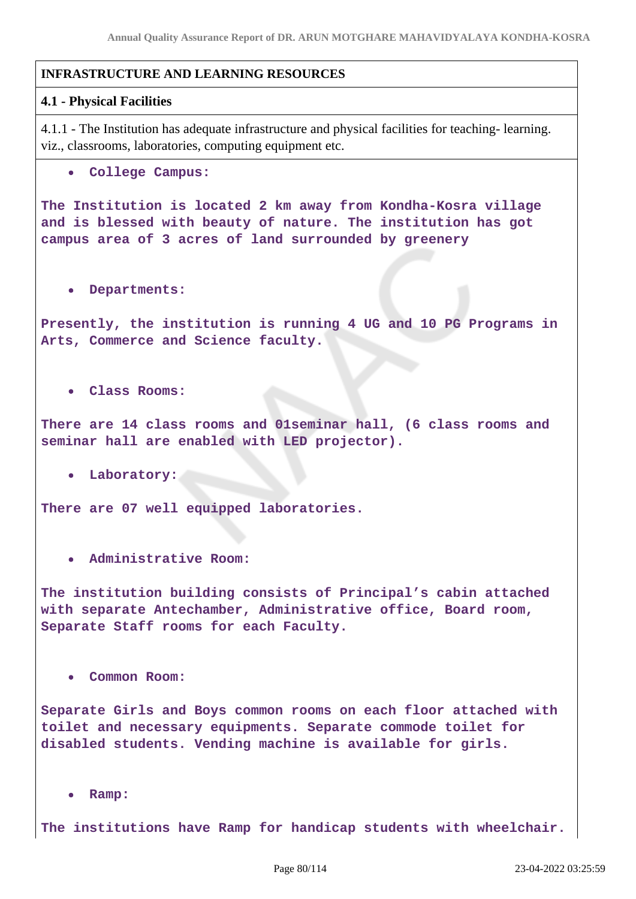#### **INFRASTRUCTURE AND LEARNING RESOURCES**

#### **4.1 - Physical Facilities**

4.1.1 - The Institution has adequate infrastructure and physical facilities for teaching- learning. viz., classrooms, laboratories, computing equipment etc.

**College Campus:**

**The Institution is located 2 km away from Kondha-Kosra village and is blessed with beauty of nature. The institution has got campus area of 3 acres of land surrounded by greenery**

**Departments:**

**Presently, the institution is running 4 UG and 10 PG Programs in Arts, Commerce and Science faculty.**

**Class Rooms:**

**There are 14 class rooms and 01seminar hall, (6 class rooms and seminar hall are enabled with LED projector).**

**Laboratory:**

**There are 07 well equipped laboratories.**

**Administrative Room:**

**The institution building consists of Principal's cabin attached with separate Antechamber, Administrative office, Board room, Separate Staff rooms for each Faculty.**

**Common Room:**

**Separate Girls and Boys common rooms on each floor attached with toilet and necessary equipments. Separate commode toilet for disabled students. Vending machine is available for girls.**

**Ramp:**

**The institutions have Ramp for handicap students with wheelchair.**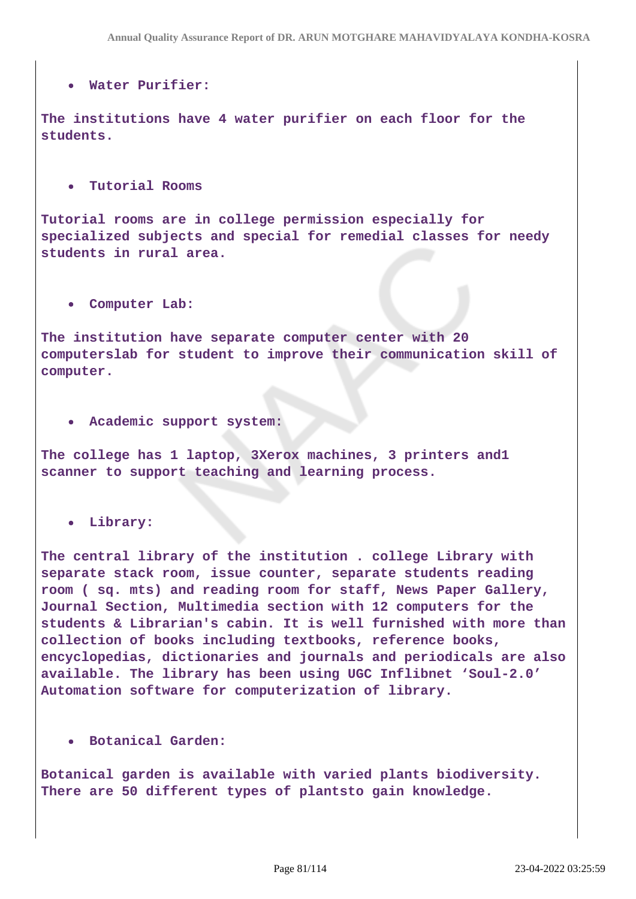#### **Water Purifier:**

**The institutions have 4 water purifier on each floor for the students.**

#### **Tutorial Rooms**

**Tutorial rooms are in college permission especially for specialized subjects and special for remedial classes for needy students in rural area.**

#### **Computer Lab:**

**The institution have separate computer center with 20 computerslab for student to improve their communication skill of computer.**

#### **Academic support system:**

**The college has 1 laptop, 3Xerox machines, 3 printers and1 scanner to support teaching and learning process.**

#### **Library:**

**The central library of the institution . college Library with separate stack room, issue counter, separate students reading room ( sq. mts) and reading room for staff, News Paper Gallery, Journal Section, Multimedia section with 12 computers for the students & Librarian's cabin. It is well furnished with more than collection of books including textbooks, reference books, encyclopedias, dictionaries and journals and periodicals are also available. The library has been using UGC Inflibnet 'Soul-2.0' Automation software for computerization of library.**

#### **Botanical Garden:**

**Botanical garden is available with varied plants biodiversity. There are 50 different types of plantsto gain knowledge.**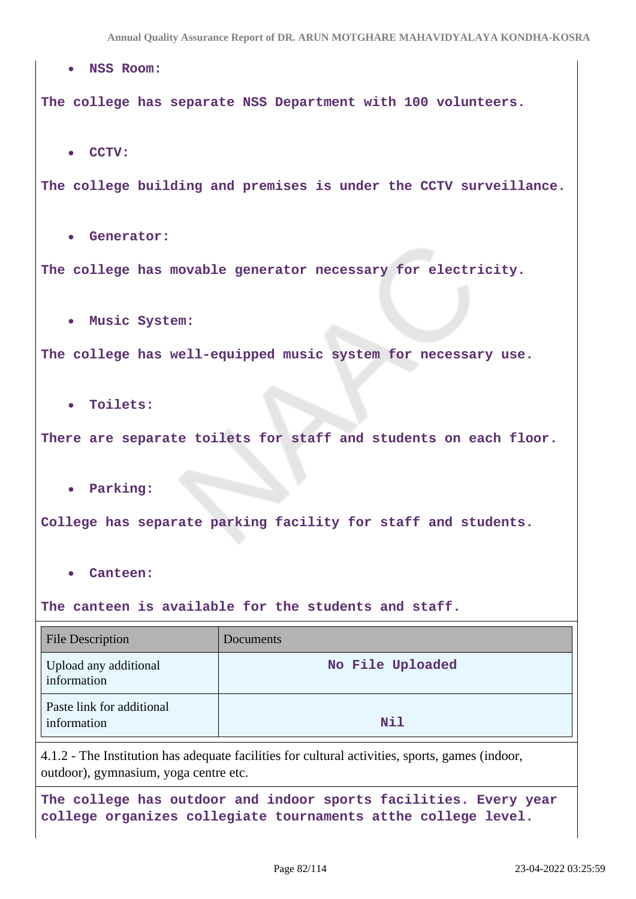**NSS Room: The college has separate NSS Department with 100 volunteers. CCTV: The college building and premises is under the CCTV surveillance. Generator: The college has movable generator necessary for electricity. Music System: The college has well-equipped music system for necessary use. Toilets: There are separate toilets for staff and students on each floor. Parking: College has separate parking facility for staff and students. Canteen: The canteen is available for the students and staff.** File Description Documents Upload any additional information **No File Uploaded** Paste link for additional information **Nil** 4.1.2 - The Institution has adequate facilities for cultural activities, sports, games (indoor, outdoor), gymnasium, yoga centre etc. **The college has outdoor and indoor sports facilities. Every year**

**college organizes collegiate tournaments atthe college level.**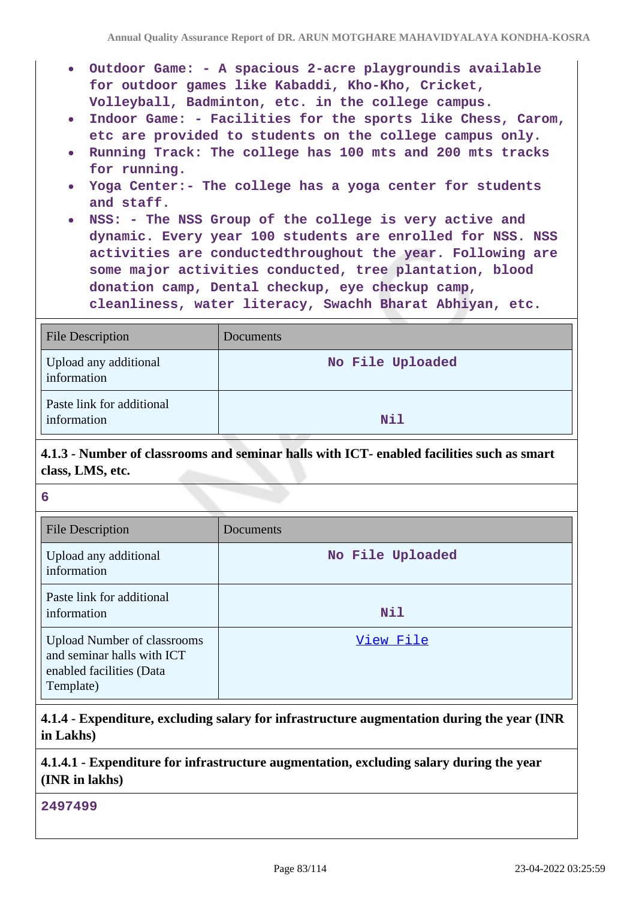- **Outdoor Game: A spacious 2-acre playgroundis available for outdoor games like Kabaddi, Kho-Kho, Cricket, Volleyball, Badminton, etc. in the college campus.**
- **Indoor Game: Facilities for the sports like Chess, Carom, etc are provided to students on the college campus only.**
- **Running Track: The college has 100 mts and 200 mts tracks for running.**
- **Yoga Center:- The college has a yoga center for students and staff.**
- **NSS: The NSS Group of the college is very active and dynamic. Every year 100 students are enrolled for NSS. NSS activities are conductedthroughout the year. Following are some major activities conducted, tree plantation, blood donation camp, Dental checkup, eye checkup camp, cleanliness, water literacy, Swachh Bharat Abhiyan, etc.**

| <b>File Description</b>                  | Documents        |
|------------------------------------------|------------------|
| Upload any additional<br>information     | No File Uploaded |
| Paste link for additional<br>information | Nil              |

# **4.1.3 - Number of classrooms and seminar halls with ICT- enabled facilities such as smart class, LMS, etc.**

| K.           |  |
|--------------|--|
| I<br>M<br>۰, |  |

| <b>File Description</b>                                                                                   | Documents        |
|-----------------------------------------------------------------------------------------------------------|------------------|
| Upload any additional<br>information                                                                      | No File Uploaded |
| Paste link for additional<br>information                                                                  | Nil              |
| <b>Upload Number of classrooms</b><br>and seminar halls with ICT<br>enabled facilities (Data<br>Template) | View File        |

**4.1.4 - Expenditure, excluding salary for infrastructure augmentation during the year (INR in Lakhs)**

### **4.1.4.1 - Expenditure for infrastructure augmentation, excluding salary during the year (INR in lakhs)**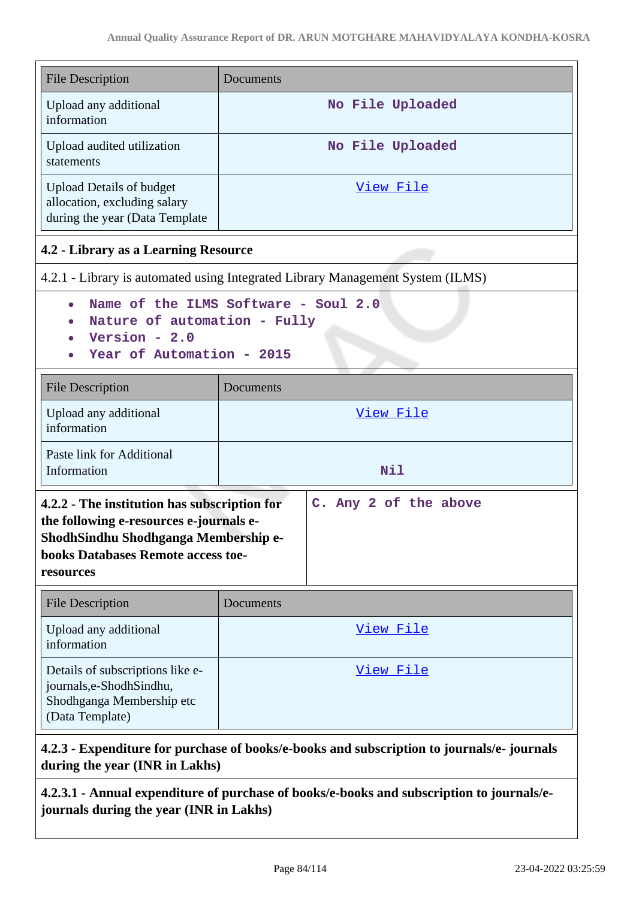| <b>File Description</b>                                                                                                                                                                                     | Documents                                                                      |  |
|-------------------------------------------------------------------------------------------------------------------------------------------------------------------------------------------------------------|--------------------------------------------------------------------------------|--|
| Upload any additional<br>information                                                                                                                                                                        | No File Uploaded                                                               |  |
| Upload audited utilization<br>statements                                                                                                                                                                    | No File Uploaded                                                               |  |
| <b>Upload Details of budget</b><br>allocation, excluding salary<br>during the year (Data Template                                                                                                           | <u>View File</u>                                                               |  |
| 4.2 - Library as a Learning Resource                                                                                                                                                                        |                                                                                |  |
|                                                                                                                                                                                                             | 4.2.1 - Library is automated using Integrated Library Management System (ILMS) |  |
| Name of the ILMS Software - Soul 2.0<br>$\bullet$<br>Nature of automation - Fully<br>Version - $2.0$<br>Year of Automation - 2015                                                                           |                                                                                |  |
| <b>File Description</b>                                                                                                                                                                                     | Documents                                                                      |  |
| Upload any additional<br>information                                                                                                                                                                        | View File                                                                      |  |
| Paste link for Additional<br>Information                                                                                                                                                                    | Nil                                                                            |  |
| C. Any 2 of the above<br>4.2.2 - The institution has subscription for<br>the following e-resources e-journals e-<br>ShodhSindhu Shodhganga Membership e-<br>books Databases Remote access toe-<br>resources |                                                                                |  |
| <b>File Description</b>                                                                                                                                                                                     | Documents                                                                      |  |
| Upload any additional<br>information                                                                                                                                                                        | <u>View File</u>                                                               |  |
| Details of subscriptions like e-<br>journals,e-ShodhSindhu,<br>Shodhganga Membership etc<br>(Data Template)                                                                                                 | View File                                                                      |  |
|                                                                                                                                                                                                             |                                                                                |  |

# **4.2.3 - Expenditure for purchase of books/e-books and subscription to journals/e- journals during the year (INR in Lakhs)**

**4.2.3.1 - Annual expenditure of purchase of books/e-books and subscription to journals/ejournals during the year (INR in Lakhs)**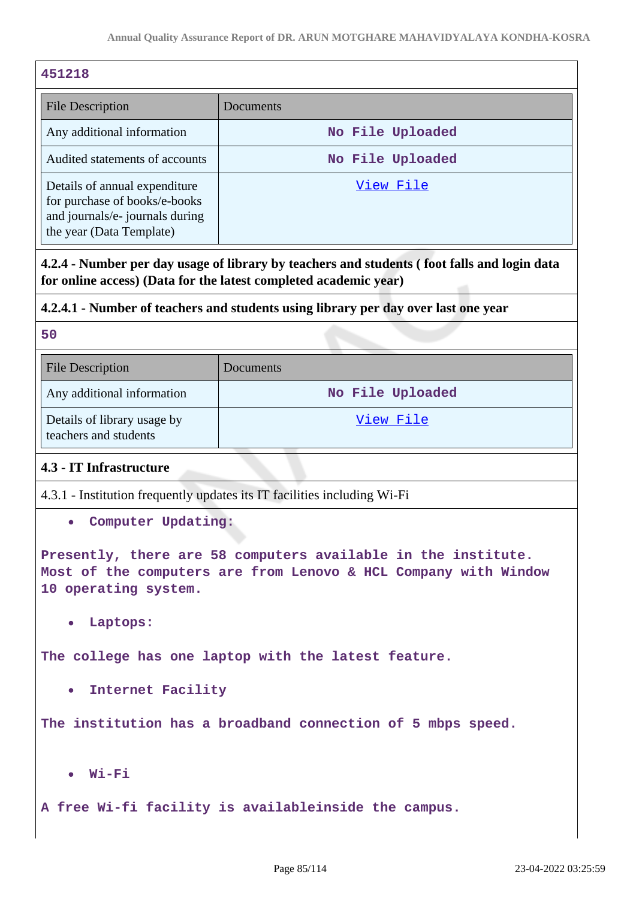| 451218                                                                                                                        |                  |  |
|-------------------------------------------------------------------------------------------------------------------------------|------------------|--|
| File Description                                                                                                              | Documents        |  |
| Any additional information                                                                                                    | No File Uploaded |  |
| Audited statements of accounts                                                                                                | No File Uploaded |  |
| Details of annual expenditure<br>for purchase of books/e-books<br>and journals/e- journals during<br>the year (Data Template) | View File        |  |

**4.2.4 - Number per day usage of library by teachers and students ( foot falls and login data for online access) (Data for the latest completed academic year)**

### **4.2.4.1 - Number of teachers and students using library per day over last one year**

**50**

| <b>File Description</b>                              | Documents        |
|------------------------------------------------------|------------------|
| Any additional information                           | No File Uploaded |
| Details of library usage by<br>teachers and students | View File        |

# **4.3 - IT Infrastructure**

4.3.1 - Institution frequently updates its IT facilities including Wi-Fi

**Computer Updating:**

**Presently, there are 58 computers available in the institute. Most of the computers are from Lenovo & HCL Company with Window 10 operating system.**

**Laptops:**

**The college has one laptop with the latest feature.**

**Internet Facility**

**The institution has a broadband connection of 5 mbps speed.**

**Wi-Fi**  $\bullet$ 

**A free Wi-fi facility is availableinside the campus.**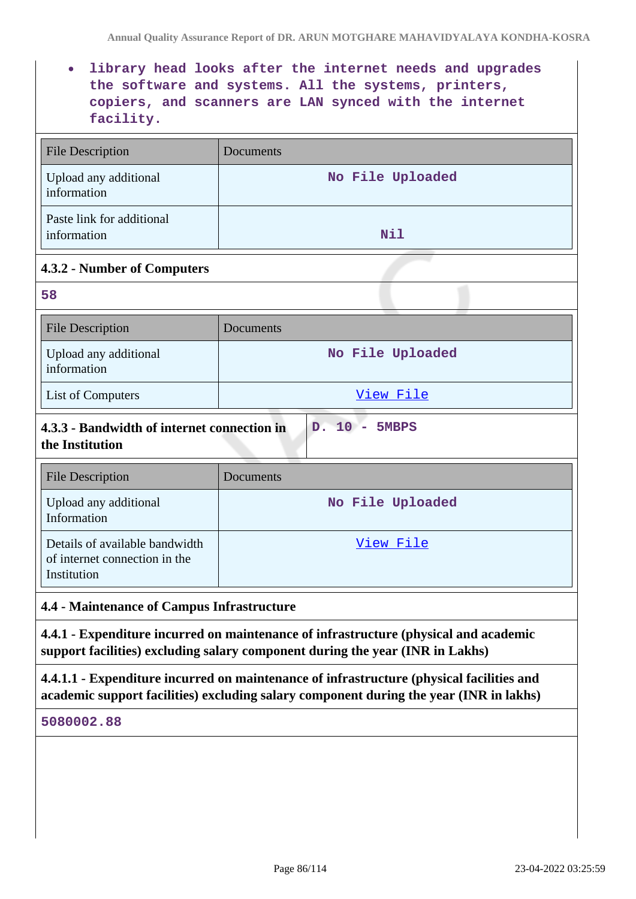**library head looks after the internet needs and upgrades the software and systems. All the systems, printers, copiers, and scanners are LAN synced with the internet facility.**

| <b>File Description</b>                  | Documents        |  |
|------------------------------------------|------------------|--|
| Upload any additional<br>information     | No File Uploaded |  |
| Paste link for additional<br>information | Nil              |  |
| 4.3.2 - Number of Computers              |                  |  |
| 58                                       |                  |  |
| <b>File Description</b>                  | Documents        |  |
| Upload any additional<br>information     | No File Uploaded |  |

| 50                                                                              |                  |
|---------------------------------------------------------------------------------|------------------|
| <b>File Description</b>                                                         | Documents        |
| Upload any additional<br>information                                            | No File Uploaded |
| List of Computers                                                               | View File        |
| 4.3.3 - Bandwidth of internet connection in<br>D. 10 - 5MBPS<br>the Institution |                  |

| File Description                                                               | Documents        |
|--------------------------------------------------------------------------------|------------------|
| Upload any additional<br>Information                                           | No File Uploaded |
| Details of available bandwidth<br>of internet connection in the<br>Institution | View File        |

**4.4 - Maintenance of Campus Infrastructure**

**4.4.1 - Expenditure incurred on maintenance of infrastructure (physical and academic support facilities) excluding salary component during the year (INR in Lakhs)**

**4.4.1.1 - Expenditure incurred on maintenance of infrastructure (physical facilities and academic support facilities) excluding salary component during the year (INR in lakhs)**

#### **5080002.88**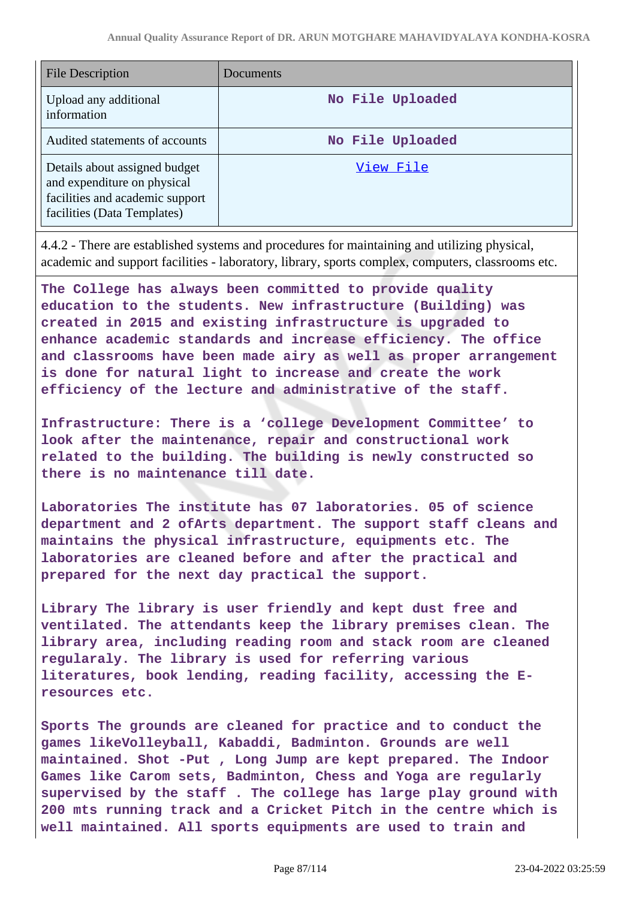| File Description                                                                                                               | Documents        |
|--------------------------------------------------------------------------------------------------------------------------------|------------------|
| Upload any additional<br>information                                                                                           | No File Uploaded |
| Audited statements of accounts                                                                                                 | No File Uploaded |
| Details about assigned budget<br>and expenditure on physical<br>facilities and academic support<br>facilities (Data Templates) | View File        |

4.4.2 - There are established systems and procedures for maintaining and utilizing physical, academic and support facilities - laboratory, library, sports complex, computers, classrooms etc.

**The College has always been committed to provide quality education to the students. New infrastructure (Building) was created in 2015 and existing infrastructure is upgraded to enhance academic standards and increase efficiency. The office and classrooms have been made airy as well as proper arrangement is done for natural light to increase and create the work efficiency of the lecture and administrative of the staff.**

**Infrastructure: There is a 'college Development Committee' to look after the maintenance, repair and constructional work related to the building. The building is newly constructed so there is no maintenance till date.**

**Laboratories The institute has 07 laboratories. 05 of science department and 2 ofArts department. The support staff cleans and maintains the physical infrastructure, equipments etc. The laboratories are cleaned before and after the practical and prepared for the next day practical the support.**

**Library The library is user friendly and kept dust free and ventilated. The attendants keep the library premises clean. The library area, including reading room and stack room are cleaned regularaly. The library is used for referring various literatures, book lending, reading facility, accessing the Eresources etc.**

**Sports The grounds are cleaned for practice and to conduct the games likeVolleyball, Kabaddi, Badminton. Grounds are well maintained. Shot -Put , Long Jump are kept prepared. The Indoor Games like Carom sets, Badminton, Chess and Yoga are regularly supervised by the staff . The college has large play ground with 200 mts running track and a Cricket Pitch in the centre which is well maintained. All sports equipments are used to train and**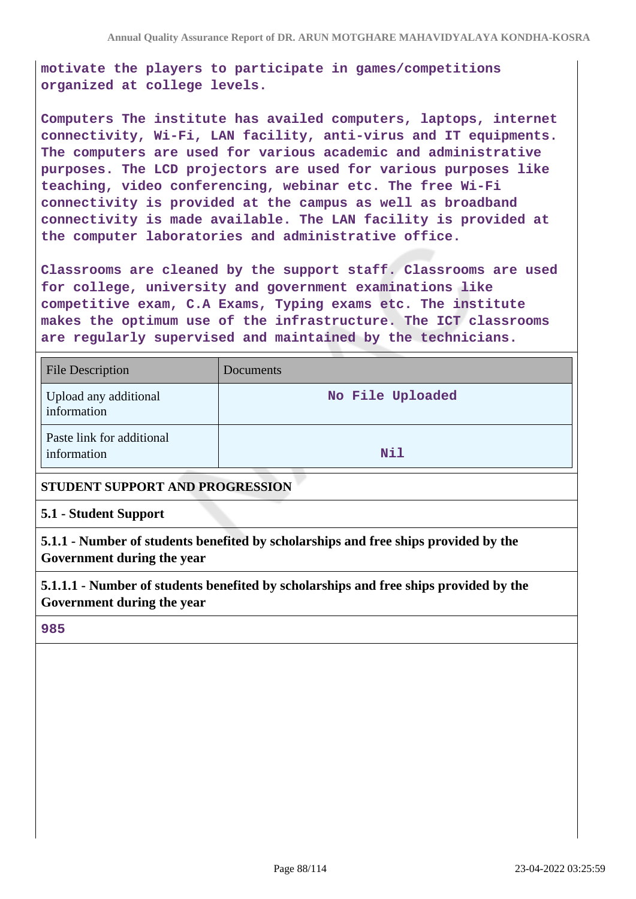**motivate the players to participate in games/competitions organized at college levels.**

**Computers The institute has availed computers, laptops, internet connectivity, Wi-Fi, LAN facility, anti-virus and IT equipments. The computers are used for various academic and administrative purposes. The LCD projectors are used for various purposes like teaching, video conferencing, webinar etc. The free Wi-Fi connectivity is provided at the campus as well as broadband connectivity is made available. The LAN facility is provided at the computer laboratories and administrative office.**

**Classrooms are cleaned by the support staff. Classrooms are used for college, university and government examinations like competitive exam, C.A Exams, Typing exams etc. The institute makes the optimum use of the infrastructure. The ICT classrooms are regularly supervised and maintained by the technicians.**

| <b>File Description</b>                  | <b>Documents</b> |
|------------------------------------------|------------------|
| Upload any additional<br>information     | No File Uploaded |
| Paste link for additional<br>information | Nil              |

### **STUDENT SUPPORT AND PROGRESSION**

#### **5.1 - Student Support**

**5.1.1 - Number of students benefited by scholarships and free ships provided by the Government during the year**

**5.1.1.1 - Number of students benefited by scholarships and free ships provided by the Government during the year**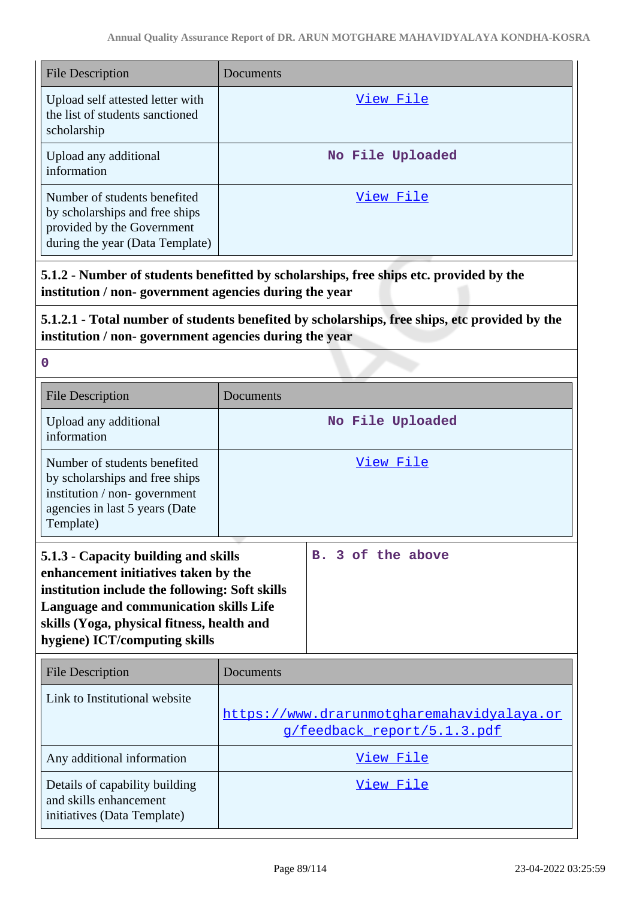| <b>File Description</b>                                                                                                         | Documents        |
|---------------------------------------------------------------------------------------------------------------------------------|------------------|
| Upload self attested letter with<br>the list of students sanctioned<br>scholarship                                              | View File        |
| Upload any additional<br>information                                                                                            | No File Uploaded |
| Number of students benefited<br>by scholarships and free ships<br>provided by the Government<br>during the year (Data Template) | View File        |

**5.1.2 - Number of students benefitted by scholarships, free ships etc. provided by the institution / non- government agencies during the year**

**5.1.2.1 - Total number of students benefited by scholarships, free ships, etc provided by the institution / non- government agencies during the year**

| <b>File Description</b>                                                                                                                                                                                                                                        | Documents                                                                 |                   |
|----------------------------------------------------------------------------------------------------------------------------------------------------------------------------------------------------------------------------------------------------------------|---------------------------------------------------------------------------|-------------------|
| Upload any additional<br>information                                                                                                                                                                                                                           |                                                                           | No File Uploaded  |
| Number of students benefited<br>by scholarships and free ships<br>institution / non-government<br>agencies in last 5 years (Date<br>Template)                                                                                                                  |                                                                           | View File         |
| 5.1.3 - Capacity building and skills<br>enhancement initiatives taken by the<br>institution include the following: Soft skills<br><b>Language and communication skills Life</b><br>skills (Yoga, physical fitness, health and<br>hygiene) ICT/computing skills |                                                                           | B. 3 of the above |
| <b>File Description</b>                                                                                                                                                                                                                                        | Documents                                                                 |                   |
| Link to Institutional website                                                                                                                                                                                                                                  | https://www.drarunmotgharemahavidyalaya.or<br>g/feedback report/5.1.3.pdf |                   |
| Any additional information                                                                                                                                                                                                                                     | View File                                                                 |                   |
| Details of capability building<br>and skills enhancement<br>initiatives (Data Template)                                                                                                                                                                        |                                                                           | View File         |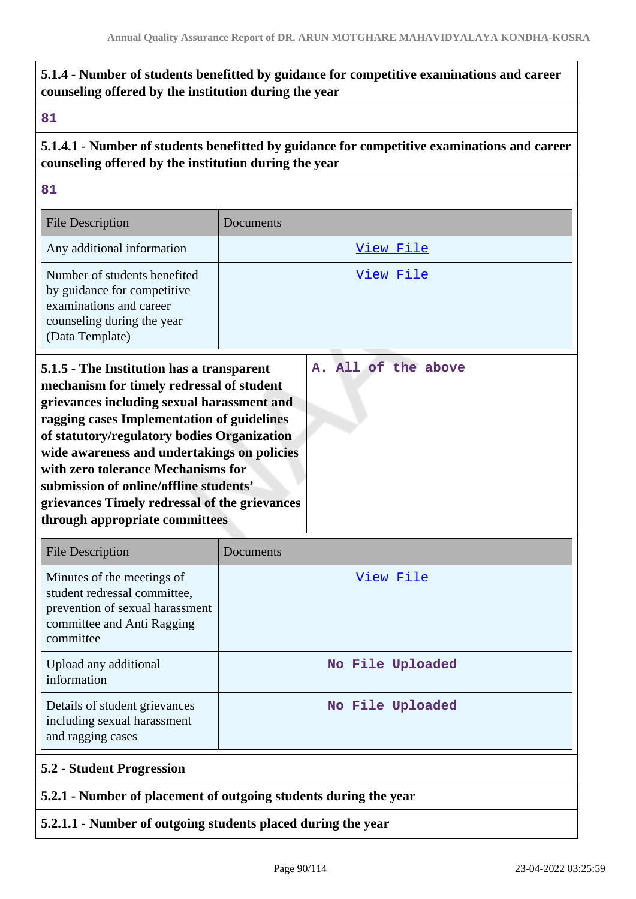# **5.1.4 - Number of students benefitted by guidance for competitive examinations and career counseling offered by the institution during the year**

#### **81**

**5.1.4.1 - Number of students benefitted by guidance for competitive examinations and career counseling offered by the institution during the year**

**81**

| <b>File Description</b>                                                                                                                                                                                                                                                                                                                                                                                                                             | Documents           |
|-----------------------------------------------------------------------------------------------------------------------------------------------------------------------------------------------------------------------------------------------------------------------------------------------------------------------------------------------------------------------------------------------------------------------------------------------------|---------------------|
| Any additional information                                                                                                                                                                                                                                                                                                                                                                                                                          | View File           |
| Number of students benefited<br>by guidance for competitive<br>examinations and career<br>counseling during the year<br>(Data Template)                                                                                                                                                                                                                                                                                                             | View File           |
| 5.1.5 - The Institution has a transparent<br>mechanism for timely redressal of student<br>grievances including sexual harassment and<br>ragging cases Implementation of guidelines<br>of statutory/regulatory bodies Organization<br>wide awareness and undertakings on policies<br>with zero tolerance Mechanisms for<br>submission of online/offline students'<br>grievances Timely redressal of the grievances<br>through appropriate committees | A. All of the above |

| <b>File Description</b>                                                                                                                  | Documents        |
|------------------------------------------------------------------------------------------------------------------------------------------|------------------|
| Minutes of the meetings of<br>student redressal committee,<br>prevention of sexual harassment<br>committee and Anti Ragging<br>committee | View File        |
| Upload any additional<br>information                                                                                                     | No File Uploaded |
| Details of student grievances<br>including sexual harassment<br>and ragging cases                                                        | No File Uploaded |
| <b>5.2 - Student Progression</b>                                                                                                         |                  |
| 5.2.1 - Number of placement of outgoing students during the year                                                                         |                  |

### **5.2.1.1 - Number of outgoing students placed during the year**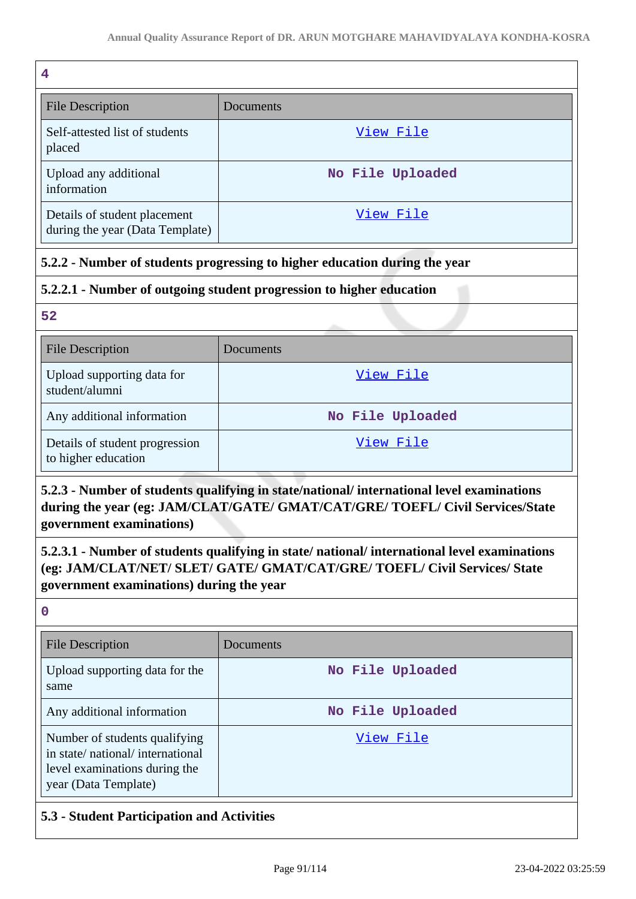| 4                                                               |                  |
|-----------------------------------------------------------------|------------------|
| <b>File Description</b>                                         | Documents        |
| Self-attested list of students<br>placed                        | View File        |
| Upload any additional<br>information                            | No File Uploaded |
| Details of student placement<br>during the year (Data Template) | View File        |

# **5.2.2 - Number of students progressing to higher education during the year**

# **5.2.2.1 - Number of outgoing student progression to higher education**

**52**

| <b>File Description</b>                               | Documents        |
|-------------------------------------------------------|------------------|
| Upload supporting data for<br>student/alumni          | View File        |
| Any additional information                            | No File Uploaded |
| Details of student progression<br>to higher education | View File        |

# **5.2.3 - Number of students qualifying in state/national/ international level examinations during the year (eg: JAM/CLAT/GATE/ GMAT/CAT/GRE/ TOEFL/ Civil Services/State government examinations)**

**5.2.3.1 - Number of students qualifying in state/ national/ international level examinations (eg: JAM/CLAT/NET/ SLET/ GATE/ GMAT/CAT/GRE/ TOEFL/ Civil Services/ State government examinations) during the year**

**0**

| <b>File Description</b>                                                                                                   | Documents        |
|---------------------------------------------------------------------------------------------------------------------------|------------------|
| Upload supporting data for the<br>same                                                                                    | No File Uploaded |
| Any additional information                                                                                                | No File Uploaded |
| Number of students qualifying<br>in state/national/international<br>level examinations during the<br>year (Data Template) | View File        |

# **5.3 - Student Participation and Activities**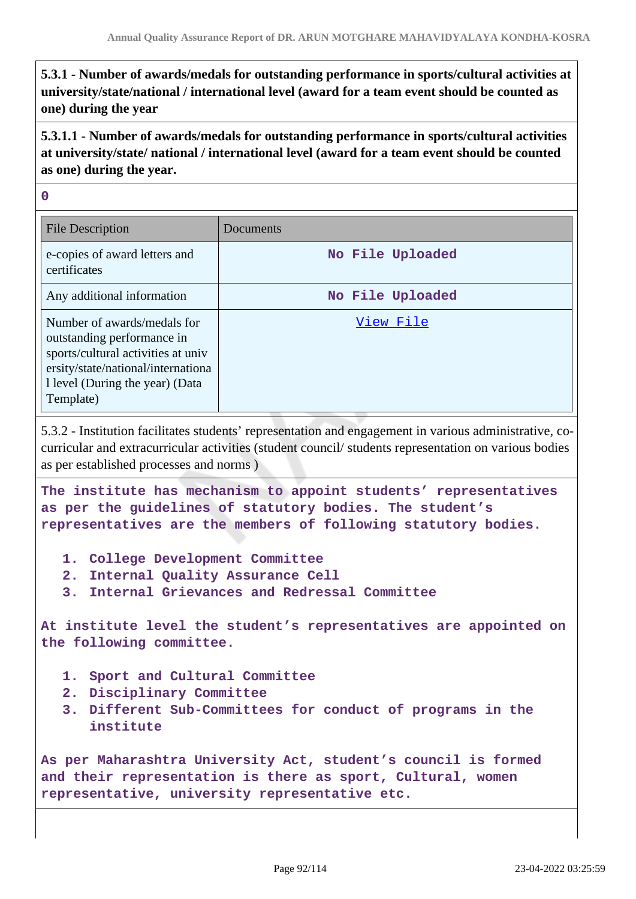**5.3.1 - Number of awards/medals for outstanding performance in sports/cultural activities at university/state/national / international level (award for a team event should be counted as one) during the year**

**5.3.1.1 - Number of awards/medals for outstanding performance in sports/cultural activities at university/state/ national / international level (award for a team event should be counted as one) during the year.**

**0**

| <b>File Description</b>                                                                                                                                                               | Documents        |
|---------------------------------------------------------------------------------------------------------------------------------------------------------------------------------------|------------------|
| e-copies of award letters and<br>certificates                                                                                                                                         | No File Uploaded |
| Any additional information                                                                                                                                                            | No File Uploaded |
| Number of awards/medals for<br>outstanding performance in<br>sports/cultural activities at univ<br>ersity/state/national/internationa<br>1 level (During the year) (Data<br>Template) | View File        |

5.3.2 - Institution facilitates students' representation and engagement in various administrative, cocurricular and extracurricular activities (student council/ students representation on various bodies as per established processes and norms )

**The institute has mechanism to appoint students' representatives as per the guidelines of statutory bodies. The student's representatives are the members of following statutory bodies.**

- **1. College Development Committee**
- **2. Internal Quality Assurance Cell**
- **3. Internal Grievances and Redressal Committee**

**At institute level the student's representatives are appointed on the following committee.**

- **1. Sport and Cultural Committee**
- **2. Disciplinary Committee**
- **3. Different Sub-Committees for conduct of programs in the institute**

**As per Maharashtra University Act, student's council is formed and their representation is there as sport, Cultural, women representative, university representative etc.**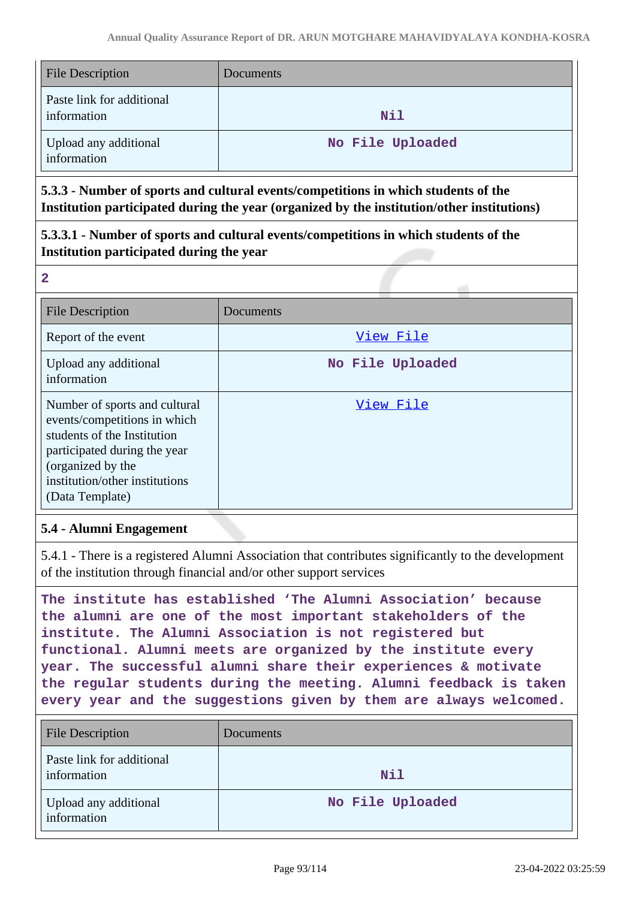| <b>File Description</b>                  | Documents        |
|------------------------------------------|------------------|
| Paste link for additional<br>information | Nil              |
| Upload any additional<br>information     | No File Uploaded |

**5.3.3 - Number of sports and cultural events/competitions in which students of the Institution participated during the year (organized by the institution/other institutions)**

**5.3.3.1 - Number of sports and cultural events/competitions in which students of the Institution participated during the year**

**2**

| <b>File Description</b>                                                                                                                                                                                | Documents        |
|--------------------------------------------------------------------------------------------------------------------------------------------------------------------------------------------------------|------------------|
| Report of the event                                                                                                                                                                                    | View File        |
| Upload any additional<br>information                                                                                                                                                                   | No File Uploaded |
| Number of sports and cultural<br>events/competitions in which<br>students of the Institution<br>participated during the year<br>(organized by the<br>institution/other institutions<br>(Data Template) | View File        |

# **5.4 - Alumni Engagement**

5.4.1 - There is a registered Alumni Association that contributes significantly to the development of the institution through financial and/or other support services

**The institute has established 'The Alumni Association' because the alumni are one of the most important stakeholders of the institute. The Alumni Association is not registered but functional. Alumni meets are organized by the institute every year. The successful alumni share their experiences & motivate the regular students during the meeting. Alumni feedback is taken every year and the suggestions given by them are always welcomed.**

| <b>File Description</b>                  | Documents        |
|------------------------------------------|------------------|
| Paste link for additional<br>information | <b>Nil</b>       |
| Upload any additional<br>information     | No File Uploaded |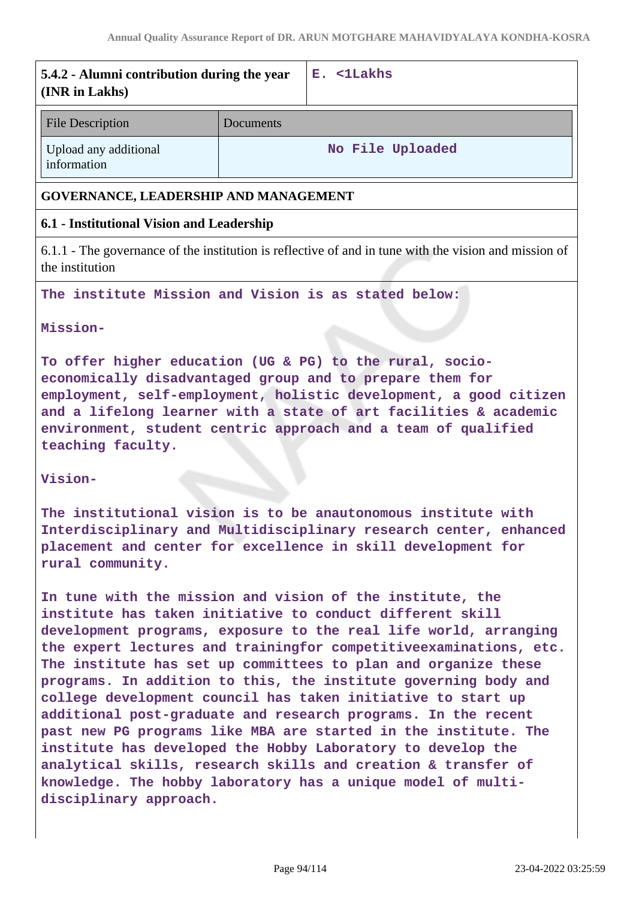| Annual Quality Assurance Report of DR. ARUN MOTGHARE MAHAVIDYALAYA KONDHA-KOSI                                                                                                                                                                                                                                                                      |           |                                                                                                       |
|-----------------------------------------------------------------------------------------------------------------------------------------------------------------------------------------------------------------------------------------------------------------------------------------------------------------------------------------------------|-----------|-------------------------------------------------------------------------------------------------------|
| 5.4.2 - Alumni contribution during the year<br>(INR in Lakhs)                                                                                                                                                                                                                                                                                       |           | E. <1Lakhs                                                                                            |
| <b>File Description</b>                                                                                                                                                                                                                                                                                                                             | Documents |                                                                                                       |
| Upload any additional<br>information                                                                                                                                                                                                                                                                                                                |           | No File Uploaded                                                                                      |
| GOVERNANCE, LEADERSHIP AND MANAGEMENT                                                                                                                                                                                                                                                                                                               |           |                                                                                                       |
| 6.1 - Institutional Vision and Leadership                                                                                                                                                                                                                                                                                                           |           |                                                                                                       |
| the institution                                                                                                                                                                                                                                                                                                                                     |           | 6.1.1 - The governance of the institution is reflective of and in tune with the vision and mission of |
| The institute Mission and Vision is as stated below:                                                                                                                                                                                                                                                                                                |           |                                                                                                       |
| Mission-                                                                                                                                                                                                                                                                                                                                            |           |                                                                                                       |
| To offer higher education (UG & PG) to the rural, socio-<br>economically disadvantaged group and to prepare them for<br>employment, self-employment, holistic development, a good citizen<br>and a lifelong learner with a state of art facilities & academic<br>environment, student centric approach and a team of qualified<br>teaching faculty. |           |                                                                                                       |
| Vision-                                                                                                                                                                                                                                                                                                                                             |           |                                                                                                       |
| The institutional vision is to be anautonomous institute with<br>Interdisciplinary and Multidisciplinary research center, enhanced<br>placement and center for excellence in skill development for<br>rural community.                                                                                                                              |           |                                                                                                       |
| In tune with the mission and vision of the institute, the<br>institute has taken initiative to conduct different skill<br>development programs, exposure to the real life world, arranging                                                                                                                                                          |           |                                                                                                       |

**the expert lectures and trainingfor competitiveexaminations, etc. The institute has set up committees to plan and organize these programs. In addition to this, the institute governing body and college development council has taken initiative to start up additional post-graduate and research programs. In the recent past new PG programs like MBA are started in the institute. The institute has developed the Hobby Laboratory to develop the analytical skills, research skills and creation & transfer of knowledge. The hobby laboratory has a unique model of multidisciplinary approach.**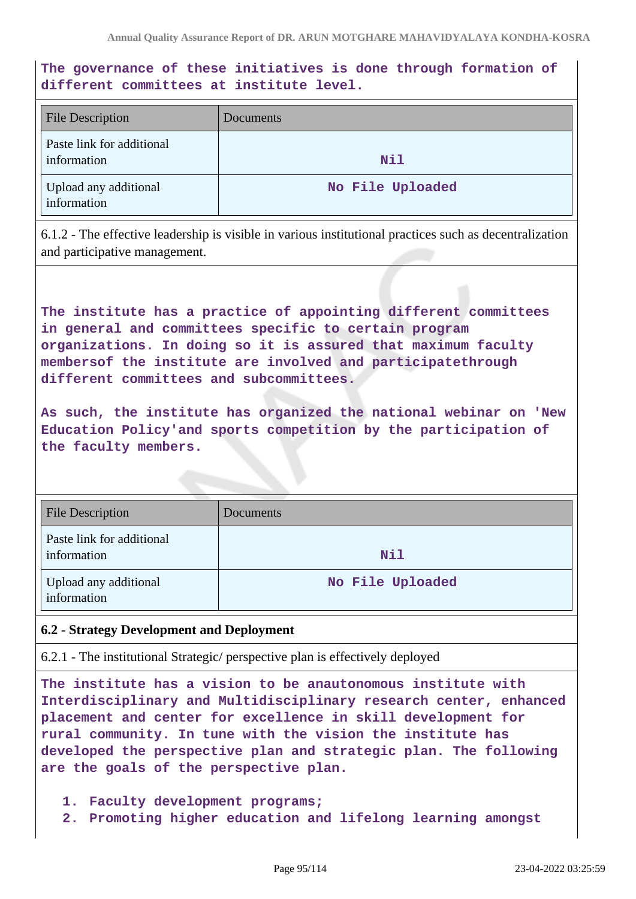# **The governance of these initiatives is done through formation of different committees at institute level.**

| <b>File Description</b>                  | Documents        |
|------------------------------------------|------------------|
| Paste link for additional<br>information | Nil              |
| Upload any additional<br>information     | No File Uploaded |

6.1.2 - The effective leadership is visible in various institutional practices such as decentralization and participative management.

**The institute has a practice of appointing different committees in general and committees specific to certain program organizations. In doing so it is assured that maximum faculty membersof the institute are involved and participatethrough different committees and subcommittees.**

**As such, the institute has organized the national webinar on 'New Education Policy'and sports competition by the participation of the faculty members.**

| <b>File Description</b>                  | Documents        |
|------------------------------------------|------------------|
| Paste link for additional<br>information | Nil              |
| Upload any additional<br>information     | No File Uploaded |

### **6.2 - Strategy Development and Deployment**

6.2.1 - The institutional Strategic/ perspective plan is effectively deployed

**The institute has a vision to be anautonomous institute with Interdisciplinary and Multidisciplinary research center, enhanced placement and center for excellence in skill development for rural community. In tune with the vision the institute has developed the perspective plan and strategic plan. The following are the goals of the perspective plan.**

- **1. Faculty development programs;**
- **2. Promoting higher education and lifelong learning amongst**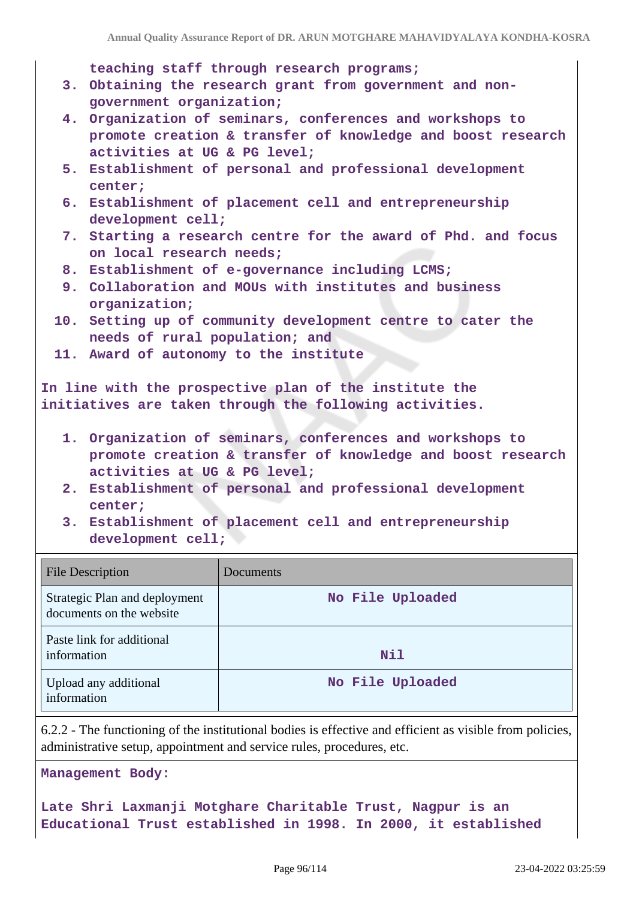**teaching staff through research programs;**

- **3. Obtaining the research grant from government and nongovernment organization;**
- **4. Organization of seminars, conferences and workshops to promote creation & transfer of knowledge and boost research activities at UG & PG level;**
- **5. Establishment of personal and professional development center;**
- **6. Establishment of placement cell and entrepreneurship development cell;**
- **7. Starting a research centre for the award of Phd. and focus on local research needs;**
- **8. Establishment of e-governance including LCMS;**
- **9. Collaboration and MOUs with institutes and business organization;**
- **10. Setting up of community development centre to cater the needs of rural population; and**
- **11. Award of autonomy to the institute**

**In line with the prospective plan of the institute the initiatives are taken through the following activities.**

- **1. Organization of seminars, conferences and workshops to promote creation & transfer of knowledge and boost research activities at UG & PG level;**
- **2. Establishment of personal and professional development center;**

**3. Establishment of placement cell and entrepreneurship development cell;**

| <b>File Description</b>                                   | Documents        |
|-----------------------------------------------------------|------------------|
| Strategic Plan and deployment<br>documents on the website | No File Uploaded |
| Paste link for additional<br>information                  | Nil              |
| Upload any additional<br>information                      | No File Uploaded |

6.2.2 - The functioning of the institutional bodies is effective and efficient as visible from policies, administrative setup, appointment and service rules, procedures, etc.

**Management Body:**

**Late Shri Laxmanji Motghare Charitable Trust, Nagpur is an Educational Trust established in 1998. In 2000, it established**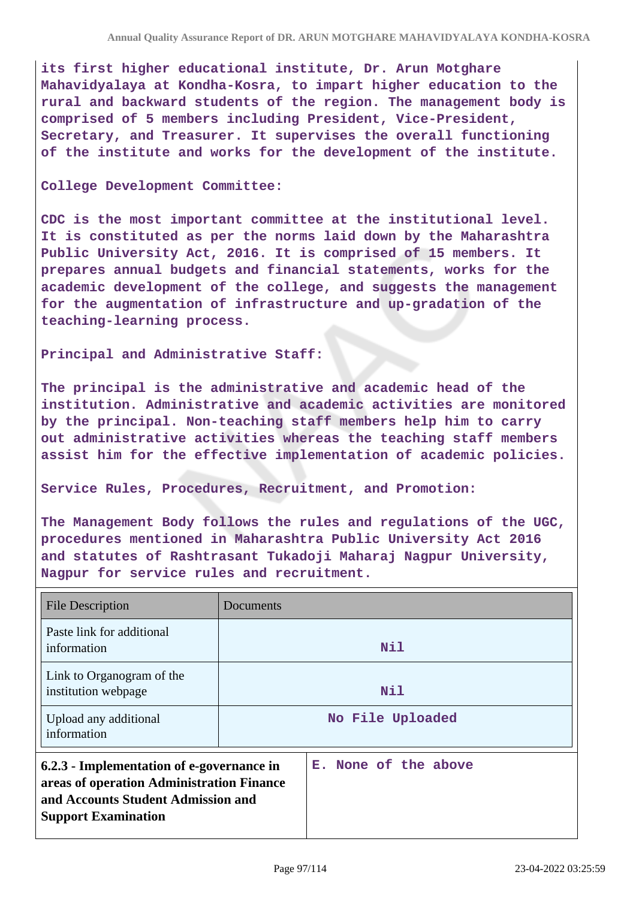**its first higher educational institute, Dr. Arun Motghare Mahavidyalaya at Kondha-Kosra, to impart higher education to the rural and backward students of the region. The management body is comprised of 5 members including President, Vice-President, Secretary, and Treasurer. It supervises the overall functioning of the institute and works for the development of the institute.**

#### **College Development Committee:**

**CDC is the most important committee at the institutional level. It is constituted as per the norms laid down by the Maharashtra Public University Act, 2016. It is comprised of 15 members. It prepares annual budgets and financial statements, works for the academic development of the college, and suggests the management for the augmentation of infrastructure and up-gradation of the teaching-learning process.**

**Principal and Administrative Staff:**

**The principal is the administrative and academic head of the institution. Administrative and academic activities are monitored by the principal. Non-teaching staff members help him to carry out administrative activities whereas the teaching staff members assist him for the effective implementation of academic policies.**

**Service Rules, Procedures, Recruitment, and Promotion:**

**The Management Body follows the rules and regulations of the UGC, procedures mentioned in Maharashtra Public University Act 2016 and statutes of Rashtrasant Tukadoji Maharaj Nagpur University, Nagpur for service rules and recruitment.**

| <b>File Description</b>                                                                                                                                    | Documents |                      |
|------------------------------------------------------------------------------------------------------------------------------------------------------------|-----------|----------------------|
| Paste link for additional<br>information                                                                                                                   |           | Nil                  |
| Link to Organogram of the<br>institution webpage                                                                                                           |           | Nil                  |
| Upload any additional<br>information                                                                                                                       |           | No File Uploaded     |
| 6.2.3 - Implementation of e-governance in<br>areas of operation Administration Finance<br>and Accounts Student Admission and<br><b>Support Examination</b> |           | E. None of the above |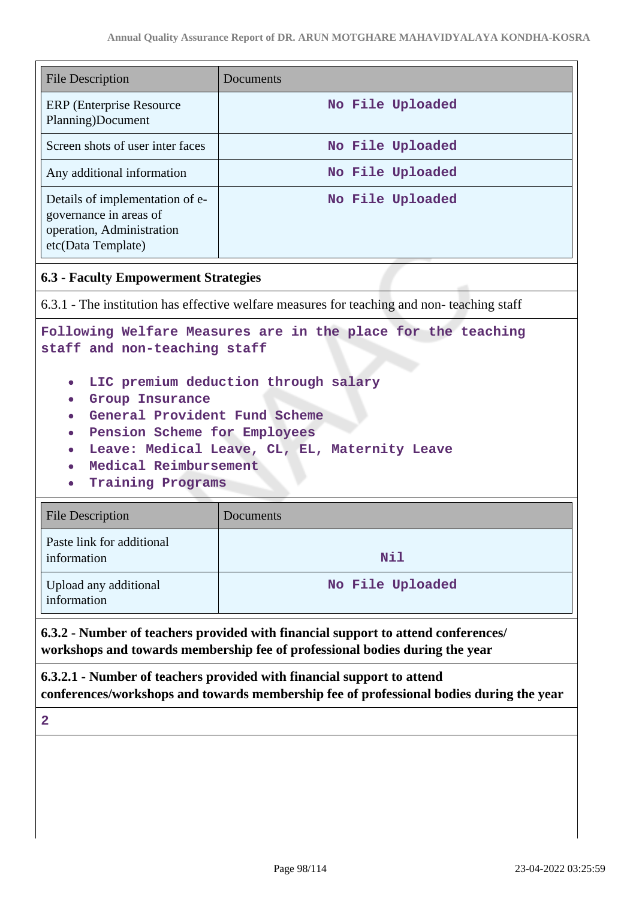| <b>File Description</b>                                                                                                                                                                                                                                                                                                                                                                                                                                                | Documents                                                                                  |  |
|------------------------------------------------------------------------------------------------------------------------------------------------------------------------------------------------------------------------------------------------------------------------------------------------------------------------------------------------------------------------------------------------------------------------------------------------------------------------|--------------------------------------------------------------------------------------------|--|
| <b>ERP</b> (Enterprise Resource<br>Planning)Document                                                                                                                                                                                                                                                                                                                                                                                                                   | No File Uploaded                                                                           |  |
| Screen shots of user inter faces                                                                                                                                                                                                                                                                                                                                                                                                                                       | No File Uploaded                                                                           |  |
| Any additional information                                                                                                                                                                                                                                                                                                                                                                                                                                             | No File Uploaded                                                                           |  |
| Details of implementation of e-<br>governance in areas of<br>operation, Administration<br>etc(Data Template)                                                                                                                                                                                                                                                                                                                                                           | No File Uploaded                                                                           |  |
| <b>6.3 - Faculty Empowerment Strategies</b>                                                                                                                                                                                                                                                                                                                                                                                                                            |                                                                                            |  |
|                                                                                                                                                                                                                                                                                                                                                                                                                                                                        | 6.3.1 - The institution has effective welfare measures for teaching and non-teaching staff |  |
| Following Welfare Measures are in the place for the teaching<br>staff and non-teaching staff<br>LIC premium deduction through salary<br>Group Insurance<br>General Provident Fund Scheme<br>Pension Scheme for Employees<br>Leave: Medical Leave, CL, EL, Maternity Leave<br>Medical Reimbursement<br><b>Training Programs</b><br><b>File Description</b><br>Documents<br>Paste link for additional<br>information<br>Nil<br>Upload any additional<br>No File Uploaded |                                                                                            |  |
| information                                                                                                                                                                                                                                                                                                                                                                                                                                                            |                                                                                            |  |
| 6.3.2 - Number of teachers provided with financial support to attend conferences/<br>workshops and towards membership fee of professional bodies during the year                                                                                                                                                                                                                                                                                                       |                                                                                            |  |
| 6.3.2.1 - Number of teachers provided with financial support to attend<br>conferences/workshops and towards membership fee of professional bodies during the year                                                                                                                                                                                                                                                                                                      |                                                                                            |  |
| $\overline{2}$                                                                                                                                                                                                                                                                                                                                                                                                                                                         |                                                                                            |  |
|                                                                                                                                                                                                                                                                                                                                                                                                                                                                        |                                                                                            |  |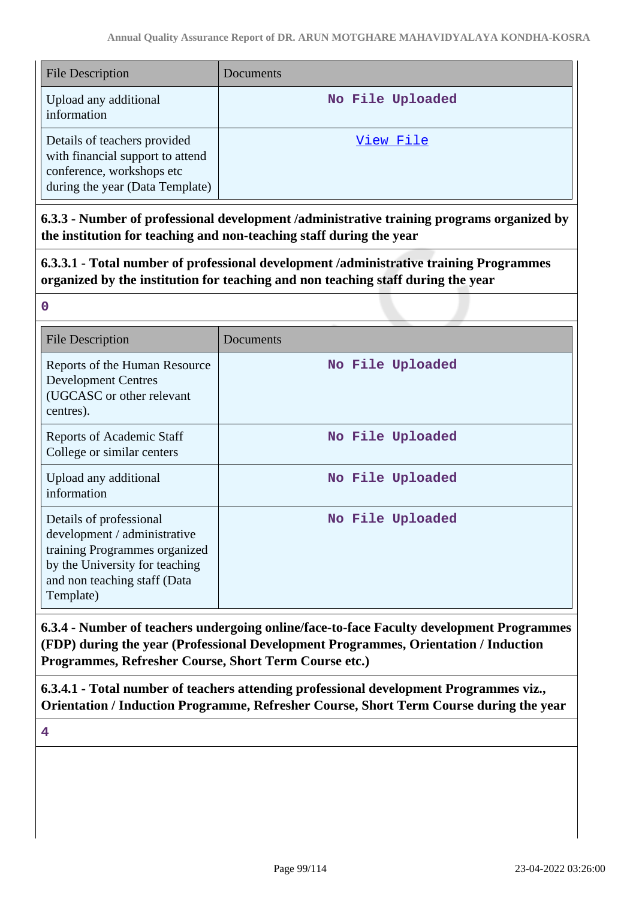| <b>File Description</b>                                                                                                          | Documents        |
|----------------------------------------------------------------------------------------------------------------------------------|------------------|
| Upload any additional<br>information                                                                                             | No File Uploaded |
| Details of teachers provided<br>with financial support to attend<br>conference, workshops etc<br>during the year (Data Template) | View File        |

**6.3.3 - Number of professional development /administrative training programs organized by the institution for teaching and non-teaching staff during the year**

**6.3.3.1 - Total number of professional development /administrative training Programmes organized by the institution for teaching and non teaching staff during the year**

| <b>File Description</b>                                                                                                                                                 | Documents        |
|-------------------------------------------------------------------------------------------------------------------------------------------------------------------------|------------------|
| Reports of the Human Resource<br><b>Development Centres</b><br>(UGCASC or other relevant<br>centres).                                                                   | No File Uploaded |
| Reports of Academic Staff<br>College or similar centers                                                                                                                 | No File Uploaded |
| Upload any additional<br>information                                                                                                                                    | No File Uploaded |
| Details of professional<br>development / administrative<br>training Programmes organized<br>by the University for teaching<br>and non teaching staff (Data<br>Template) | No File Uploaded |

**6.3.4 - Number of teachers undergoing online/face-to-face Faculty development Programmes (FDP) during the year (Professional Development Programmes, Orientation / Induction Programmes, Refresher Course, Short Term Course etc.)**

**6.3.4.1 - Total number of teachers attending professional development Programmes viz., Orientation / Induction Programme, Refresher Course, Short Term Course during the year**

**4**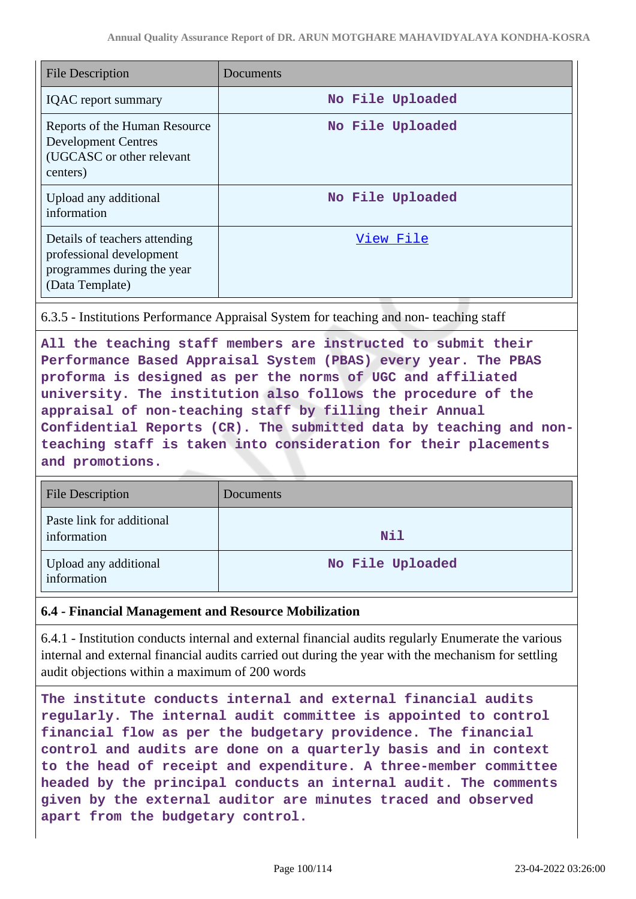| <b>File Description</b>                                                                                    | Documents        |
|------------------------------------------------------------------------------------------------------------|------------------|
| <b>IQAC</b> report summary                                                                                 | No File Uploaded |
| Reports of the Human Resource<br><b>Development Centres</b><br>(UGCASC or other relevant<br>centers)       | No File Uploaded |
| Upload any additional<br>information                                                                       | No File Uploaded |
| Details of teachers attending<br>professional development<br>programmes during the year<br>(Data Template) | View File        |

6.3.5 - Institutions Performance Appraisal System for teaching and non- teaching staff

**All the teaching staff members are instructed to submit their Performance Based Appraisal System (PBAS) every year. The PBAS proforma is designed as per the norms of UGC and affiliated university. The institution also follows the procedure of the appraisal of non-teaching staff by filling their Annual Confidential Reports (CR). The submitted data by teaching and nonteaching staff is taken into consideration for their placements and promotions.**

| <b>File Description</b>                  | Documents        |
|------------------------------------------|------------------|
| Paste link for additional<br>information | <b>Nil</b>       |
| Upload any additional<br>information     | No File Uploaded |

### **6.4 - Financial Management and Resource Mobilization**

6.4.1 - Institution conducts internal and external financial audits regularly Enumerate the various internal and external financial audits carried out during the year with the mechanism for settling audit objections within a maximum of 200 words

**The institute conducts internal and external financial audits regularly. The internal audit committee is appointed to control financial flow as per the budgetary providence. The financial control and audits are done on a quarterly basis and in context to the head of receipt and expenditure. A three-member committee headed by the principal conducts an internal audit. The comments given by the external auditor are minutes traced and observed apart from the budgetary control.**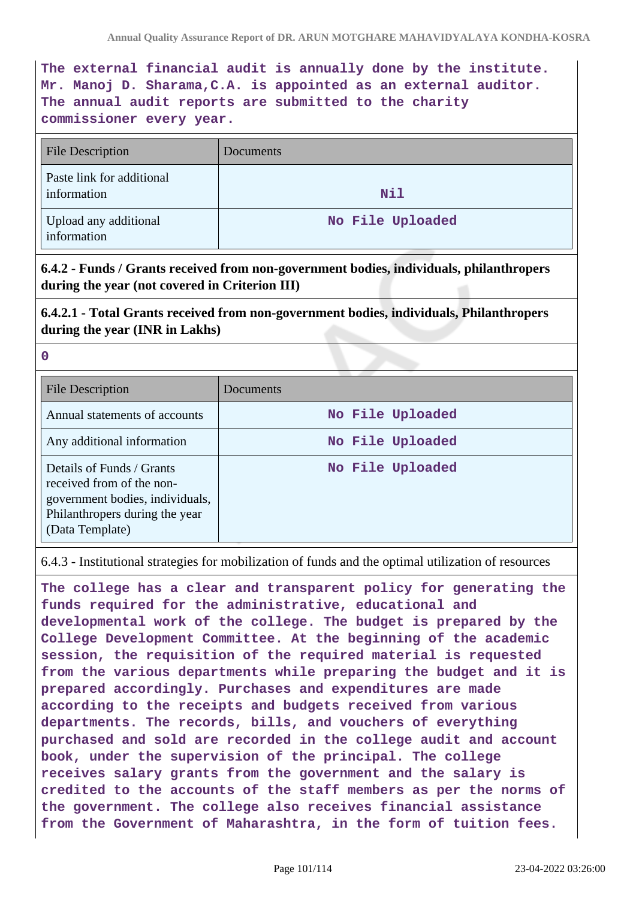**The external financial audit is annually done by the institute. Mr. Manoj D. Sharama,C.A. is appointed as an external auditor. The annual audit reports are submitted to the charity commissioner every year.**

| <b>File Description</b>                  | Documents        |
|------------------------------------------|------------------|
| Paste link for additional<br>information | Nil              |
| Upload any additional<br>information     | No File Uploaded |

**6.4.2 - Funds / Grants received from non-government bodies, individuals, philanthropers during the year (not covered in Criterion III)**

**6.4.2.1 - Total Grants received from non-government bodies, individuals, Philanthropers during the year (INR in Lakhs)**

|   | w |         |  |
|---|---|---------|--|
|   |   |         |  |
|   |   |         |  |
| × | w | ł<br>۰, |  |
|   |   |         |  |

| <b>File Description</b>                                                                                                                        | Documents        |
|------------------------------------------------------------------------------------------------------------------------------------------------|------------------|
| Annual statements of accounts                                                                                                                  | No File Uploaded |
| Any additional information                                                                                                                     | No File Uploaded |
| Details of Funds / Grants<br>received from of the non-<br>government bodies, individuals,<br>Philanthropers during the year<br>(Data Template) | No File Uploaded |

6.4.3 - Institutional strategies for mobilization of funds and the optimal utilization of resources

**The college has a clear and transparent policy for generating the funds required for the administrative, educational and developmental work of the college. The budget is prepared by the College Development Committee. At the beginning of the academic session, the requisition of the required material is requested from the various departments while preparing the budget and it is prepared accordingly. Purchases and expenditures are made according to the receipts and budgets received from various departments. The records, bills, and vouchers of everything purchased and sold are recorded in the college audit and account book, under the supervision of the principal. The college receives salary grants from the government and the salary is credited to the accounts of the staff members as per the norms of the government. The college also receives financial assistance from the Government of Maharashtra, in the form of tuition fees.**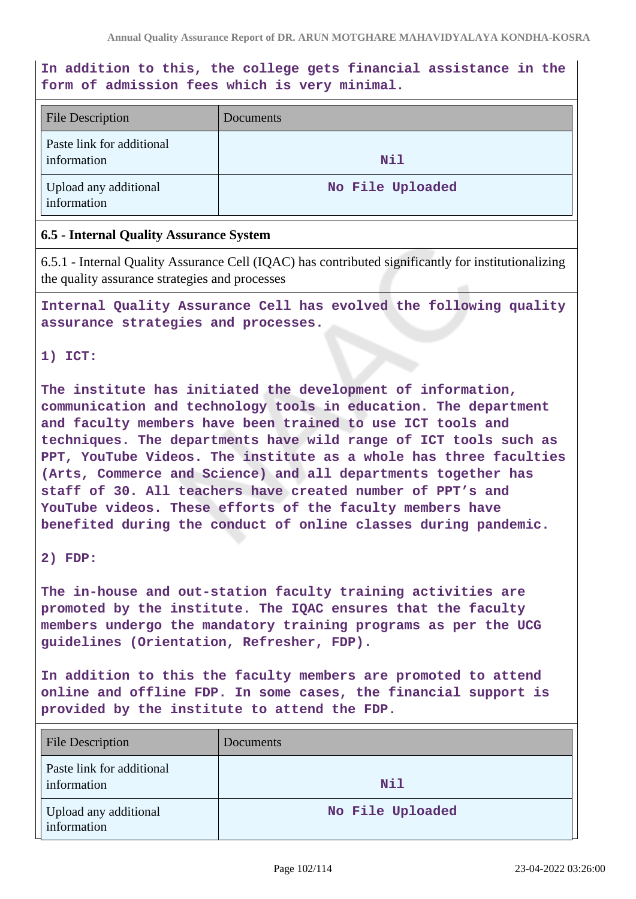**In addition to this, the college gets financial assistance in the form of admission fees which is very minimal.**

| <b>File Description</b>                  | Documents        |
|------------------------------------------|------------------|
| Paste link for additional<br>information | <b>Nil</b>       |
| Upload any additional<br>information     | No File Uploaded |

#### **6.5 - Internal Quality Assurance System**

6.5.1 - Internal Quality Assurance Cell (IQAC) has contributed significantly for institutionalizing the quality assurance strategies and processes

**Internal Quality Assurance Cell has evolved the following quality assurance strategies and processes.**

#### **1) ICT:**

**The institute has initiated the development of information, communication and technology tools in education. The department and faculty members have been trained to use ICT tools and techniques. The departments have wild range of ICT tools such as PPT, YouTube Videos. The institute as a whole has three faculties (Arts, Commerce and Science) and all departments together has staff of 30. All teachers have created number of PPT's and YouTube videos. These efforts of the faculty members have benefited during the conduct of online classes during pandemic.**

#### **2) FDP:**

**The in-house and out-station faculty training activities are promoted by the institute. The IQAC ensures that the faculty members undergo the mandatory training programs as per the UCG guidelines (Orientation, Refresher, FDP).**

**In addition to this the faculty members are promoted to attend online and offline FDP. In some cases, the financial support is provided by the institute to attend the FDP.**

| <b>File Description</b>                  | <b>Documents</b> |
|------------------------------------------|------------------|
| Paste link for additional<br>information | Nil              |
| Upload any additional<br>information     | No File Uploaded |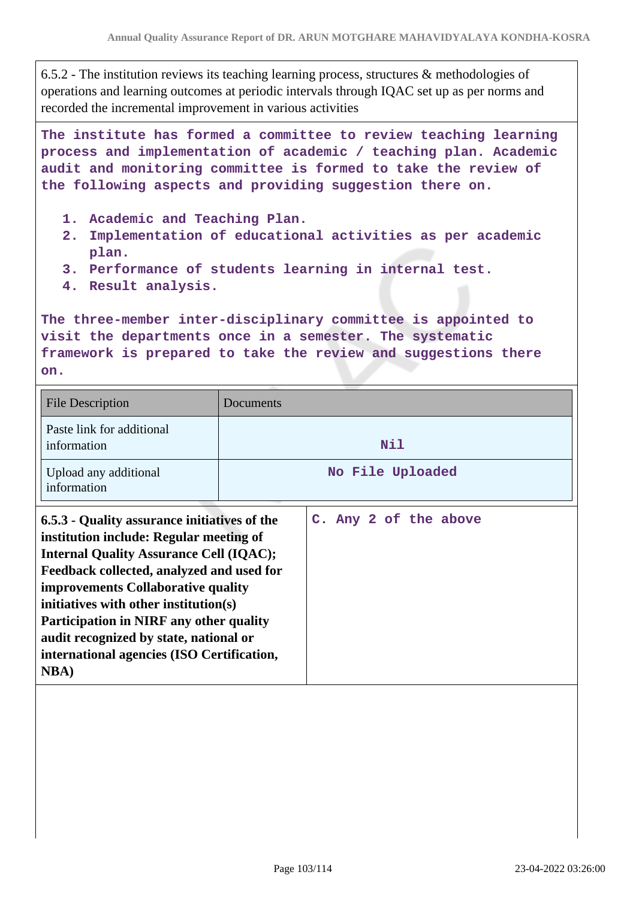6.5.2 - The institution reviews its teaching learning process, structures & methodologies of operations and learning outcomes at periodic intervals through IQAC set up as per norms and recorded the incremental improvement in various activities

**The institute has formed a committee to review teaching learning process and implementation of academic / teaching plan. Academic audit and monitoring committee is formed to take the review of the following aspects and providing suggestion there on.**

- **1. Academic and Teaching Plan.**
- **2. Implementation of educational activities as per academic plan.**
- **3. Performance of students learning in internal test.**
- **4. Result analysis.**

**The three-member inter-disciplinary committee is appointed to visit the departments once in a semester. The systematic framework is prepared to take the review and suggestions there on.**

| <b>File Description</b>                                                                                                                                                                                                                                                                                                                                                                                                  | Documents |                       |
|--------------------------------------------------------------------------------------------------------------------------------------------------------------------------------------------------------------------------------------------------------------------------------------------------------------------------------------------------------------------------------------------------------------------------|-----------|-----------------------|
| Paste link for additional<br>information                                                                                                                                                                                                                                                                                                                                                                                 |           | Nil                   |
| Upload any additional<br>information                                                                                                                                                                                                                                                                                                                                                                                     |           | No File Uploaded      |
| 6.5.3 - Quality assurance initiatives of the<br>institution include: Regular meeting of<br><b>Internal Quality Assurance Cell (IQAC);</b><br>Feedback collected, analyzed and used for<br>improvements Collaborative quality<br>initiatives with other institution(s)<br>Participation in NIRF any other quality<br>audit recognized by state, national or<br>international agencies (ISO Certification,<br><b>NBA</b> ) |           | C. Any 2 of the above |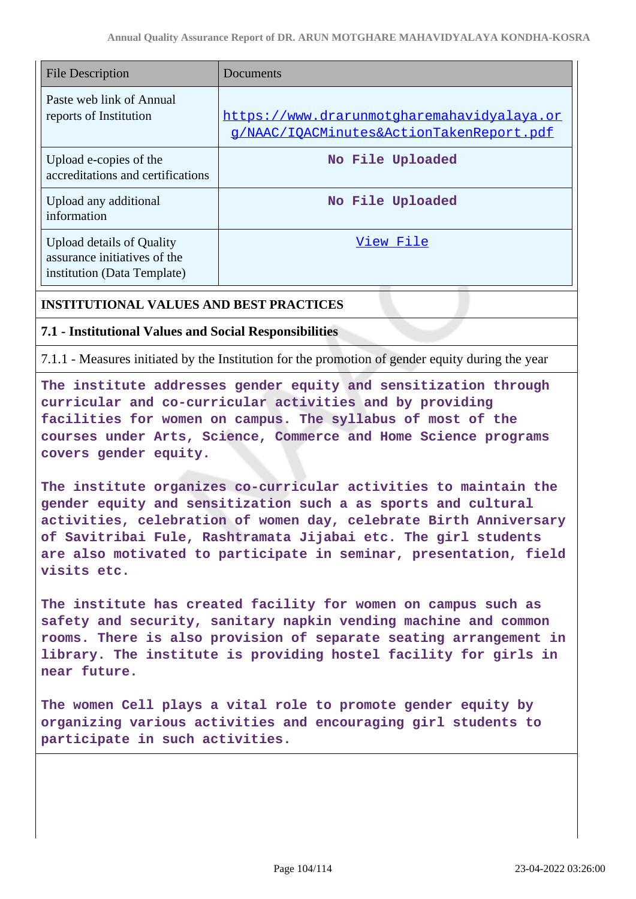| <b>File Description</b>                                                                         | Documents                                                                              |
|-------------------------------------------------------------------------------------------------|----------------------------------------------------------------------------------------|
| Paste web link of Annual<br>reports of Institution                                              | https://www.drarunmotgharemahavidyalaya.or<br>g/NAAC/IOACMinutes&ActionTakenReport.pdf |
| Upload e-copies of the<br>accreditations and certifications                                     | No File Uploaded                                                                       |
| Upload any additional<br>information                                                            | No File Uploaded                                                                       |
| <b>Upload details of Quality</b><br>assurance initiatives of the<br>institution (Data Template) | View File                                                                              |

### **INSTITUTIONAL VALUES AND BEST PRACTICES**

#### **7.1 - Institutional Values and Social Responsibilities**

7.1.1 - Measures initiated by the Institution for the promotion of gender equity during the year

**The institute addresses gender equity and sensitization through curricular and co-curricular activities and by providing facilities for women on campus. The syllabus of most of the courses under Arts, Science, Commerce and Home Science programs covers gender equity.**

**The institute organizes co-curricular activities to maintain the gender equity and sensitization such a as sports and cultural activities, celebration of women day, celebrate Birth Anniversary of Savitribai Fule, Rashtramata Jijabai etc. The girl students are also motivated to participate in seminar, presentation, field visits etc.**

**The institute has created facility for women on campus such as safety and security, sanitary napkin vending machine and common rooms. There is also provision of separate seating arrangement in library. The institute is providing hostel facility for girls in near future.**

**The women Cell plays a vital role to promote gender equity by organizing various activities and encouraging girl students to participate in such activities.**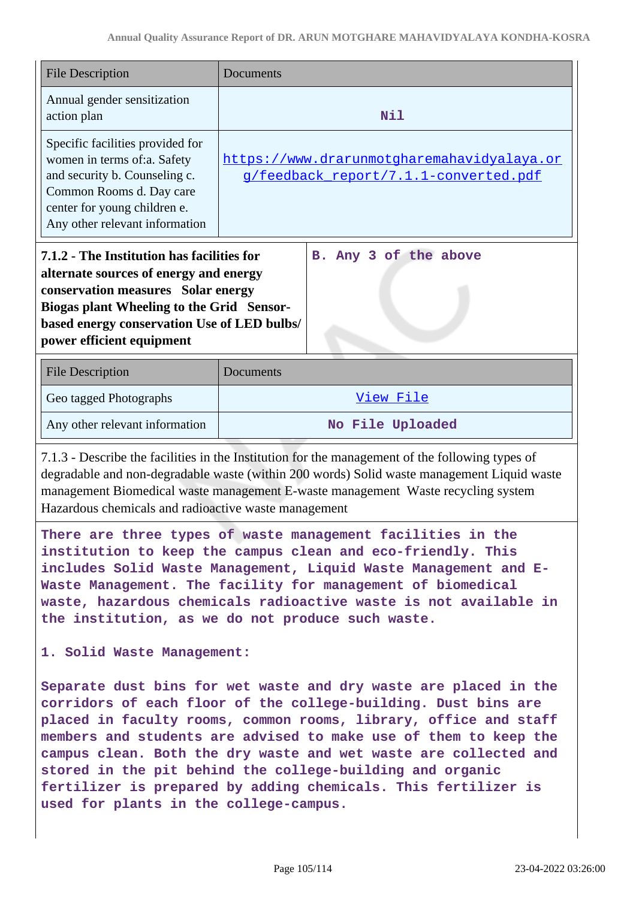|                                                                                                                                                                                                                                                                                                                                                                                                                                                                                                                         | <b>File Description</b>                                                                                                                                                                                                                                                      | Documents                                                                           |  |
|-------------------------------------------------------------------------------------------------------------------------------------------------------------------------------------------------------------------------------------------------------------------------------------------------------------------------------------------------------------------------------------------------------------------------------------------------------------------------------------------------------------------------|------------------------------------------------------------------------------------------------------------------------------------------------------------------------------------------------------------------------------------------------------------------------------|-------------------------------------------------------------------------------------|--|
|                                                                                                                                                                                                                                                                                                                                                                                                                                                                                                                         | Annual gender sensitization<br>action plan                                                                                                                                                                                                                                   | Nil                                                                                 |  |
|                                                                                                                                                                                                                                                                                                                                                                                                                                                                                                                         | Specific facilities provided for<br>women in terms of:a. Safety<br>and security b. Counseling c.<br>Common Rooms d. Day care<br>center for young children e.<br>Any other relevant information                                                                               | https://www.drarunmotgharemahavidyalaya.or<br>g/feedback report/7.1.1-converted.pdf |  |
|                                                                                                                                                                                                                                                                                                                                                                                                                                                                                                                         | 7.1.2 - The Institution has facilities for<br>B. Any 3 of the above<br>alternate sources of energy and energy<br>conservation measures Solar energy<br>Biogas plant Wheeling to the Grid Sensor-<br>based energy conservation Use of LED bulbs/<br>power efficient equipment |                                                                                     |  |
|                                                                                                                                                                                                                                                                                                                                                                                                                                                                                                                         | <b>File Description</b>                                                                                                                                                                                                                                                      | Documents                                                                           |  |
|                                                                                                                                                                                                                                                                                                                                                                                                                                                                                                                         | Geo tagged Photographs                                                                                                                                                                                                                                                       | View File                                                                           |  |
|                                                                                                                                                                                                                                                                                                                                                                                                                                                                                                                         | Any other relevant information                                                                                                                                                                                                                                               | No File Uploaded                                                                    |  |
| 7.1.3 - Describe the facilities in the Institution for the management of the following types of<br>degradable and non-degradable waste (within 200 words) Solid waste management Liquid waste<br>management Biomedical waste management E-waste management Waste recycling system<br>Hazardous chemicals and radioactive waste management                                                                                                                                                                               |                                                                                                                                                                                                                                                                              |                                                                                     |  |
| There are three types of waste management facilities in the<br>institution to keep the campus clean and eco-friendly. This<br>includes Solid Waste Management, Liquid Waste Management and E-<br>Waste Management. The facility for management of biomedical<br>waste, hazardous chemicals radioactive waste is not available in<br>the institution, as we do not produce such waste.                                                                                                                                   |                                                                                                                                                                                                                                                                              |                                                                                     |  |
| 1. Solid Waste Management:                                                                                                                                                                                                                                                                                                                                                                                                                                                                                              |                                                                                                                                                                                                                                                                              |                                                                                     |  |
| Separate dust bins for wet waste and dry waste are placed in the<br>corridors of each floor of the college-building. Dust bins are<br>placed in faculty rooms, common rooms, library, office and staff<br>members and students are advised to make use of them to keep the<br>campus clean. Both the dry waste and wet waste are collected and<br>stored in the pit behind the college-building and organic<br>fertilizer is prepared by adding chemicals. This fertilizer is<br>used for plants in the college-campus. |                                                                                                                                                                                                                                                                              |                                                                                     |  |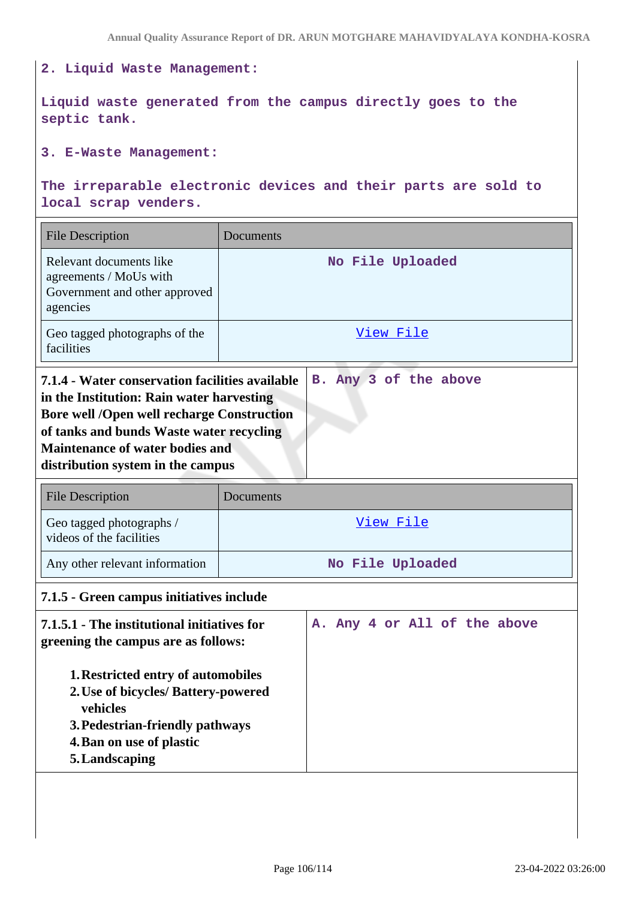# **2. Liquid Waste Management: Liquid waste generated from the campus directly goes to the septic tank. 3. E-Waste Management: The irreparable electronic devices and their parts are sold to local scrap venders.** File Description Documents Relevant documents like agreements / MoUs with Government and other approved agencies **No File Uploaded** Geo tagged photographs of the facilities View File **7.1.4 - Water conservation facilities available in the Institution: Rain water harvesting Bore well /Open well recharge Construction of tanks and bunds Waste water recycling Maintenance of water bodies and distribution system in the campus B. Any 3 of the above** File Description Documents Geo tagged photographs / videos of the facilities View File Any other relevant information **No File Uploaded 7.1.5 - Green campus initiatives include 7.1.5.1 - The institutional initiatives for greening the campus are as follows: 1.Restricted entry of automobiles 2.Use of bicycles/ Battery-powered vehicles 3.Pedestrian-friendly pathways 4.Ban on use of plastic 5.Landscaping A. Any 4 or All of the above**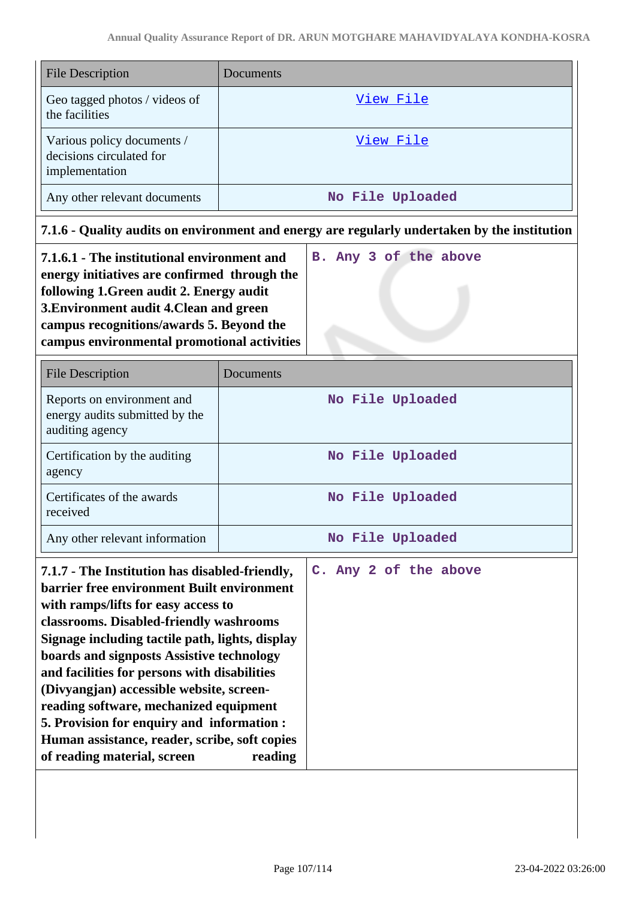| <b>File Description</b>                                                                                                                                                                                                                                                                                                                                                                                                                                                                                                                            | Documents                                                                                    |  |
|----------------------------------------------------------------------------------------------------------------------------------------------------------------------------------------------------------------------------------------------------------------------------------------------------------------------------------------------------------------------------------------------------------------------------------------------------------------------------------------------------------------------------------------------------|----------------------------------------------------------------------------------------------|--|
| Geo tagged photos / videos of<br>the facilities                                                                                                                                                                                                                                                                                                                                                                                                                                                                                                    | View File                                                                                    |  |
| Various policy documents /<br>decisions circulated for<br>implementation                                                                                                                                                                                                                                                                                                                                                                                                                                                                           | View File                                                                                    |  |
| Any other relevant documents                                                                                                                                                                                                                                                                                                                                                                                                                                                                                                                       | No File Uploaded                                                                             |  |
|                                                                                                                                                                                                                                                                                                                                                                                                                                                                                                                                                    | 7.1.6 - Quality audits on environment and energy are regularly undertaken by the institution |  |
| 7.1.6.1 - The institutional environment and<br>B. Any 3 of the above<br>energy initiatives are confirmed through the<br>following 1. Green audit 2. Energy audit<br>3. Environment audit 4. Clean and green<br>campus recognitions/awards 5. Beyond the<br>campus environmental promotional activities                                                                                                                                                                                                                                             |                                                                                              |  |
| <b>File Description</b>                                                                                                                                                                                                                                                                                                                                                                                                                                                                                                                            | Documents                                                                                    |  |
| Reports on environment and<br>energy audits submitted by the<br>auditing agency                                                                                                                                                                                                                                                                                                                                                                                                                                                                    | No File Uploaded                                                                             |  |
| Certification by the auditing<br>agency                                                                                                                                                                                                                                                                                                                                                                                                                                                                                                            | No File Uploaded                                                                             |  |
| Certificates of the awards<br>received                                                                                                                                                                                                                                                                                                                                                                                                                                                                                                             | No File Uploaded                                                                             |  |
| Any other relevant information                                                                                                                                                                                                                                                                                                                                                                                                                                                                                                                     | No File Uploaded                                                                             |  |
| 7.1.7 - The Institution has disabled-friendly,<br>barrier free environment Built environment<br>with ramps/lifts for easy access to<br>classrooms. Disabled-friendly washrooms<br>Signage including tactile path, lights, display<br>boards and signposts Assistive technology<br>and facilities for persons with disabilities<br>(Divyangjan) accessible website, screen-<br>reading software, mechanized equipment<br>5. Provision for enquiry and information :<br>Human assistance, reader, scribe, soft copies<br>of reading material, screen | C. Any 2 of the above<br>reading                                                             |  |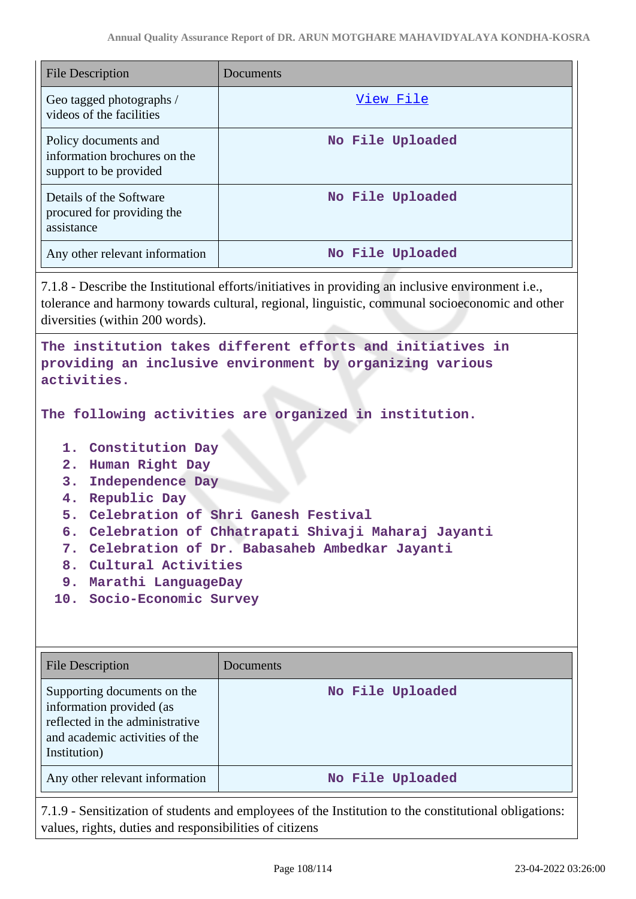| <b>File Description</b>                                                                                                                                                                                                                                                                                                                                                          | Documents        |  |
|----------------------------------------------------------------------------------------------------------------------------------------------------------------------------------------------------------------------------------------------------------------------------------------------------------------------------------------------------------------------------------|------------------|--|
| Geo tagged photographs /<br>videos of the facilities                                                                                                                                                                                                                                                                                                                             | View File        |  |
| Policy documents and<br>information brochures on the<br>support to be provided                                                                                                                                                                                                                                                                                                   | No File Uploaded |  |
| Details of the Software<br>procured for providing the<br>assistance                                                                                                                                                                                                                                                                                                              | No File Uploaded |  |
| Any other relevant information                                                                                                                                                                                                                                                                                                                                                   | No File Uploaded |  |
| 7.1.8 - Describe the Institutional efforts/initiatives in providing an inclusive environment i.e.,<br>tolerance and harmony towards cultural, regional, linguistic, communal socioeconomic and other<br>diversities (within 200 words).<br>The institution takes different efforts and initiatives in<br>providing an inclusive environment by organizing various<br>activities. |                  |  |
| The following activities are organized in institution.                                                                                                                                                                                                                                                                                                                           |                  |  |
| 1. Constitution Day<br>2. Human Right Day<br>3.<br>Independence Day<br>4. Republic Day<br>5. Celebration of Shri Ganesh Festival<br>6. Celebration of Chhatrapati Shivaji Maharaj Jayanti                                                                                                                                                                                        |                  |  |

- **9. Marathi LanguageDay**
- **10. Socio-Economic Survey**

| <b>File Description</b>                                                                                                                      | Documents        |
|----------------------------------------------------------------------------------------------------------------------------------------------|------------------|
| Supporting documents on the<br>information provided (as<br>reflected in the administrative<br>and academic activities of the<br>Institution) | No File Uploaded |
| Any other relevant information                                                                                                               | No File Uploaded |

7.1.9 - Sensitization of students and employees of the Institution to the constitutional obligations: values, rights, duties and responsibilities of citizens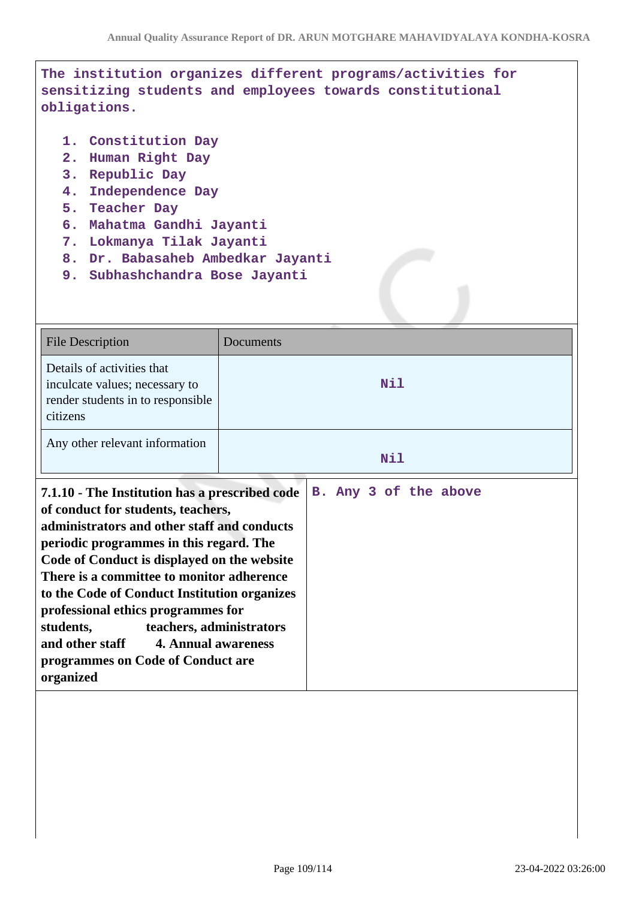**The institution organizes different programs/activities for sensitizing students and employees towards constitutional obligations.**

- **1. Constitution Day**
- **2. Human Right Day**
- **3. Republic Day**
- **4. Independence Day**
- **5. Teacher Day**
- **6. Mahatma Gandhi Jayanti**
- **7. Lokmanya Tilak Jayanti**
- **8. Dr. Babasaheb Ambedkar Jayanti**
- **9. Subhashchandra Bose Jayanti**

| <b>File Description</b>                                                                                                                                                                                                                                                                                                                                                                                                                                                                            | Documents             |
|----------------------------------------------------------------------------------------------------------------------------------------------------------------------------------------------------------------------------------------------------------------------------------------------------------------------------------------------------------------------------------------------------------------------------------------------------------------------------------------------------|-----------------------|
| Details of activities that<br>inculcate values; necessary to<br>render students in to responsible<br>citizens                                                                                                                                                                                                                                                                                                                                                                                      | Nil                   |
| Any other relevant information                                                                                                                                                                                                                                                                                                                                                                                                                                                                     | Nil                   |
| 7.1.10 - The Institution has a prescribed code<br>of conduct for students, teachers,<br>administrators and other staff and conducts<br>periodic programmes in this regard. The<br>Code of Conduct is displayed on the website<br>There is a committee to monitor adherence<br>to the Code of Conduct Institution organizes<br>professional ethics programmes for<br>students,<br>teachers, administrators<br>and other staff 4. Annual awareness<br>programmes on Code of Conduct are<br>organized | B. Any 3 of the above |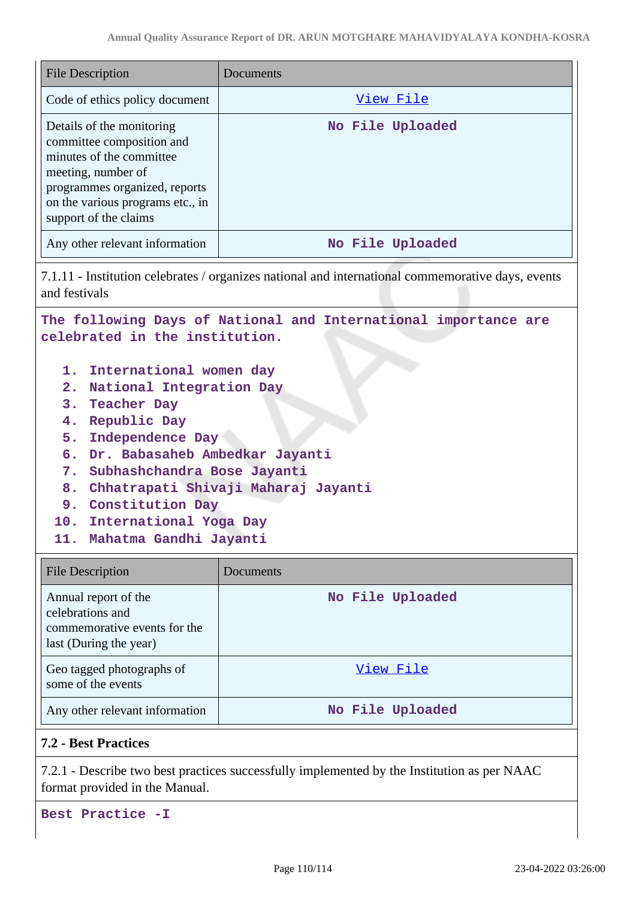| <b>File Description</b>                                                                                                                                                                                                                                                                                                                                                                                                                                                                 | Documents                                                                                                                                                                                                                                                                                                                                                                       |
|-----------------------------------------------------------------------------------------------------------------------------------------------------------------------------------------------------------------------------------------------------------------------------------------------------------------------------------------------------------------------------------------------------------------------------------------------------------------------------------------|---------------------------------------------------------------------------------------------------------------------------------------------------------------------------------------------------------------------------------------------------------------------------------------------------------------------------------------------------------------------------------|
| Code of ethics policy document                                                                                                                                                                                                                                                                                                                                                                                                                                                          | View File                                                                                                                                                                                                                                                                                                                                                                       |
| Details of the monitoring<br>committee composition and<br>minutes of the committee<br>meeting, number of<br>programmes organized, reports<br>on the various programs etc., in<br>support of the claims                                                                                                                                                                                                                                                                                  | No File Uploaded                                                                                                                                                                                                                                                                                                                                                                |
| Any other relevant information                                                                                                                                                                                                                                                                                                                                                                                                                                                          | No File Uploaded                                                                                                                                                                                                                                                                                                                                                                |
| 7.1.11 - Institution celebrates / organizes national and international commemorative days, events<br>and festivals<br>The following Days of National and International importance are<br>celebrated in the institution.<br>1. International women day<br>2. National Integration Day<br><b>Teacher Day</b><br>3.<br>Republic Day<br>4.<br>Independence Day<br>5.<br>Dr. Babasaheb Ambedkar Jayanti<br>6.<br>Subhashchandra Bose Jayanti<br>7.<br>8. Chhatrapati Shivaji Maharaj Jayanti |                                                                                                                                                                                                                                                                                                                                                                                 |
| 9. Constitution Day<br>10. International Yoga Day<br>11. Mahatma Gandhi Jayanti                                                                                                                                                                                                                                                                                                                                                                                                         |                                                                                                                                                                                                                                                                                                                                                                                 |
| <b>File Description</b>                                                                                                                                                                                                                                                                                                                                                                                                                                                                 | Documents                                                                                                                                                                                                                                                                                                                                                                       |
| $\Lambda$ nanal ranget of the                                                                                                                                                                                                                                                                                                                                                                                                                                                           | $M_2$ $\overline{v}$ ; $\overline{v}$ $\overline{v}$ $\overline{v}$ $\overline{v}$ $\overline{v}$ $\overline{v}$ $\overline{v}$ $\overline{v}$ $\overline{v}$ $\overline{v}$ $\overline{v}$ $\overline{v}$ $\overline{v}$ $\overline{v}$ $\overline{v}$ $\overline{v}$ $\overline{v}$ $\overline{v}$ $\overline{v}$ $\overline{v}$ $\overline{v}$ $\overline{v}$ $\overline{v}$ |

| Annual report of the<br>celebrations and<br>commemorative events for the<br>last (During the year) | No File Uploaded |
|----------------------------------------------------------------------------------------------------|------------------|
| Geo tagged photographs of<br>some of the events                                                    | View File        |
| Any other relevant information                                                                     | No File Uploaded |

# **7.2 - Best Practices**

7.2.1 - Describe two best practices successfully implemented by the Institution as per NAAC format provided in the Manual.

**Best Practice -I**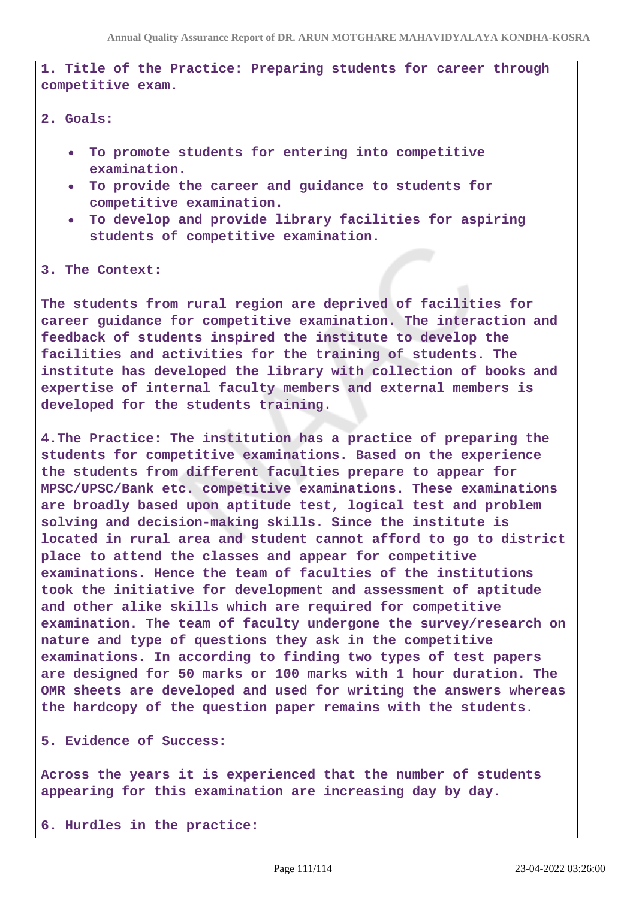**1. Title of the Practice: Preparing students for career through competitive exam.**

- **2. Goals:** 
	- **To promote students for entering into competitive examination.**
	- **To provide the career and guidance to students for competitive examination.**
	- **To develop and provide library facilities for aspiring students of competitive examination.**

**3. The Context:** 

**The students from rural region are deprived of facilities for career guidance for competitive examination. The interaction and feedback of students inspired the institute to develop the facilities and activities for the training of students. The institute has developed the library with collection of books and expertise of internal faculty members and external members is developed for the students training.**

**4.The Practice: The institution has a practice of preparing the students for competitive examinations. Based on the experience the students from different faculties prepare to appear for MPSC/UPSC/Bank etc. competitive examinations. These examinations are broadly based upon aptitude test, logical test and problem solving and decision-making skills. Since the institute is located in rural area and student cannot afford to go to district place to attend the classes and appear for competitive examinations. Hence the team of faculties of the institutions took the initiative for development and assessment of aptitude and other alike skills which are required for competitive examination. The team of faculty undergone the survey/research on nature and type of questions they ask in the competitive examinations. In according to finding two types of test papers are designed for 50 marks or 100 marks with 1 hour duration. The OMR sheets are developed and used for writing the answers whereas the hardcopy of the question paper remains with the students.**

**5. Evidence of Success:**

**Across the years it is experienced that the number of students appearing for this examination are increasing day by day.**

**6. Hurdles in the practice:**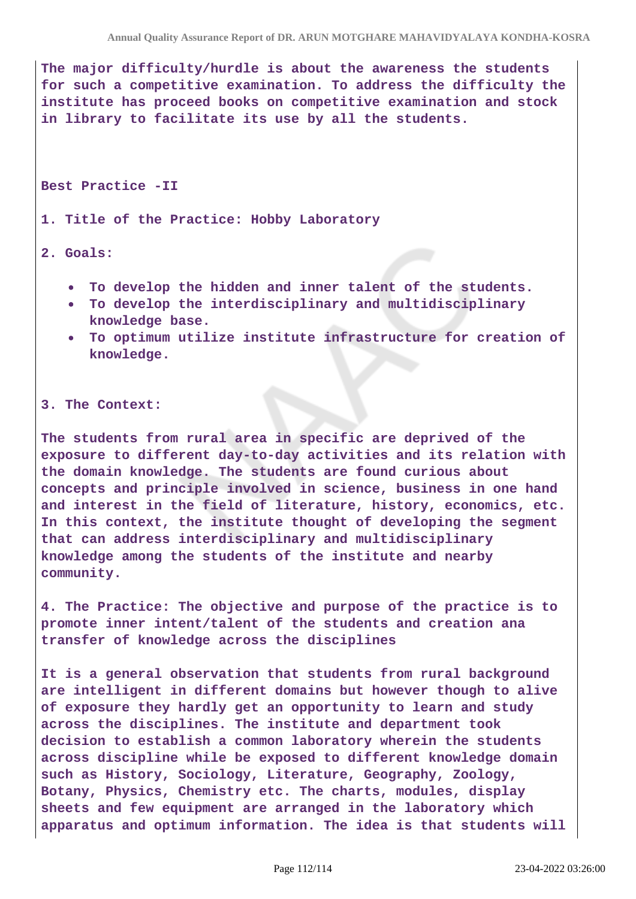**The major difficulty/hurdle is about the awareness the students for such a competitive examination. To address the difficulty the institute has proceed books on competitive examination and stock in library to facilitate its use by all the students.**

**Best Practice -II**

**1. Title of the Practice: Hobby Laboratory**

#### **2. Goals:**

- **To develop the hidden and inner talent of the students.**
- **To develop the interdisciplinary and multidisciplinary knowledge base.**
- **To optimum utilize institute infrastructure for creation of knowledge.**

#### **3. The Context:**

**The students from rural area in specific are deprived of the exposure to different day-to-day activities and its relation with the domain knowledge. The students are found curious about concepts and principle involved in science, business in one hand and interest in the field of literature, history, economics, etc. In this context, the institute thought of developing the segment that can address interdisciplinary and multidisciplinary knowledge among the students of the institute and nearby community.**

**4. The Practice: The objective and purpose of the practice is to promote inner intent/talent of the students and creation ana transfer of knowledge across the disciplines**

**It is a general observation that students from rural background are intelligent in different domains but however though to alive of exposure they hardly get an opportunity to learn and study across the disciplines. The institute and department took decision to establish a common laboratory wherein the students across discipline while be exposed to different knowledge domain such as History, Sociology, Literature, Geography, Zoology, Botany, Physics, Chemistry etc. The charts, modules, display sheets and few equipment are arranged in the laboratory which apparatus and optimum information. The idea is that students will**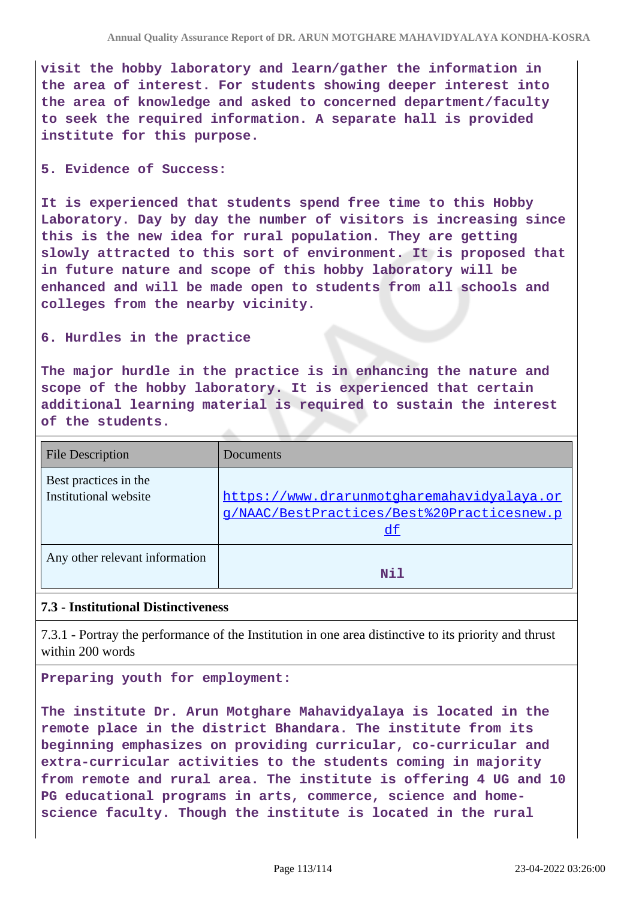**visit the hobby laboratory and learn/gather the information in the area of interest. For students showing deeper interest into the area of knowledge and asked to concerned department/faculty to seek the required information. A separate hall is provided institute for this purpose.**

#### **5. Evidence of Success:**

**It is experienced that students spend free time to this Hobby Laboratory. Day by day the number of visitors is increasing since this is the new idea for rural population. They are getting slowly attracted to this sort of environment. It is proposed that in future nature and scope of this hobby laboratory will be enhanced and will be made open to students from all schools and colleges from the nearby vicinity.**

### **6. Hurdles in the practice**

**The major hurdle in the practice is in enhancing the nature and scope of the hobby laboratory. It is experienced that certain additional learning material is required to sustain the interest of the students.**

| <b>File Description</b>                        | Documents                                                                                             |
|------------------------------------------------|-------------------------------------------------------------------------------------------------------|
| Best practices in the<br>Institutional website | https://www.drarunmotgharemahavidyalaya.or<br>g/NAAC/BestPractices/Best%20Practicesnew.p<br><u>df</u> |
| Any other relevant information                 | Nil                                                                                                   |

## **7.3 - Institutional Distinctiveness**

7.3.1 - Portray the performance of the Institution in one area distinctive to its priority and thrust within 200 words

**Preparing youth for employment:**

**The institute Dr. Arun Motghare Mahavidyalaya is located in the remote place in the district Bhandara. The institute from its beginning emphasizes on providing curricular, co-curricular and extra-curricular activities to the students coming in majority from remote and rural area. The institute is offering 4 UG and 10 PG educational programs in arts, commerce, science and homescience faculty. Though the institute is located in the rural**